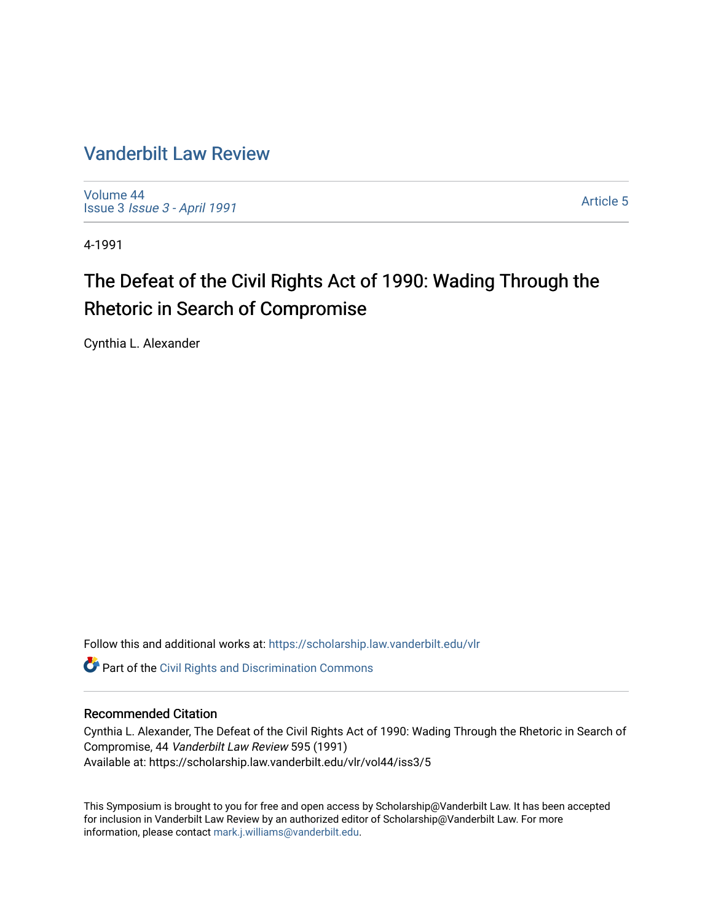# [Vanderbilt Law Review](https://scholarship.law.vanderbilt.edu/vlr)

[Volume 44](https://scholarship.law.vanderbilt.edu/vlr/vol44) Issue 3 [Issue 3 - April 1991](https://scholarship.law.vanderbilt.edu/vlr/vol44/iss3)

[Article 5](https://scholarship.law.vanderbilt.edu/vlr/vol44/iss3/5) 

4-1991

# The Defeat of the Civil Rights Act of 1990: Wading Through the Rhetoric in Search of Compromise

Cynthia L. Alexander

Follow this and additional works at: [https://scholarship.law.vanderbilt.edu/vlr](https://scholarship.law.vanderbilt.edu/vlr?utm_source=scholarship.law.vanderbilt.edu%2Fvlr%2Fvol44%2Fiss3%2F5&utm_medium=PDF&utm_campaign=PDFCoverPages)

**Part of the Civil Rights and Discrimination Commons** 

# Recommended Citation

Cynthia L. Alexander, The Defeat of the Civil Rights Act of 1990: Wading Through the Rhetoric in Search of Compromise, 44 Vanderbilt Law Review 595 (1991) Available at: https://scholarship.law.vanderbilt.edu/vlr/vol44/iss3/5

This Symposium is brought to you for free and open access by Scholarship@Vanderbilt Law. It has been accepted for inclusion in Vanderbilt Law Review by an authorized editor of Scholarship@Vanderbilt Law. For more information, please contact [mark.j.williams@vanderbilt.edu](mailto:mark.j.williams@vanderbilt.edu).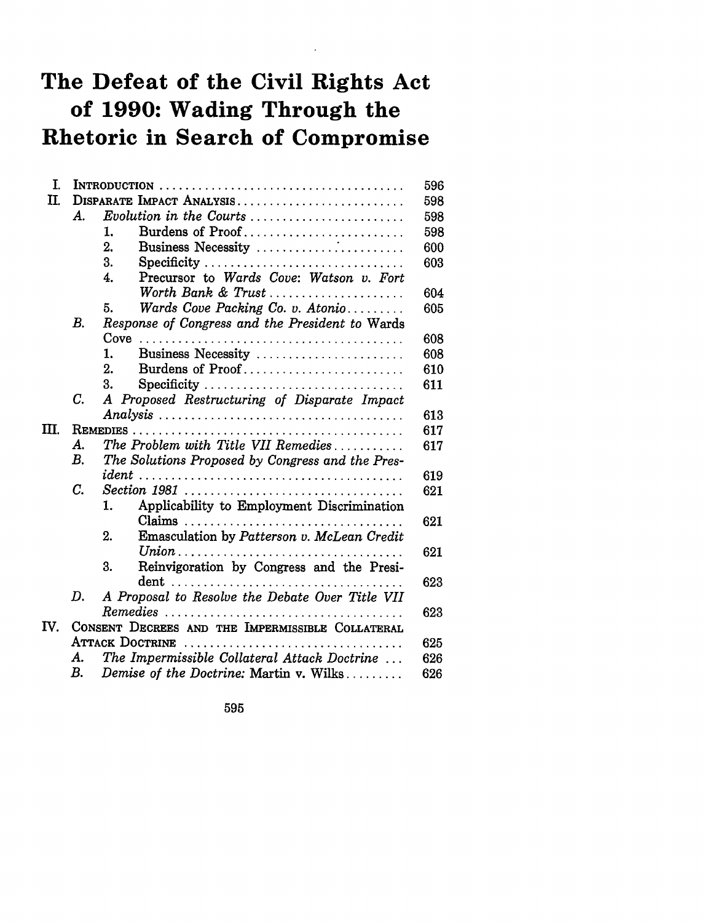# **The Defeat of the Civil Rights Act of 1990: Wading Through the Rhetoric in Search of Compromise**

| I.   |                                                  |                                                  |  |
|------|--------------------------------------------------|--------------------------------------------------|--|
| II.  |                                                  | DISPARATE IMPACT ANALYSIS                        |  |
|      | A.                                               | Evolution in the Courts                          |  |
|      |                                                  | Burdens of Proof<br>1.                           |  |
|      |                                                  | 2.<br>Business Necessity                         |  |
|      |                                                  | 3.<br>Specificity                                |  |
|      |                                                  | Precursor to Wards Cove: Watson v. Fort<br>4.    |  |
|      |                                                  | Worth Bank & Trust                               |  |
|      |                                                  | Wards Cove Packing Co. v. Atonio<br>5.           |  |
|      | В.                                               | Response of Congress and the President to Wards  |  |
|      |                                                  |                                                  |  |
|      |                                                  | Business Necessity<br>1.                         |  |
|      |                                                  | 2.<br>Burdens of Proof                           |  |
|      |                                                  | 3.<br>Specificity                                |  |
|      | C.                                               | A Proposed Restructuring of Disparate Impact     |  |
|      |                                                  |                                                  |  |
| TTT. |                                                  |                                                  |  |
|      | А.                                               | The Problem with Title VII Remedies              |  |
|      | $B_{\cdot}$                                      | The Solutions Proposed by Congress and the Pres- |  |
|      |                                                  |                                                  |  |
|      | C.                                               |                                                  |  |
|      |                                                  | Applicability to Employment Discrimination<br>1. |  |
|      |                                                  |                                                  |  |
|      |                                                  | Emasculation by Patterson v. McLean Credit<br>2. |  |
|      |                                                  |                                                  |  |
|      |                                                  | Reinvigoration by Congress and the Presi-<br>3.  |  |
|      |                                                  |                                                  |  |
|      | D.                                               | A Proposal to Resolve the Debate Over Title VII  |  |
|      |                                                  |                                                  |  |
| IV.  | CONSENT DECREES AND THE IMPERMISSIBLE COLLATERAL |                                                  |  |
|      |                                                  | <b>ATTACK DOCTRINE</b>                           |  |
|      | А.                                               | The Impermissible Collateral Attack Doctrine     |  |
|      | В.                                               | Demise of the Doctrine: Martin v. Wilks          |  |

595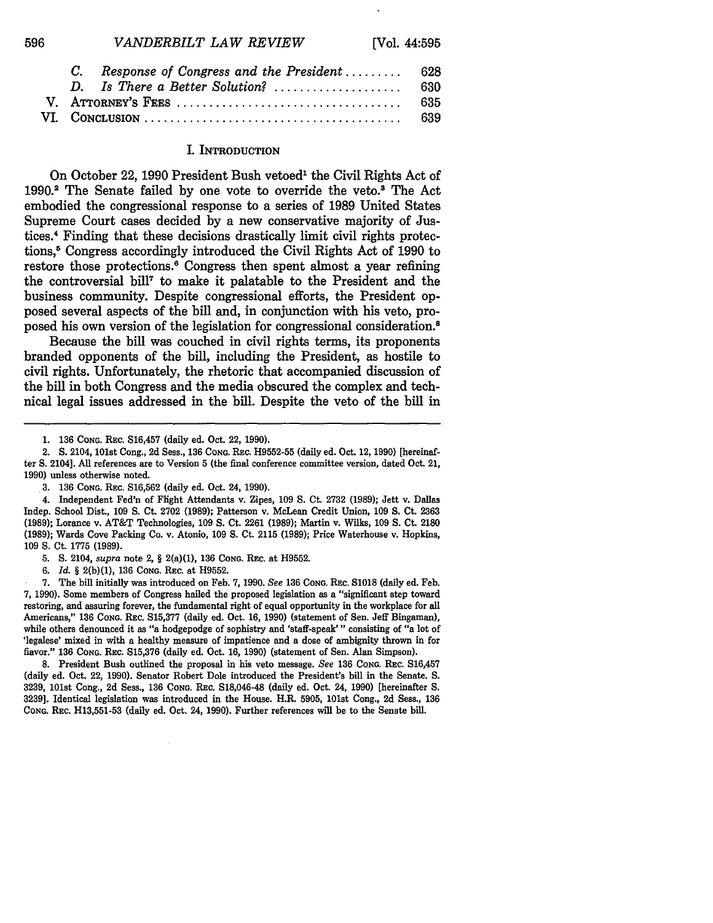| VANDERBILT LAW REVIEW | [Vol. 44:595] |
|-----------------------|---------------|
|-----------------------|---------------|

|  | C. Response of Congress and the President  628 |  |
|--|------------------------------------------------|--|
|  |                                                |  |
|  |                                                |  |
|  |                                                |  |

#### I. INTRODUCTION

On October 22, 1990 President Bush vetoed<sup>1</sup> the Civil Rights Act of 1990.2 The Senate failed **by** one vote to override the veto.' The Act embodied the congressional response to a series of **1989** United States Supreme Court cases decided **by** a new conservative majority of **Jus**tices.4 Finding that these decisions drastically limit civil rights protections, **5** Congress accordingly introduced the Civil Rights Act of **1990** to restore those protections.<sup>6</sup> Congress then spent almost a year refining the controversial bill7 to make it palatable to the President and the business community. Despite congressional efforts, the President opposed several aspects of the bill and, in conjunction with his veto, proposed his own version of the legislation for congressional consideration.8

Because the bill was couched in civil rights terms, its proponents branded opponents of the bill, including the President, as hostile to civil rights. Unfortunately, the rhetoric that accompanied discussion of the bill in both Congress and the media obscured the complex and technical legal issues addressed in the bill. Despite the veto of the bill in

596

2. **S.** 2104, 101st Cong., 2d Sess., 136 **CONG.** REc. H9552-55 (daily ed. Oct. 12, 1990) [hereinafter **S.** 2104]. **All** references are to Version **5** (the final conference **committee** version, dated Oct. 21, 1990) unless otherwise noted.

5. **S.** 2104, *supra* note 2, § 2(a)(1), 136 **CONG.** REC. at H9552.

**6.** *Id.* § 2(b)(1), **136 CONG. REc.** at H9552.

7. The bill initially was introduced on Feb. 7, 1990. *See* **136 CONG.** REc. **S1018** (daily ed. Feb. 7, 1990). Some members of Congress hailed the proposed legislation as a "significant step toward restoring, and assuring forever, the fundamental right of equal opportunity in the workplace for all Americans," **136 CONG.** REc. **S15,377** (daily ed. Oct. **16, 1990)** (statement of Sen. Jeff Bingaman), while others denounced it as "a hodgepodge of sophistry and 'staff-speak'" consisting of "a lot of 'legalese' mixed in with a healthy measure of impatience and a dose of ambiguity thrown in for flavor." **136 CONG.** REc. **S15,376** (daily ed. Oct. 16, **1990)** (statement of Sen. Alan Simpson).

8. President Bush outlined the proposal in his veto message. *See* **136 CONG.** Rsc. S16,457 (daily ed. Oct. 22, **1990).** Senator Robert Dole introduced the President's bill in the Senate. S. **3239,** 101st Cong., **2d** Sess., **136 CONG. REc. S18,046-48** (daily ed. Oct. 24, 1990) [hereinafter **S. 3239].** Identical legislation was introduced in the House. H.R. **5905,** 101st Cong., **2d** Seas., **136 CONG.** REC. **H13,551-53** (daily ed. Oct. 24, 1990). Further references will be to the Senate bill.

**<sup>1. 136</sup>** CONG. REC. **S16,457** (daily ed. Oct. 22, **1990).**

<sup>3. 136</sup> **CONG.** REc. S16,562 (daily ed. Oct. 24, 1990).

<sup>4.</sup> Independent Fed'n of Flight Attendants v. Zipes, 109 **S.** Ct. 2732 (1989); Jett v. Dallas Indep. School Dist., 109 S. Ct. 2702 (1989); Patterson v. McLean Credit Union, 109 **S.** Ct. 2363 (1989); Lorance v. AT&T Technologies, 109 **S.** Ct. **2261** (1989); Martin v. Wilks, 109 **S.** Ct. **2180** (1989); Wards Cove Packing Co. v. Atonio, 109 **S.** Ct. 2115 (1989); Price Waterhouse v. Hopkins, 109 **S.** Ct. 1775 (1989).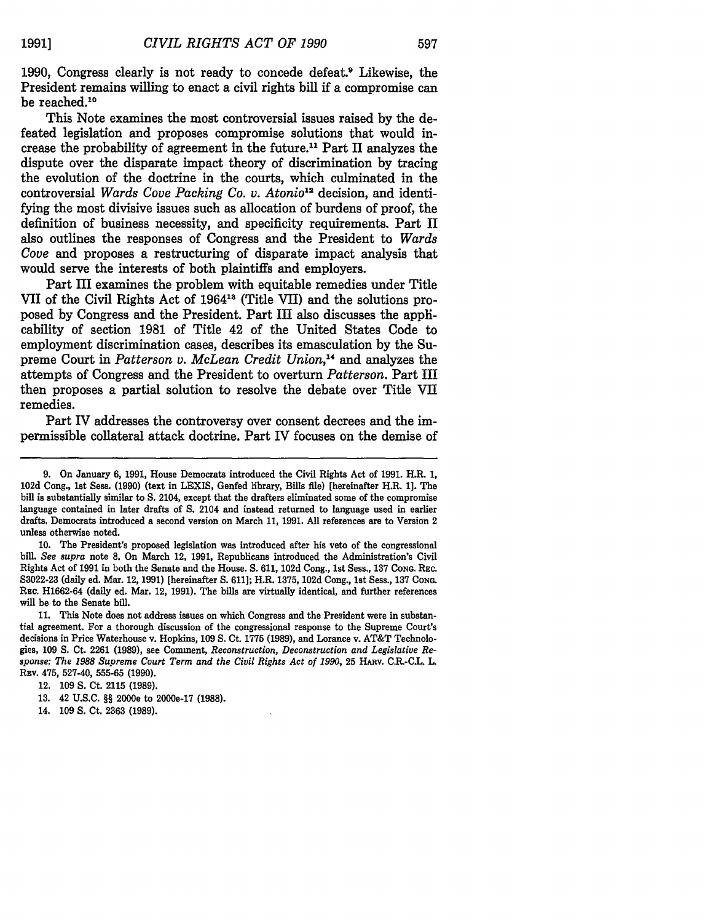1990, Congress clearly is not ready to concede defeat.9 Likewise, the President remains willing to enact a civil rights bill **if** a compromise can be reached.<sup>10</sup>

This Note examines the most controversial issues raised by the defeated legislation and proposes compromise solutions that would increase the probability of agreement in the future.11 Part II analyzes the dispute over the disparate impact theory of discrimination by tracing the evolution of the doctrine in the courts, which culminated in the controversial *Wards Cove Packing Co. v. Atonio12* decision, and identifying the most divisive issues such as allocation of burdens of proof, the definition of business necessity, and specificity requirements. Part II also outlines the responses of Congress and the President to *Wards Cove* and proposes a restructuring of disparate impact analysis that would serve the interests of both plaintiffs and employers.

Part III examines the problem with equitable remedies under Title VII of the Civil Rights Act of 196413 (Title VII) and the solutions proposed by Congress and the President. Part III also discusses the applicability of section 1981 of Title 42 of the United States Code to employment discrimination cases, describes its emasculation by the Supreme Court in *Patterson v. McLean Credit Union,4* and analyzes the attempts of Congress and the President to overturn *Patterson.* Part III then proposes a partial solution to resolve the debate over Title VII remedies.

Part IV addresses the controversy over consent decrees and the impermissible collateral attack doctrine. Part IV focuses on the demise of

**10.** The President's proposed legislation was introduced after his veto of the congressional bill. *See supra* note **8.** On March 12, **1991,** Republicans introduced the Administration's Civil Rights Act of **1991** in both the Senate and the House. **S. 611, 102d** Cong., 1st Sess., **137 CONG.** REc. **S3022-23** (daily ed. Mar. 12, **1991)** [hereinafter **S. 611];** H.R. **1375, 102d** Cong., 1st Seass., **137 CoNG.** REc. **H1662-64** (daily ed. Mar. 12, **1991).** The bills are virtually identical, and further references **will** be to the Senate bill.

**11.** This Note does not address issues on which Congress and the President were in substantial agreement. For a thorough discussion of the congressional response to the Supreme Court's decisions in Price Waterhouse v. Hopkins, **109 S.** Ct. **1775 (1989),** and Lorance v. AT&T Technologies, **109 S.** Ct. **2261 (1989),** see Comment, *Reconstruction, Deconstruction and Legislative Response: The 1988 Supreme Court Term and the Civil Rights Act of* **1990, 25** HARv. **C.R.-C.L.** L. **REv. 475, 527-40, 555-65 (1990).**

**12. 109 S.** Ct. **2115 (1989).**

14. **109 S.** Ct. **2363 (1989).**

<sup>9.</sup> On January 6, 1991, House Democrats introduced the Civil Rights Act of 1991. H.R. 1, 102d Cong., **1st** Sess. **(1990)** (text in LEXIS, Genfed library, Bills file) [hereinafter H.R. **1].** The bill is substantially similar to **S.** 2104, except that the drafters eliminated some of the compromise language contained in later drafts of **S.** 2104 and instead returned to language used in earlier drafts. Democrats introduced a second version on March **11, 1991. All** references are to Version 2 unless otherwise noted.

**<sup>13. 42</sup> U.S.C. §§** 2000e to 2000e-17 **(1988).**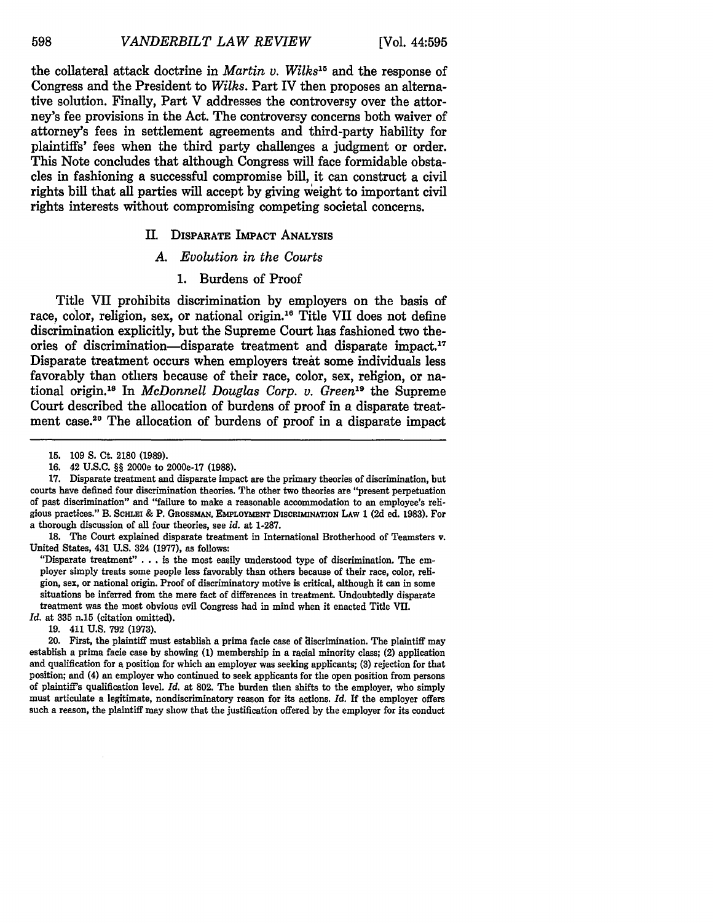the collateral attack doctrine in *Martin v. Wilks15* and the response of Congress and the President to *Wilks.* Part IV then proposes an alternative solution. Finally, Part V addresses the controversy over the attorney's fee provisions in the Act. The controversy concerns both waiver of attorney's fees in settlement agreements and third-party liability for plaintiffs' fees when the third party challenges a judgment or order. This Note concludes that although Congress will face formidable obstacles in fashioning a successful compromise bill, it can construct a civil rights bill that all parties will accept by giving veight to important civil rights interests without compromising competing societal concerns.

#### II. DISPARATE IMPACT ANALYSIS

#### *A. Evolution in the Courts*

# 1. Burdens of Proof

Title VII prohibits discrimination by employers on the basis of race, color, religion, sex, or national origin.<sup>16</sup> Title VII does not define discrimination explicitly, but the Supreme Court has fashioned two theories of discrimination-disparate treatment and disparate impact. **<sup>17</sup>** Disparate treatment occurs when employers treat some individuals less favorably than others because of their race, color, sex, religion, or national origin.<sup>18</sup> In *McDonnell Douglas Corp. v. Green*<sup>19</sup> the Supreme Court described the allocation of burdens of proof in a disparate treatment case.<sup>20</sup> The allocation of burdens of proof in a disparate impact

20. First, the plaintiff must establish a prima facie case of discrimination. The plaintiff may establish a prima facie case **by** showing **(1)** membership in a racial minority class; (2) application and qualification for a position for which an employer was seeking applicants; **(3)** rejection for that position; and (4) an employer who continued to seek applicants for the open position from persons of plaintiff's qualification level. *Id.* at **802.** The burden then shifts to the employer, who simply must articulate a legitimate, nondiscriminatory reason for its actions. *Id.* If the employer offers such a reason, the plaintiff may show that the justification offered **by** the employer for its conduct

598

**<sup>15. 109</sup> S.** Ct. **2180 (1989).**

**<sup>16.</sup>** 42 **U.S.C.** §§ 2000e to 2000e-17 **(1988).**

**<sup>17.</sup>** Disparate treatment and disparate impact are the primary theories of discrimination, but courts have defined four discrimination theories. The other two theories are "present perpetuation of past discrimination" and "failure to make a reasonable accommodation to an employee's religious practices." B. ScmHxi **&** P. GROssMAN, **EMPLOYMENT** DISCRIMINATION **LAW 1 (2d** ed. **1983).** For a thorough discussion of all four theories, see *id.* at **1-287.**

**<sup>18.</sup>** The Court explained disparate treatment in International Brotherhood of Teamsters v. United States, 431 **U.S.** 324 **(1977),** as follows:

<sup>&</sup>quot;Disparate treatment" **. . .** is the most easily understood type of discrimination. The em- ployer simply treats some people less favorably than others because of their race, color, religion, sex, or national origin. Proof of discriminatory motive is critical, although it can in some situations be inferred from the mere fact of differences in treatment. Undoubtedly disparate treatment was the most obvious evil Congress had in mind when it enacted Title **VII.**

*Id.* at **335** n.15 (citation omitted).

**<sup>19.</sup>** 411 **U.S. 792 (1973).**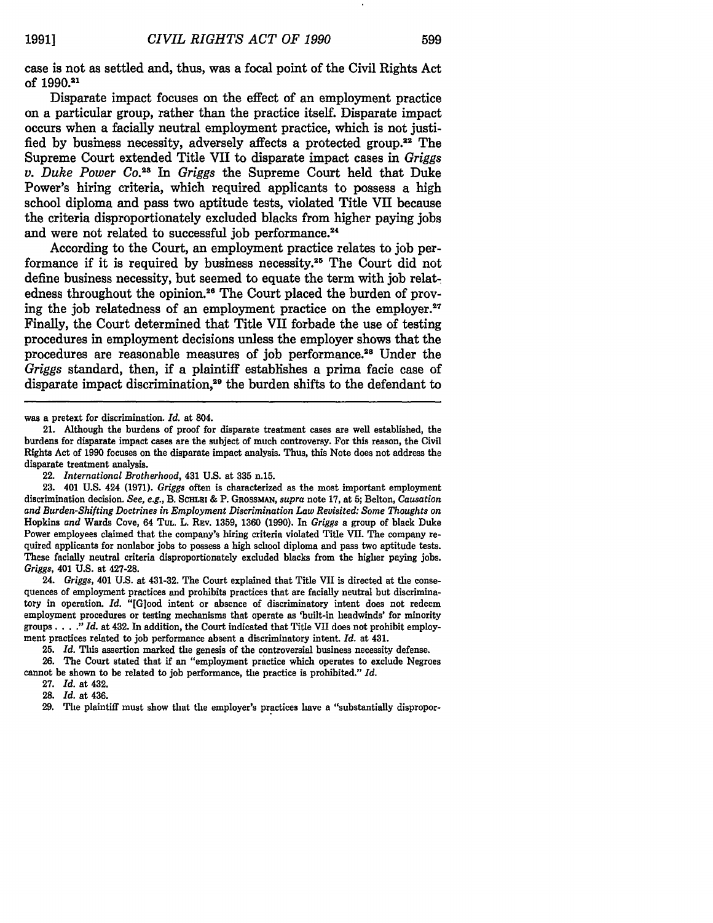case is not as settled and, thus, was a focal point of the Civil Rights Act **of** 1990.21

Disparate impact focuses on the effect of an employment practice on a particular group, rather than the practice itself. Disparate impact occurs when a facially neutral employment practice, which is not justified by business necessity, adversely affects a protected group.<sup>22</sup> The Supreme Court extended Title VII to disparate impact cases in *Griggs v. Duke Power Co. <sup>23</sup>In Griggs* the Supreme Court held that Duke Power's hiring criteria, which required applicants to possess a high school diploma and pass two aptitude tests, violated Title VII because the criteria disproportionately excluded blacks from higher paying jobs and were not related to successful job performance.<sup>24</sup>

According to the Court, an employment practice relates to **job** performance if it is required **by** business necessity. 25 The Court did not define business necessity, but seemed to equate the term with **job** relatedness throughout the opinion.<sup>26</sup> The Court placed the burden of proving the job relatedness of an employment practice on the employer.<sup>27</sup> Finally, the Court determined that Title VII forbade the use of testing procedures in employment decisions unless the employer shows that the procedures are reasonable measures of *job* performance.<sup>28</sup> Under the *Griggs* standard, then, if a plaintiff establishes a prima facie case of disparate impact discrimination,<sup>29</sup> the burden shifts to the defendant to

24. *Griggs,* 401 U.S. at 431-32. The Court explained that Title VII is directed at the consequences of employment practices and prohibits practices that are facially neutral but discriminatory in operation. *Id.* "[Glood intent or absence of discriminatory intent does not redeem employment procedures or testing mechanisms that operate as 'built-in headwinds' for minority groups ... **."** *Id.* at 432. In addition, the Court indicated that Title VII does not prohibit employment practices related to **job** performance absent a discriminatory intent. *Id.* at 431.

25. *Id.* This assertion marked the genesis of the controversial business necessity defense. 26. The Court stated that if an "employment practice which operates to exclude Negroes cannot be shown to be related to job performance, the practice is prohibited." *Id.*

27. *Id.* at 432. Id. at 436.

was a pretext **for** discrimination. *Id.* at 804.

<sup>21.</sup> Although the burdens of proof for disparate treatment cases are well established, the burdens for disparate impact cases are the subject of much controversy. For this reason, the Civil Rights Act of 1990 focuses on the disparate impact analysis. Thus, this Note does not address the disparate treatment analysis.

<sup>22.</sup> *International Brotherhood,* 431 U.S. at 335 n.15.

<sup>23. 401</sup> U.S. 424 **(1971).** *Griggs* often is characterized as the most important employment discrimination decision. *See, e.g.,* B. ScHLEi & P. GRossmAN, *supra* note 17, at 5; Belton, *Causation and Burden-Shifting Doctrines in Employment Discrimination Law Revisited: Some Thoughts on* Hopkins *and* Wards Cove, 64 TuL. L. REv. 1359, 1360 (1990). In *Griggs* a group of black Duke Power employees claimed that the company's hiring criteria violated Title VII. The company required applicants for nonlabor jobs to possess a high school diploma and pass two aptitude tests. These facially neutral criteria disproportionately excluded blacks from the higher paying jobs. *Griggs,* 401 U.S. at 427-28.

<sup>29.</sup> The plaintiff must show that the employer's practices have a "substantially dispropor-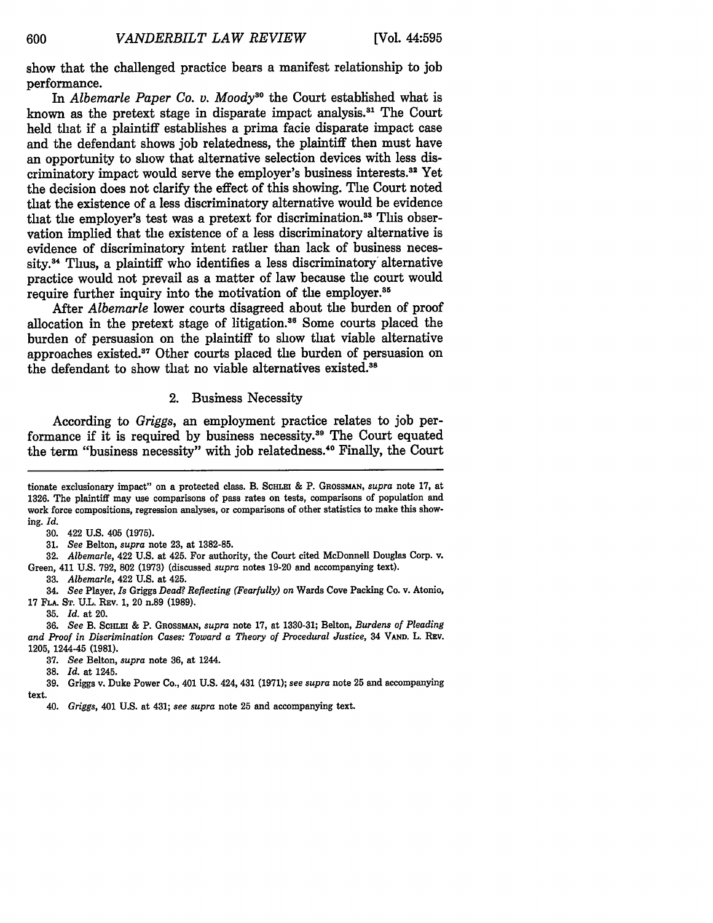show that the challenged practice bears a manifest relationship to **job** performance.

In *Albemarle Paper Co. v. Moody*<sup>30</sup> the Court established what is known as the pretext stage in disparate impact analysis.3' The Court held that if a plaintiff establishes a prima facie disparate impact case and the defendant shows **job** relatedness, the plaintiff then must have an opportunity to show that alternative selection devices with less discriminatory impact would serve the employer's business interests.<sup>32</sup> Yet the decision does not clarify the effect of this showing. The Court noted that the existence of a less discriminatory alternative would be evidence that the employer's test was a pretext for discrimination.<sup>33</sup> This observation implied that the existence of a less discriminatory alternative is evidence of discriminatory intent rather than lack of business necessity.<sup>34</sup> Thus, a plaintiff who identifies a less discriminatory alternative practice would not prevail as a matter of law because the court would require further inquiry into the motivation of the employer.<sup>35</sup>

After *Albemarle* lower courts disagreed about the burden of proof allocation in the pretext stage of litigation." Some courts placed the burden of persuasion on the plaintiff to show that viable alternative approaches existed.<sup>37</sup> Other courts placed the burden of persuasion on the defendant to show that no viable alternatives existed.<sup>38</sup>

#### 2. Business Necessity

According to *Griggs,* an employment practice relates to job performance if it is required by business necessity.<sup>39</sup> The Court equated the term "business necessity" with job relatedness. 40 Finally, the Court

31. *See* Belton, *supra* note 23, at 1382-85.

32. *Albemarle,* 422 U.S. at 425. For authority, the Court cited McDonnell Douglas Corp. v. Green, 411 U.S. 792, 802 (1973) (discussed *supra* notes 19-20 and accompanying text).

**33.** *Albemarle,* 422 U.S. at 425.

34. *See* Player, *Is* Griggs *Dead? Reflecting (Fearfully) on* Wards Cove Packing Co. v. Atonio, 17 **FLA. ST.** U.L. REv. 1, 20 n.89 (1989).

**35.** *Id.* at 20.

36. *See* B. **SCHLEI** & P. **GROssMAN,** *supra* note 17, at 1330-31; Belton, *Burdens of Pleading and Proof in Discrimination Cases: Toward a Theory of Procedural Justice,* **34 VAND. L. REv. 1205, 1244-45 (1981).**

**37.** *See* Belton, *supra* note **36, at 1244.**

**38.** *Id.* at 1245.

**39.** Griggs v. Duke Power Co., 401 **U.S.** 424, 431 **(1971);** *see supra* note **25** and accompanying **text.**

tionate exclusionary impact" on a protected class. B. SCHLEI & P. GROSSMAN, *supra* note 17, at 1326. The plaintiff may use comparisons of pass rates on tests, comparisons of population and work force compositions, regression analyses, or comparisons of other statistics to make this showing. *Id.*

<sup>30. 422</sup> U.S. 405 (1975).

<sup>40.</sup> *Griggs,* 401 **U.S.** at 431; *see supra* note **25** and accompanying text.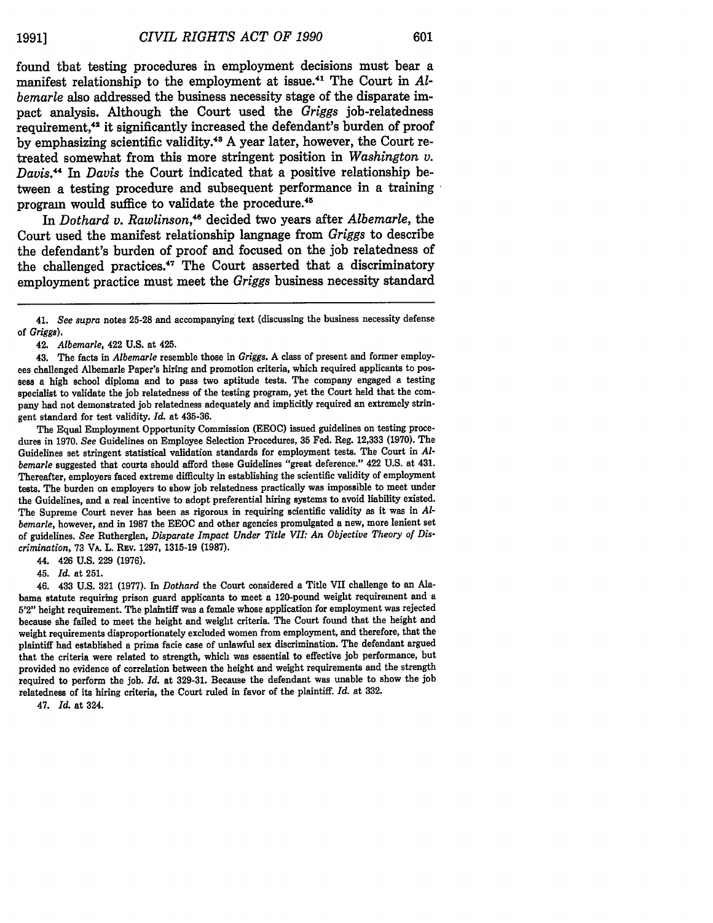601

found that testing procedures in employment decisions must bear a manifest relationship to the employment at issue.<sup>41</sup> The Court in Al*bemarle* also addressed the business necessity stage of the disparate impact analysis. Although the Court used the *Griggs* job-relatedness requirement,42 it significantly increased the defendant's burden of proof **by** emphasizing scientific validity.43 **A** year later, however, the Court retreated somewhat from this more stringent position in *Washington v. Davis.44* In *Davis* the Court indicated that a positive relationship between a testing procedure and subsequent performance in a training program would suffice to validate the procedure.<sup>45</sup>

In *Dothard v. Rawlinson,'46* decided two years after *Albemarle,* the Court used the manifest relationship language from *Griggs* to describe the defendant's burden of proof and focused on the **job** relatedness of the challenged practices.<sup>47</sup> The Court asserted that a discriminatory employment practice must meet the *Griggs* business necessity standard

42. *Albemarle,* 422 **U.S.** at 425.

43. The facts in *Albemarle* resemble those in *Griggs.* A class of present and former employ**ees** challenged Albemarle Paper's hiring and promotion criteria, which required applicants to posseas a high school diploma and to pass two aptitude tests. The company engaged a testing specialist to validate the **job** relatedness of the testing program, yet the Court held that the company had not demonstrated **job** relatedness adequately and implicitly required an extremely stringent standard for test validity. *Id.* at **435-36.**

The Equal Employment Opportunity Commission **(EEOC)** issued guidelines on testing procedures in **1970.** *See* Guidelines on Employee Selection Procedures, 35 Fed. Reg. 12,333 **(1970).** The Guidelines set stringent statistical validation standards for employment tests. The Court in *Albemarle* suggested that courts should afford these Guidelines "great deference." 422 **U.S.** at 431. Thereafter, employers faced extreme difficulty in establishing the scientific validity of employment tests. The burden on employers to show **job** relatedness practically was impossible to meet under the Guidelines, and a real incentive to adopt preferential hiring systems to avoid liability existed. The Supreme Court never has been as rigorous in requiring scientific validity as it was in *Albemarle,* however, and in **1987** the EEOC and other agencies promulgated a new, more lenient set of guidelines. *See* Rutherglen, *Disparate Impact Under Title VII: An Objective Theory of Discrimination,* 73 VA. L. REv. 1297, 1315-19 (1987).

44. 426 **U.S.** 229 **(1976).**

45. *Id.* at 251.

46. 433 U.S. 321 (1977). In *Dothard* the Court considered a Title VII challenge to an Alabama statute requiring prison guard applicants to meet a 120-pound weight requirement and a 5'2" height requirement. The plaintiff was a female whose application for employment was rejected because she failed to meet the height and weight criteria. The Court found that the height and weight requirements disproportionately excluded women from employment, and therefore, that the plaintiff had established a prima facie case of unlawful sex discrimination. The defendant argued that the criteria were related to strength, which was essential to effective job performance, but provided no evidence of correlation between the height and weight requirements and the strength required to perform the job. *Id.* at 329-31. Because the defendant was unable to show the **job** relatedness of its hiring criteria, the Court ruled in favor of the plaintiff. *Id.* at 332.

47. *Id.* at 324.

<sup>41.</sup> *See supra* notes 25-28 and accompanying text (discussing the business necessity defense of *Griggs).*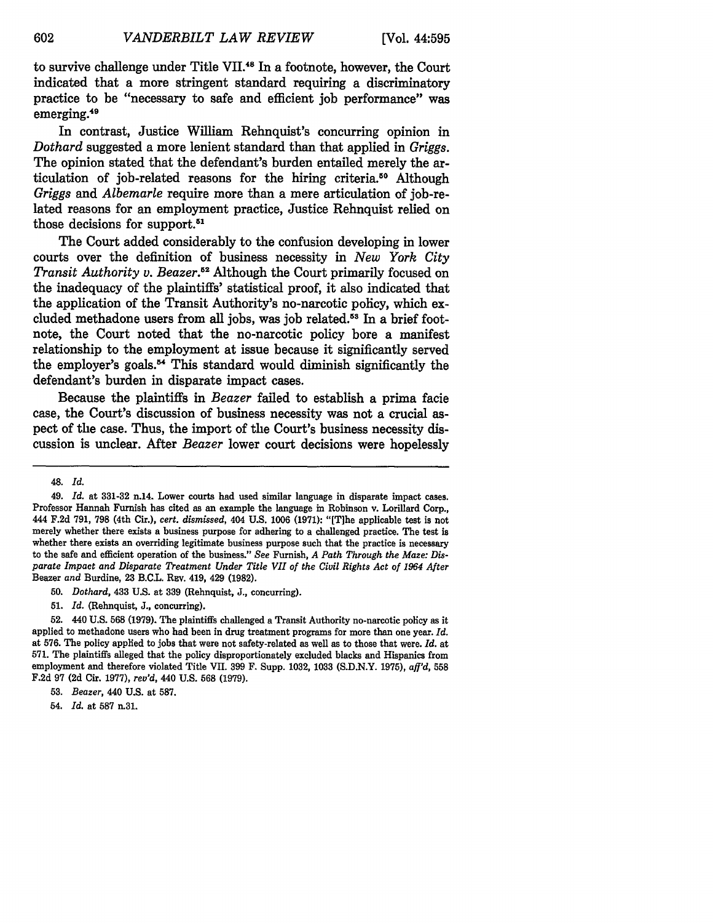to survive challenge under Title VII.48 In a footnote, however, the Court indicated that a more stringent standard requiring a discriminatory practice to be "necessary to safe and efficient job performance" was emerging.<sup>49</sup>

In contrast, Justice William Rehnquist's concurring opinion in *Dothard* suggested a more lenient standard than that applied in *Griggs.* The opinion stated that the defendant's burden entailed merely the articulation of job-related reasons for the hiring criteria.<sup>50</sup> Although *Griggs* and *Albemarle* require more than a mere articulation of job-related reasons for an employment practice, Justice Rehnquist relied on those decisions for support.<sup>51</sup>

The Court added considerably to the confusion developing in lower courts over the definition of business necessity in *New York City Transit Authority v. Beazer.52* Although the Court primarily focused on the inadequacy of the plaintiffs' statistical proof, it also indicated that the application of the Transit Authority's no-narcotic policy, which excluded methadone users from all jobs, was job related.<sup>53</sup> In a brief footnote, the Court noted that the no-narcotic policy bore a manifest relationship to the employment at issue because it significantly served the employer's goals.<sup>54</sup> This standard would diminish significantly the defendant's burden in disparate impact cases.

Because the plaintiffs in *Beazer* failed to establish a prima facie case, the Court's discussion of business necessity was not a crucial aspect of the case. Thus, the import of the Court's business necessity discussion is unclear. After *Beazer* lower court decisions were hopelessly

<sup>48.</sup> *Id.*

<sup>49.</sup> *Id.* at 331-32 n.14. Lower courts had used similar language in disparate impact cases. Professor Hannah Furnish has cited as an example the language in Robinson v. Lorillard Corp., 444 F.2d 791, **798** (4th Cir.), *cert. dismissed,* 404 U.S. 1006 (1971): "[T]he applicable test is not merely whether there exists a business purpose for adhering to a challenged practice. The test is whether there exists an overriding legitimate business purpose such that the practice is necessary to the safe and efficient operation of the business." *See* Furnish, *A Path Through the Maze: Disparate Impact and Disparate Treatment Under Title VII of the Civil Rights Act of 1964 After* Beazer *and* Burdine, 23 B.C.L. Rav. 419, 429 (1982).

**<sup>50.</sup>** *Dothard,* 433 U.S. at **339** (Rehnquist, J., concurring).

<sup>51.</sup> *Id.* (Rehnquist, J., concurring).

<sup>52. 440</sup> U.S. **568** (1979). The plaintiffs challenged a Transit Authority no-narcotic policy as it applied to methadone users who had been in drug treatment programs for more than one year. *Id.* at 576. The policy applied to jobs that were not safety-related as well as to those that were. *Id.* at 571. The plaintiffs alleged that the policy disproportionately excluded blacks and Hispanics from employment and therefore violated Title VII. 399 F. Supp. 1032, 1033 (S.D.N.Y. 1975), *afl'd,* **558** F.2d 97 (2d Cir. 1977), *rev'd, 440* U.S. **568** (1979).

**<sup>53.</sup>** *Beazer,* 440 U.S. at 587.

<sup>54.</sup> *Id.* at 587 n.31.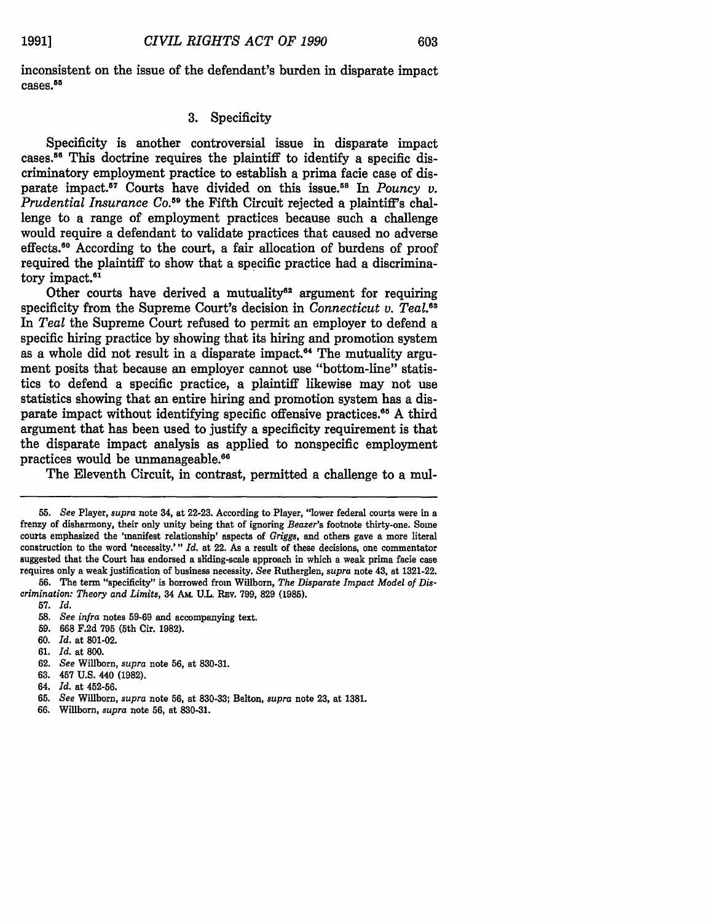inconsistent on the issue of the defendant's burden in disparate impact cases. 55

# **3.** Specificity

Specificity is another controversial issue in disparate impact cases.<sup>56</sup> This doctrine requires the plaintiff to identify a specific discriminatory employment practice to establish a prima facie case of disparate impact.<sup>57</sup> Courts have divided on this issue.<sup>58</sup> In *Pouncy v. Prudential Insurance Co.59* the Fifth Circuit rejected a plaintiff's challenge to a range of employment practices because such a challenge would require a defendant to validate practices that caused no adverse effects.60 According to the court, a fair allocation of burdens of proof required the plaintiff to show that a specific practice had a discriminatory impact. $61$ 

Other courts have derived a mutuality<sup>62</sup> argument for requiring specificity from the Supreme Court's decision in *Connecticut v. Teal."* In *Teal* the Supreme Court refused to permit an employer to defend a specific hiring practice **by** showing that its hiring and promotion system as a whole did not result in a disparate impact.<sup> $64$ </sup> The mutuality argument posits that because an employer **cannot** use "bottom-line" statistics to defend a specific practice, a plaintiff likewise may not use statistics showing that an entire hiring and promotion system has a disparate impact without identifying specific offensive practices.<sup>65</sup> A third argument that has been used to justify a specificity requirement is that the disparate impact analysis as applied to nonspecific employment practices would be unmanageable.<sup>66</sup>

The Eleventh Circuit, in contrast, permitted a challenge to a mul-

**57.** *Id.*

**61.** *Id.* at **800.**

**<sup>55.</sup>** *See* Player, *supra* note 34, at **22-23.** According to Player, "lower federal courts were in a frenzy of disharmony, their only unity being that of ignoring *Beazer's* footnote thirty-one. Some courts emphasized the 'manifest relationship' aspects of *Griggs,* and others gave a more literal construction to the word 'necessity.'" *Id.* at 22. As a result of these decisions, one commentator suggested that the Court has endorsed a sliding-scale approach in which a weak prima facie case requires only a weak justification of business necessity. *See* Rutherglen, *supra* note 43, at **1321-22.**

**<sup>56.</sup>** The term "specificity" is borrowed from Willborn, *The Disparate Impact Model of Discrimination: Theory and Limits,* 34 **Am. U.L. REv. 799, 829 (1985).**

**<sup>58.</sup>** *See infra* notes **59-69** and accompanying **text.**

**<sup>59. 668</sup> F.2d 795** (5th Cir. **1982).**

**<sup>60.</sup>** *Id.* at **801-02.**

**<sup>62.</sup>** *See* **Willborn,** *supra* note **56,** at **830-31.**

**<sup>63.</sup>** 457 **U.S.** 440 **(1982).**

<sup>64.</sup> *Id.* at **452-56.**

**<sup>65.</sup>** *See* **Willbor,** *supra* note **56,** at **830-33;** Belton, *supra* note **23,** at **1381.**

**<sup>66.</sup> Willborn,** *supra* note **56,** at **830-31.**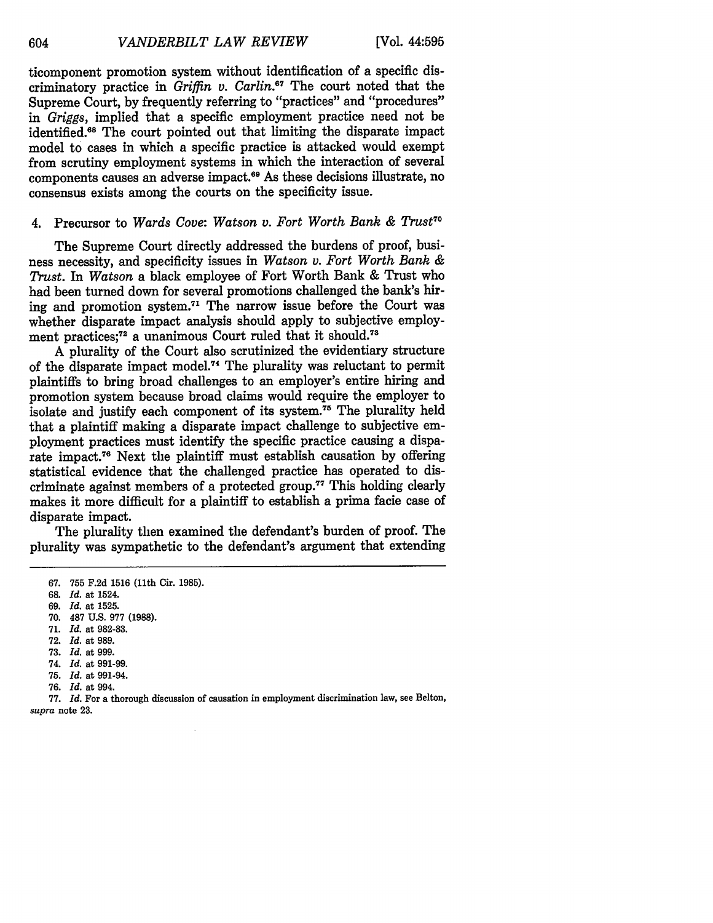ticomponent promotion system without identification of a specific discriminatory practice in *Griffin v. Carlin.*<sup>67</sup> The court noted that the Supreme Court, by frequently referring to "practices" and "procedures" *in Griggs,* implied that a specific employment practice need not be identified.<sup>68</sup> The court pointed out that limiting the disparate impact model to cases in which a specific practice is attacked would exempt from scrutiny employment systems in which the interaction of several components causes an adverse impact.<sup>69</sup> As these decisions illustrate, no consensus exists among the courts on the specificity issue.

# 4. Precursor to Wards Cove: Watson v. Fort Worth Bank & Trust<sup>70</sup>

The Supreme Court directly addressed the burdens of proof, business necessity, and specificity issues in *Watson v. Fort Worth Bank & Trust. In Watson* a black employee of Fort Worth Bank & Trust who had been turned down for several promotions challenged the bank's hiring and promotion system.<sup>71</sup> The narrow issue before the Court was whether disparate impact analysis should apply to subjective employment practices;<sup>72</sup> a unanimous Court ruled that it should.<sup>73</sup>

A plurality of the Court also scrutinized the evidentiary structure of the disparate impact model. 4 The plurality was reluctant to permit plaintiffs to bring broad challenges to an employer's entire hiring and promotion system because broad claims would require the employer to isolate and justify each component of its system.<sup>75</sup> The plurality held that a plaintiff making a disparate impact challenge to subjective employment practices must identify the specific practice causing a disparate impact.78 Next the plaintiff must establish causation by offering statistical evidence that the challenged practice has operated to discriminate against members of a protected group.<sup>77</sup> This holding clearly makes it more difficult for a plaintiff to establish a prima facie case of disparate impact.

The plurality then examined the defendant's burden of proof. The plurality was sympathetic to the defendant's argument that extending

- 70. 487 U.S. 977 (1988). 71. *Id.* at 982-83.
- 72. *Id.* at 989.
- **73.** *Id.* at 999.
- 74. *Id.* at 991-99.
- 75. *Id.* at 991-94.
- 76. *Id.* at 994.

**77.** *Id.* For a thorough discussion of causation in employment discrimination law, see Belton, *supra* note 23.

**<sup>67.</sup>** 755 F.2d 1516 (11th Cir. 1985).

**<sup>68.</sup>** *Id.* at 1524.

<sup>69.</sup> *Id.* at 1525.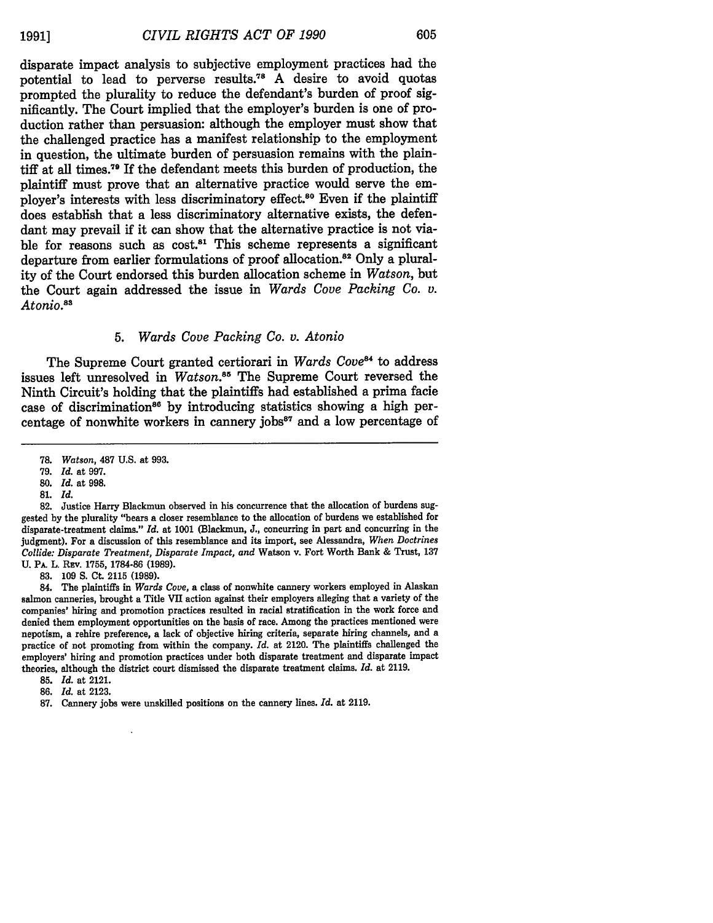disparate impact analysis to subjective employment practices had the potential to lead to perverse results."8 A desire to avoid quotas prompted the plurality to reduce the defendant's burden of proof significantly. The Court implied that the employer's burden is one of production rather than persuasion: although the employer must show that the challenged practice has a manifest relationship to the employment in question, the ultimate burden of persuasion remains with the plaintiff at all times.<sup>79</sup> If the defendant meets this burden of production, the plaintiff must prove that an alternative practice would serve the employer's interests with less discriminatory effect.<sup>80</sup> Even if the plaintiff does establish that a less discriminatory alternative exists, the defendant may prevail if it can show that the alternative practice is not viable for reasons such as cost.<sup>81</sup> This scheme represents a significant departure from earlier formulations of proof allocation.<sup>82</sup> Only a plurality of the Court endorsed this burden allocation scheme in *Watson,* but the Court again addressed the issue in *Wards Cove Packing Co. v.* Atonio.<sup>88</sup>

# *5. Wards Cove Packing Co. v. Atonio*

The Supreme Court granted certiorari in *Wards Cove*<sup>84</sup> to address issues left unresolved in *Watson.s5* The Supreme Court reversed the Ninth Circuit's holding that the plaintiffs had established a prima facie case of discrimination<sup>86</sup> by introducing statistics showing a high percentage of nonwhite workers in cannery jobs $\alpha$ <sup>87</sup> and a low percentage of

**83.** 109 **S.** Ct. 2115 (1989).

84. The plaintiffs in *Wards Cove,* a class of nonwhite cannery workers employed in Alaskan salmon canneries, brought a Title VII action against their employers alleging that a variety of the companies' hiring and promotion practices resulted in racial stratification in the work force and denied them employment opportunities on the basis of race. Among the practices mentioned were nepotism, a rehire preference, a lack of objective hiring criteria, separate hiring channels, and a practice of not promoting from within the company. *Id.* at 2120. The plaintiffs challenged the employers' hiring and promotion practices under both disparate treatment and disparate impact theories, although the district court dismissed the disparate treatment claims. *Id.* at 2119.

- **85.** *Id.* at 2121.
- **86.** *Id.* at 2123.
- **87.** Cannery jobs were unskilled positions on the cannery lines. *Id.* at 2119.

**<sup>78.</sup>** *Watson,* 487 U.S. at 993.

<sup>79.</sup> *Id.* at 997.

<sup>80.</sup> *Id.* at 998.

**<sup>81.</sup>** *Id.*

**<sup>82.</sup>** Justice Harry Blackmun observed in his concurrence that the allocation of burdens suggested by the plurality "bears a closer resemblance to the allocation of burdens we established for disparate-treatment claims." *Id.* at 1001 (Blackmun, J., concurring in part and concurring in the judgment). For a discussion of this resemblance and its import, see Alessandra, *When Doctrines Collide: Disparate Treatment, Disparate Impact, and* Watson v. Fort Worth Bank & Trust, 137 U. **PA.** L. REv. **1755, 1784-86 (1989).**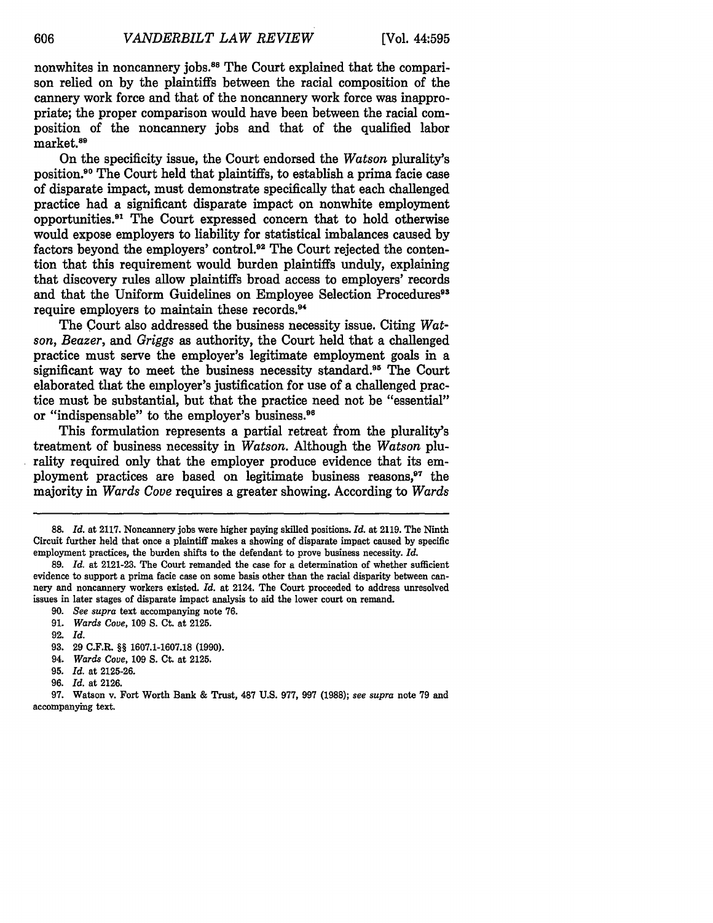nonwhites in noncannery jobs.<sup>88</sup> The Court explained that the comparison relied on **by** the plaintiffs between the racial composition of the cannery work force and that of the noncannery work force was inappropriate; the proper comparison would have been between the racial composition of the noncannery jobs and that of the qualified labor market.<sup>89</sup>

On the specificity issue, the Court endorsed the *Watson* plurality's position.90 The Court held that plaintiffs, to establish a prima facie case of disparate impact, must demonstrate specifically that each challenged practice had a significant disparate impact on nonwhite employment opportunities.<sup>91</sup> The Court expressed concern that to hold otherwise would expose employers to liability for statistical imbalances caused **by** factors beyond the employers' control.92 The Court rejected the contention that this requirement would burden plaintiffs unduly, explaining that discovery rules allow plaintiffs broad access to employers' records and that the Uniform Guidelines on Employee Selection Procedures<sup>93</sup> require employers to maintain these records.<sup>94</sup>

The Court also addressed the business necessity issue. Citing *Watson, Beazer, and Griggs* as authority, the Court held that a challenged practice must serve the employer's legitimate employment goals in a significant way to meet the business necessity standard.<sup>95</sup> The Court elaborated that the employer's justification for use of a challenged practice must be substantial, but that the practice need not be "essential" or "indispensable" to the employer's business.96

This formulation represents a partial retreat from the plurality's treatment of business necessity in *Watson.* Although the *Watson* plurality required only that the employer produce evidence that its employment practices are based on legitimate business reasons,<sup>97</sup> the majority in *Wards Cove* requires a greater showing. According to *Wards*

- **92.** *Id.*
- **93. 29** C.F.R. §§ **1607.1-1607.18 (1990).**
- 94. *Wards Cove,* **109 S.** Ct. at **2125.**
- **95.** *Id.* at **2125-26.**
- **96.** *Id.* at **2126.**

**97.** Watson v. Fort Worth Bank **&** Trust, **487 U.S. 977, 997 (1988);** *see supra* note **79** and accompanying text.

**<sup>88.</sup>** *Id.* at **2117.** Noncannery jobs were higher paying skilled positions. *Id.* at **2119.** The Ninth Circuit further held that once a plaintiff makes a showing of disparate impact caused **by** specific employment practices, the burden shifts to the defendant to prove business necessity. *Id.*

**<sup>89.</sup>** *Id.* at **2121-23.** The Court remanded the case for a determination of whether sufficient evidence to support a prima facie case on some basis other than the racial disparity between cannery and noncannery workers existed. *Id.* at 2124. The Court proceeded to address unresolved issues in later stages of disparate impact analysis to aid the lower court on remand.

**<sup>90.</sup>** *See supra* text accompanying note **76.**

**<sup>91.</sup>** *Wards Cove,* **109 S.** Ct. at **2125.**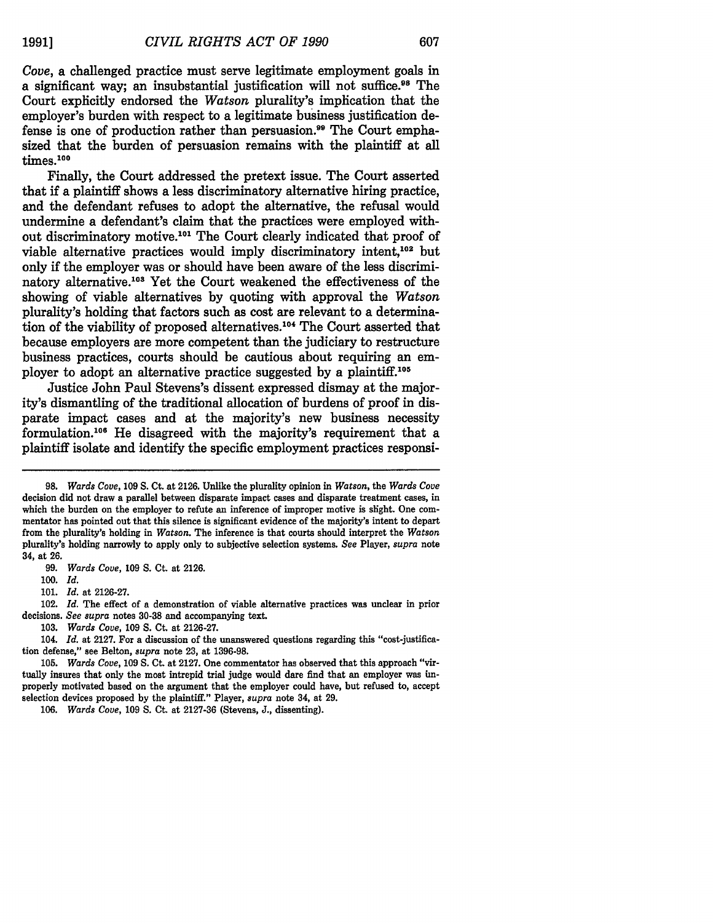*Cove,* a challenged practice must serve legitimate employment goals in a significant way; an insubstantial justification will not suffice.<sup>98</sup> The Court explicitly endorsed the *Watson* plurality's implication that the employer's burden with respect to a legitimate business justification defense is one of production rather than persuasion."9 The Court emphasized that the burden of persuasion remains with the plaintiff at all times.100

Finally, the Court addressed the pretext issue. The Court asserted that if a plaintiff shows a less discriminatory alternative hiring practice, and the defendant refuses to adopt the alternative, the refusal would undermine a defendant's claim that the practices were employed without discriminatory motive. 101 The Court clearly indicated that proof of viable alternative practices would imply discriminatory intent,<sup>102</sup> but only if the employer was or should have been aware of the less discriminatory alternative.<sup>108</sup> Yet the Court weakened the effectiveness of the showing of viable alternatives **by** quoting with approval the *Watson* plurality's holding that factors such as cost are relevant to a determination of the viability of proposed alternatives.104 The Court asserted that because employers are more competent than the judiciary to restructure business practices, courts should be cautious about requiring an employer to adopt an alternative practice suggested by a plaintiff.<sup>105</sup>

Justice John Paul Stevens's dissent expressed dismay at the majority's dismantling of the traditional allocation of burdens of proof in disparate impact cases and at the majority's new business necessity formulation.106 He disagreed with the majority's requirement that a plaintiff isolate and identify the specific employment practices responsi-

99. *Wards Cove,* 109 **S.** Ct. at 2126.

*100. Id.*

101. *Id.* at 2126-27.

102. *Id.* The effect of a demonstration of viable alternative practices was unclear in prior decisions. *See supra* notes 30-38 and accompanying text.

103. *Wards Cove,* 109 **S.** Ct. at 2126-27.

104. *Id.* at 2127. For a discussion of the unanswered questions regarding this "cost-justification defense," see Belton, *supra* note 23, at 1396-98.

**<sup>98.</sup>** *Wards Cove,* **109 S.** Ct. at **2126.** Unlike the plurality opinion in *Watson,* the *Wards Cove* decision did not draw a parallel between disparate impact cases and disparate treatment cases, in which the burden on the employer to refute an inference of improper motive is slight. One commentator has pointed out that this silence is significant evidence of the majority's intent to depart from the plurality's holding in *Watson.* The inference is that courts should interpret the *Watson* plurality's holding narrowly to apply only to subjective selection systems. *See* Player, *supra* note 34, at 26.

<sup>105.</sup> *Wards Cove,* 109 **S.** Ct. at 2127. One commentator has observed that this approach "virtually insures that only the most intrepid trial judge would dare find that an employer was improperly motivated based on the argument that the employer could have, but refused to, accept selection devices proposed by the plaintiff." Player, *supra* note 34, at 29.

*<sup>106.</sup> Wards Cove,* 109 **S.** Ct. at 2127-36 (Stevens, J., dissenting).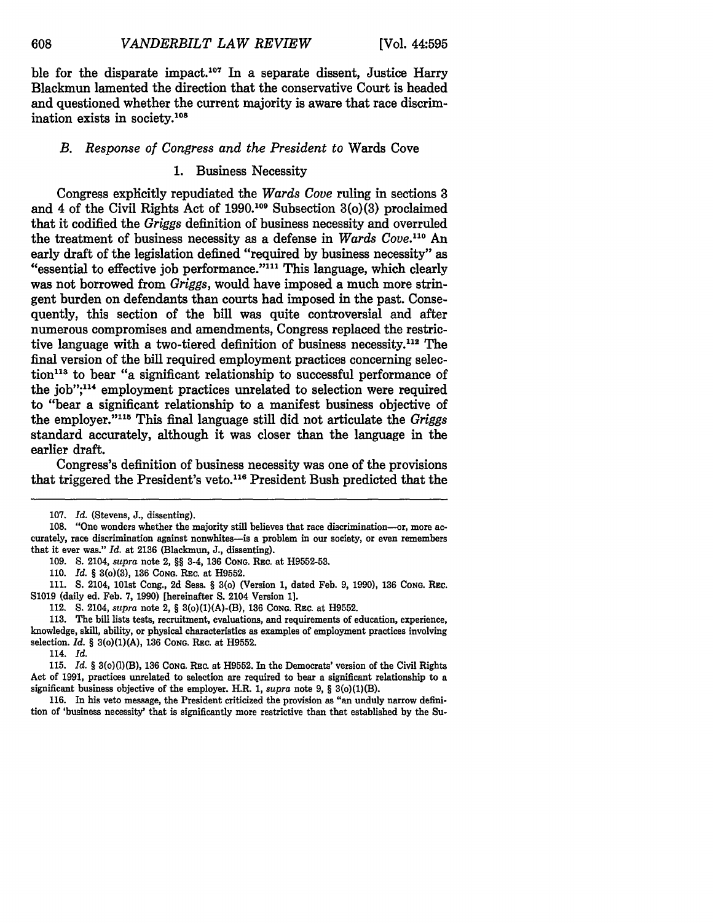ble for the disparate impact.<sup>107</sup> In a separate dissent, Justice Harry Blackmun lamented the direction that the conservative Court is headed and questioned whether the current majority is aware that race discrimination exists in society.108

# *B. Response of Congress and the President to* Wards Cove

# 1. Business Necessity

Congress explicitly repudiated the *Wards Cove* ruling in sections 3 and 4 of the Civil Rights Act of 1990.109 Subsection 3(o)(3) proclaimed that it codified the *Griggs* definition of business necessity and overruled the treatment of business necessity as a defense in *Wards Cove.110* An early draft of the legislation defined "required by business necessity" as "essential to effective job performance."<sup>111</sup> This language, which clearly was not borrowed from *Griggs,* would have imposed a much more stringent burden on defendants than courts had imposed in the past. Consequently, this section of the bill was quite controversial and after numerous compromises and amendments, Congress replaced the restrictive language with a two-tiered definition of business necessity.112 The final version of the bill required employment practices concerning selection<sup>113</sup> to bear "a significant relationship to successful performance of the job";<sup>114</sup> employment practices unrelated to selection were required to "bear a significant relationship to a manifest business objective of the employer."1 5 This final language still did not articulate the *Griggs* standard accurately, although it was closer than the language in the earlier draft.

Congress's definition of business necessity was one of the provisions that triggered the President's veto.<sup>116</sup> President Bush predicted that the

**111. S.** 2104, 101st Cong., **2d** Sess. § 3(o) (Version **1,** dated Feb. **9, 1990), 136 CONG.** REc. **S1019** (daily ed. Feb. **7, 1990)** [hereinafter **S.** 2104 **Version 1].**

112. **S.** 2104, *supra* note 2, § 3(o)(1)(A)-(B), **136 CONG.** REc. at **H9552.**

**113.** The bill lists tests, recruitment, evaluations, and requirements of education, experience, knowledge, skill, ability, or physical characteristics as examples of employment practices involving selection. *Id.* § 3(o)(1)(A), **136 CONG.** Rsc. at **H9552.**

114. *Id.*

**116.** In his veto message, the President criticized the provision as "an unduly narrow definition of 'business necessity' that is significantly more restrictive than that established **by** the Su-

**<sup>107.</sup>** *Id.* (Stevens, **J.,** dissenting).

**<sup>108.</sup>** "One wonders whether the majority still believes that race discrimination-or, more accurately, race discrimination against nonwhites-is a problem in our society, or even remembers that it ever was." *Id.* at **2136** (Blackmun, **J.,** dissenting).

**<sup>109.</sup> S.** 2104, *supra* note 2, §§ 3-4, **136 CONG.** REc. at **H9552-53.**

**<sup>110.</sup>** *Id.* § 3(o)(3), 136 **CONG.** Rc. at **H9552.**

**<sup>115.</sup>** *Id.* § 3(o)(1)(B), 136 **CONG.** REc. at **H9552.** In the Democrats' version of the Civil Rights Act of **1991,** practices unrelated to selection are required to bear a significant relationship to a significant business objective of the employer. H.R. **1,** *supra* note **9,** § 3(o)(1)(B).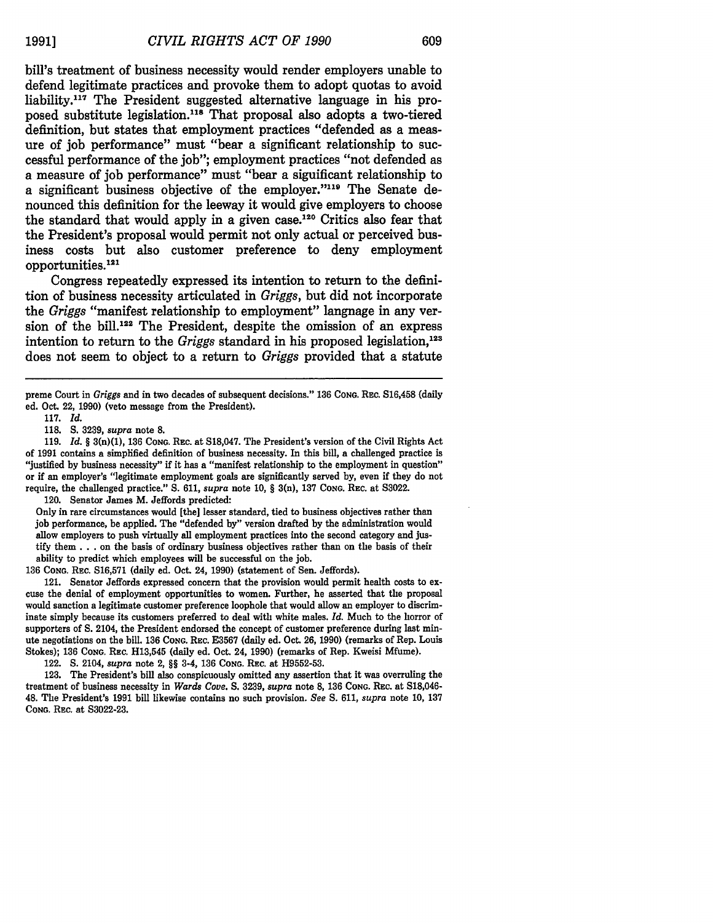bill's treatment of business necessity would render employers unable to defend legitimate practices and provoke them to adopt quotas to avoid liability.117 The President suggested alternative language in his proposed substitute legislation."" That proposal also adopts a two-tiered definition, but states that employment practices "defended as a measure of **job** performance" must "bear a significant relationship to successful performance of the **job";** employment practices "not defended as **a** measure of **job** performance" must "bear a significant relationship to **a** significant business objective of the employer."""' The Senate denounced this definition for the leeway it would give employers to choose the standard that would apply in a given case.<sup>120</sup> Critics also fear that the President's proposal would permit not only actual or perceived business costs but also customer preference to deny employment opportunities.<sup>121</sup>

Congress repeatedly expressed its intention to return to the definition of business necessity articulated in *Griggs,* but did not incorporate the *Griggs* "manifest relationship to employment" language in any version of the bill.<sup>122</sup> The President, despite the omission of an express intention to return to the *Griggs* standard in his proposed legislation,<sup>123</sup> does not seem to object to a return to *Griggs* provided that a statute

preme Court in *Griggs* and in two decades of subsequent decisions." 136 CONG. REC. S16,458 (daily ed. Oct. 22, 1990) (veto message from the President).

117. *Id.*

**118.** S. 3239, *supra* note **8.**

119. *Id. §* 3(n)(1), **136** CONG. REC. at S18,047. The President's version of the Civil Rights Act of **1991** contains a simplified definition of business necessity. In this bill, a challenged practice is "justified by business necessity" **if** it has a "manifest relationship to the employment in question" or if an employer's "legitimate employment goals are significantly served by, even if they do not require, the challenged practice." S. 611, *supra* note **10,** § 3(n), 137 **CONG.** REc. at **S3022.**

120. Senator James M. Jeffords predicted:

Only in rare circumstances would [the] lesser standard, tied to business objectives rather than **job** performance, be applied. The "defended by" version drafted by the administration would allow employers to push virtually all employment practices into the second category and justify them.., on the basis of ordinary business objectives rather than on the basis of their ability to predict which employees will be successful on the job.

136 **CONG.** REC. S16,571 (daily ed. Oct. 24, 1990) (statement of Sen. Jeffords).

121. Senator Jeffords expressed concern that the provision would permit health costs to excuse the denial of employment opportunities to women. Further, he asserted that the proposal would sanction a legitimate customer preference loophole that would allow an employer to discriminate simply because its customers preferred to deal with white males. *Id.* Much to the horror of supporters of **S.** 2104, the President endorsed the concept of customer preference during last minute negotiations on the bill. **136 CONG.** REc. E3567 (daily ed. Oct. 26, 1990) (remarks of Rep. Louis Stokes); 136 **CONG.** Rc. H13,545 (daily ed. Oct. 24, 1990) (remarks of Rep. Kweisi Mfume).

122. **S.** 2104, *supra* note 2, *§§* 3-4, 136 **CONG.** Rac. at H9552-53.

123. The President's bill also conspicuously omitted any assertion that it was overruling the treatment of business necessity in *Wards Cove. S.* 3239, *supra* note **8, 136 CONG.** REc. at S18,046- 48. The President's 1991 bill likewise contains no such provision. *See S.* 611, *supra* note 10, 137 **CONG.** REc. at **S3022-23.**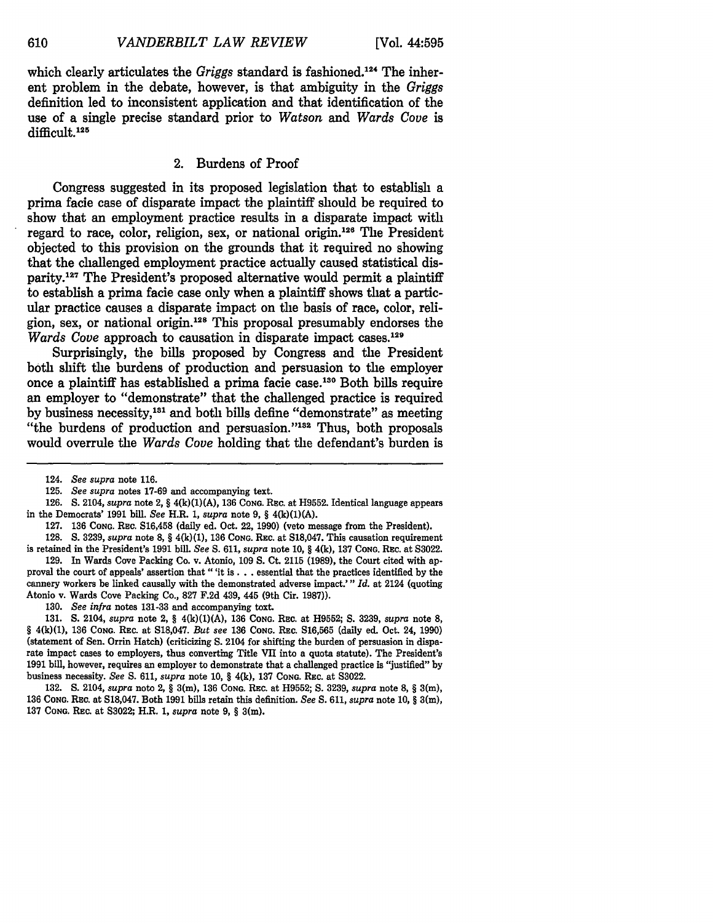which clearly articulates the *Griggs* standard is fashioned.<sup>124</sup> The inherent problem in the debate, however, is that ambiguity in the *Griggs* definition led to inconsistent application and that identification of the use of a single precise standard prior to *Watson and Wards Cove* is difficult.<sup>125</sup>

# 2. Burdens of Proof

Congress suggested in its proposed legislation that to establish a prima facie case of disparate impact the plaintiff should be required to show that an employment practice results in a disparate impact with regard to race, color, religion, sex, or national origin.<sup>126</sup> The President objected to this provision on the grounds that it required no showing that the challenged employment practice actually caused statistical disparity.<sup>127</sup> The President's proposed alternative would permit a plaintiff to establish a prima facie case only when a plaintiff shows that a particular practice causes a disparate impact on the basis of race, color, religion, sex, or national origin. 28 This proposal presumably endorses the *Wards Cove* approach to causation in disparate impact cases.<sup>129</sup>

Surprisingly, the bills proposed **by** Congress and the President both shift the burdens of production and persuasion to the employer once a plaintiff has established a prima facie case.130 Both bills require an employer to "demonstrate" that the challenged practice is required by business necessity,<sup>131</sup> and both bills define "demonstrate" as meeting "the burdens of production and persuasion."<sup>132</sup> Thus, both proposals would overrule the *Wards Cove* holding that the defendant's burden is

128. S. 3239, *supra* note **8,** § 4(k)(1), **136 CONG.** Rac. at S18,047. This causation requirement is retained in the President's **1991** bill. *See* S. 611, *supra* note 10, § 4(k), 137 **CONG.** RE C. at S3022.

129. In Wards Cove Packing Co. v. Atonio, 109 **S.** Ct. 2115 **(1989),** the Court cited with approval the court of appeals' assertion that "'it **is. . .** essential that the practices identified **by** the cannery workers be linked causally with the demonstrated adverse impact."' *Id.* at 2124 (quoting Atonio v. Wards Cove Packing Co., 827 F.2d 439, 445 (9th Cir. **1987)).**

130. See infra notes 131-33 and accompanying toxt.

131. **S.** 2104, *supra* note 2, § 4(k)(1)(A), **136 CONG.** REc. at H9552; **S. 3239,** *supra* **note 8,** *§* 4(k)(1), 136 CONG. REc. at S18,047. *But see* **136 CONG.** REc. S16,565 (daily **ed.** Oct. 24, 1990) (statement of Sen. Orrin Hatch) (criticizing S. 2104 for shifting the burden of persuasion in disparate impact cases to employers, thus converting Title VII into a quota statute). The President's 1991 bill, however, requires an employer to demonstrate that a challenged practice is "justified" **by** business necessity. *See* **S.** 611, *supra* note **10,** § 4(k), **137 CONG.** REC. at S3022.

132. **S.** 2104, *supra* note 2, § 3(m), 136 **CONG.** Rzc. at H9552; **S.** 3239, *supra* note **8,** § **3(m),** 136 **CONG.** REc. at S18,047. Both 1991 bills retain this definition. *See* **S.** 611, *supra* note 10, § 3(m), **137 CONG. REC.** at S3022; H.R. *1, supra* note 9, § 3(m).

<sup>124.</sup> *See supra* note 116.

<sup>125.</sup> *See supra* notes **17-69** and accompanying text.

<sup>126.</sup> S. 2104, *supra* note 2, § 4(k)(1)(A), **136 CONG.** Rac. at H9552. Identical language appears in the Democrats' **1991** bill. *See* H.R. 1, *supra* note 9, § 4(k)(1)(A).

<sup>127.</sup> **136 CONG. REC.** S16,458 (daily ed. Oct. 22, 1990) (veto message from the President).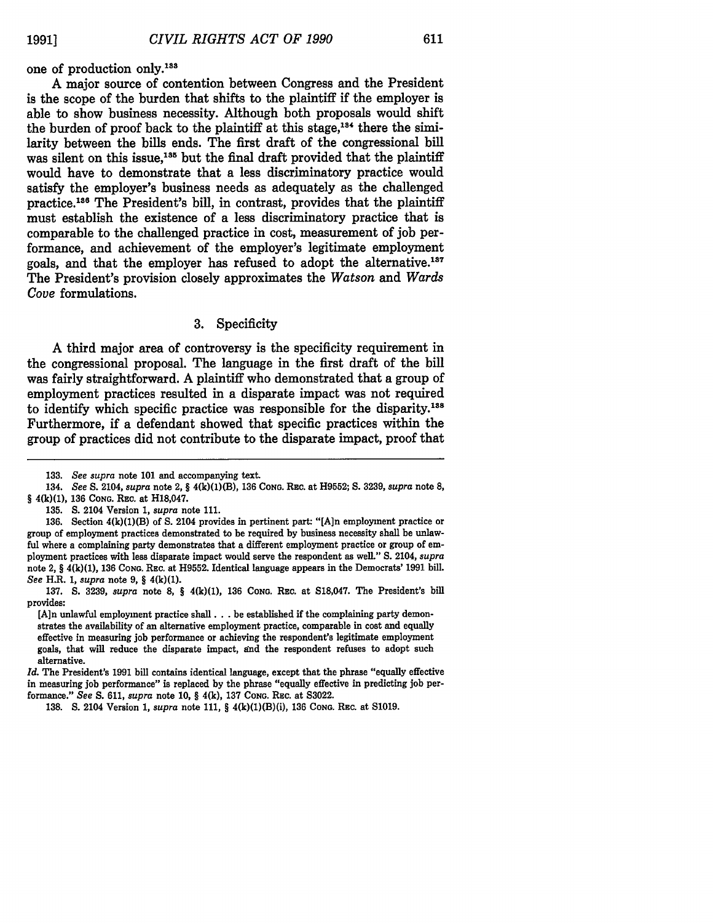one of production only.<sup>1</sup>

A major source of contention between Congress and the President is the scope of the burden that shifts to the plaintiff if the employer is able to show business necessity. Although both proposals would shift the burden of proof back to the plaintiff at this stage, $^{134}$  there the similarity between the bills ends. The first draft of the congressional bill was silent on this issue,<sup>185</sup> but the final draft provided that the plaintiff would have to demonstrate that a less discriminatory practice would satisfy the employer's business needs as adequately as the challenged practice.1'8 The President's bill, in contrast, provides that the plaintiff must establish the existence of a less discriminatory practice that is comparable to the challenged practice in cost, measurement of job performance, and achievement of the employer's legitimate employment goals, and that the employer has refused to adopt the alternative.<sup>137</sup> The President's provision closely approximates the *Watson and Wards Cove* formulations.

# 3. Specificity

A third major area of controversy is the specificity requirement in the congressional proposal. The language in the first draft of the bill was fairly straightforward. A plaintiff who demonstrated that a group of employment practices resulted in a disparate impact was not required to identify which specific practice was responsible for the disparity.<sup>138</sup> Furthermore, if a defendant showed that specific practices within the group of practices did not contribute to the disparate impact, proof that

135. S. 2104 Version 1, *supra* note 111.

<sup>133.</sup> *See supra* note 101 and accompanying text.

<sup>134.</sup> *See S.* 2104, *supra* note 2, § 4(k)(1)(B), 136 **CONG.** REc. at H9552; S. 3239, *supra* note **8,** § 4(k)(1), 136 **CONG.** REc. at H18,047.

<sup>136.</sup> Section 4(k)(1)(B) of S. 2104 provides in pertinent part: "[A]n employment practice or group of employment practices demonstrated to be required by business necessity shall be unlawful where a complaining party demonstrates that a different employment practice or group of employment practices with less disparate impact would serve the respondent as well." S. 2104, *supra* note 2, § 4(k)(1), 136 **CONG.** REc. at H9552. Identical language appears in the Democrats' 1991 bill. *See* H.R. 1, *supra* note 9, § 4(k)(1).

<sup>137.</sup> **S.** 3239, *supra* note **8,** § 4(k)(1), **136 CONG.** REc. at S18,047. The President's bill provides:

<sup>[</sup>An unlawful employment practice shall.. **.** be established if the complaining party demonstrates the availability of an alternative employment practice, comparable in cost and equally effective in measuring **job** performance or achieving the respondent's legitimate employment goals, that will reduce the disparate impact, **end** the respondent refuses to adopt such alternative.

*Id.* The President's **1991** bill contains identical language, except that the phrase "equally effective in measuring **job** performance" is replaced **by** the phrase "equally effective in predicting **job** performance." *See* **S.** 611, *supra* note **10,** § 4(k), **137 CONG.** REc. at **S3022.**

**<sup>138.</sup> S.** 2104 Version **1,** *supra* note **111,** § 4(k)(1)(B)(i), **136 CONG.** REc. at **S1019.**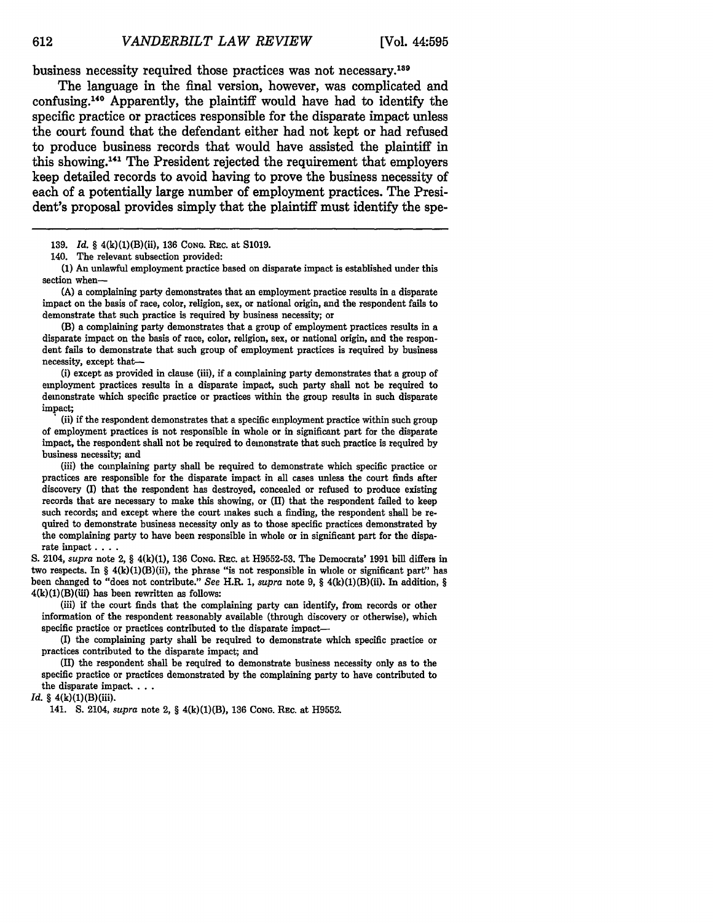business necessity required those practices was not necessary.139

The language in the final version, however, was complicated and confusing.140 Apparently, the plaintiff would have had to identify the specific practice or practices responsible for the disparate impact unless the court found that the defendant either had not kept or had refused to produce business records that would have assisted the plaintiff in this showing.<sup>141</sup> The President rejected the requirement that employers keep detailed records to avoid having to prove the business necessity of each of a potentially large number of employment practices. The President's proposal provides simply that the plaintiff must identify the spe-

**139.** *Id.* § 4(k)(1)(B)(ii), **136 CONG.** REC. at S1019.

**(1)** An unlawful employment practice based on disparate impact is established under this section when-

**(A)** a complaining party demonstrates that an employment practice results in a disparate impact on the basis of race, color, religion, sex, or national origin, and the respondent fails to demonstrate that such practice is required by business necessity; or

(B) a complaining party demonstrates that a group of employment practices results in a disparate impact on the basis of race, color, religion, sex, or national origin, and the respondent fails to demonstrate that such group of employment practices is required by business necessity, except that-

(i) except as provided in clause (iii), if a complaining party demonstrates that a group of employment practices results in a disparate impact, such party shall not be required to demonstrate which specific practice or practices within the group results in such disparate impact; (ii) if the respondent demonstrates that a specific employment practice within such group

of employment practices is not responsible in whole or in significant part for the disparate impact, the respondent shall not be required to demonstrate that such practice is required by business necessity; and

(iii) the complaining party shall be required to demonstrate which specific practice or practices are responsible for the disparate impact in all cases unless the court finds after discovery (I) that the respondent has destroyed, concealed or refused to produce existing records that are necessary to make this showing, or (II) that the respondent failed to keep such records; and except where the court makes such a finding, the respondent shall be re- quired to demonstrate business necessity only as to those specific practices demonstrated by the complaining party to have been responsible in whole or in significant part for the disparate impact **....**

S. 2104, *supra* note 2, § 4(k)(1), 136 **CONG.** REc. at H9552-53. The Democrats' 1991 bill differs in two respects. In  $\S 4(k)(1)(B)(ii)$ , the phrase "is not responsible in whole or significant part" has been changed to "does not contribute." *See* H.R. 1, *supra* note 9, § 4(k)(1)(B)(ii). In addition, *§*  $4(k)(1)(B)(iii)$  has been rewritten as follows:

(iii) if the court finds that the complaining party can identify, from records or other information of the respondent reasonably available (through discovery or otherwise), which specific practice or practices contributed to the disparate impact-

(I) the complaining party shall be required to demonstrate which specific practice or practices contributed to the disparate impact; and

**(I)** the respondent shall be required to demonstrate business necessity only as to the specific practice or practices demonstrated **by** the complaining party to have contributed to the disparate impact. . **..**

*Id.* § 4(k)(1)(B)(iii).

141. S. 2104, *supra* note 2, § 4(k)(1)(B), 136 **CONG.** REc. at H9552.

**612**

<sup>140.</sup> The relevant subsection provided: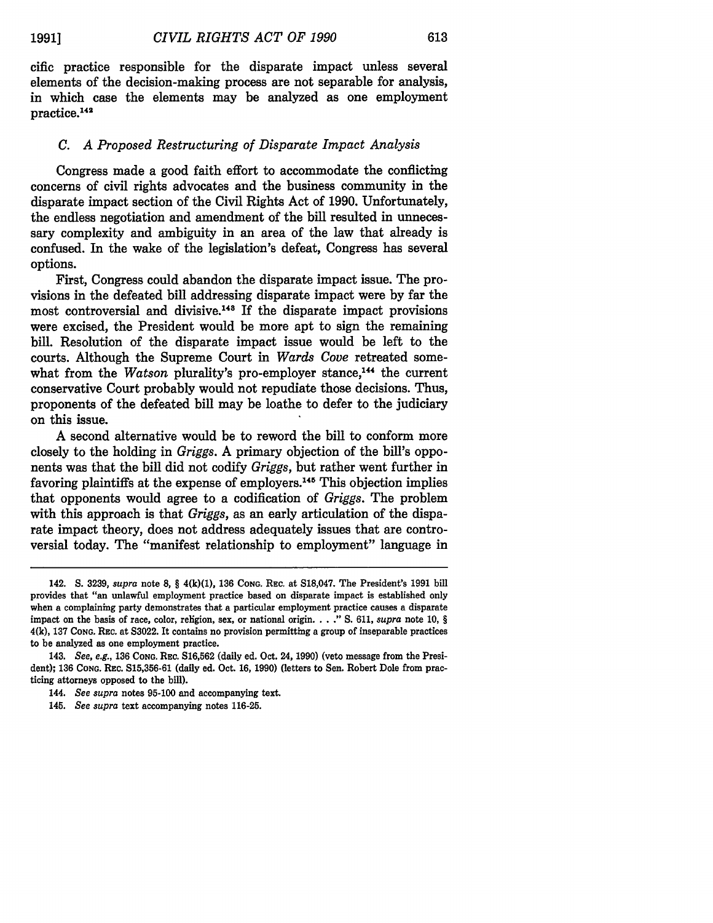cific practice responsible for the disparate impact unless several elements of the decision-making process are not separable for analysis, in which case the elements may be analyzed as one employment practice. <sup>142</sup>

# *C. A Proposed Restructuring of Disparate Impact Analysis*

Congress made a good faith effort to accommodate the conflicting concerns of civil rights advocates and the business community in the disparate impact section of the Civil Rights Act of 1990. Unfortunately, the endless negotiation and amendment of the bill resulted in unnecessary complexity and ambiguity in an area of the law that already is confused. In the wake of the legislation's defeat, Congress has several options.

First, Congress could abandon the disparate impact issue. The provisions in the defeated bill addressing disparate impact were by far the most controversial and divisive.<sup>148</sup> If the disparate impact provisions were excised, the President would be more apt to sign the remaining bill. Resolution of the disparate impact issue would be left to the courts. Although the Supreme Court in *Wards Cove* retreated somewhat from the *Watson* plurality's pro-employer stance,<sup>144</sup> the current conservative Court probably would not repudiate those decisions. Thus, proponents of the defeated bill may be loathe to defer to the judiciary on this issue.

A second alternative would be to reword the bill to conform more closely to the holding in *Griggs.* A primary objection of the bill's opponents was that the bill did not codify *Griggs,* but rather went further in favoring plaintiffs at the expense of employers. 145 This objection implies that opponents would agree to a codification of *Griggs.* The problem with this approach is that *Griggs,* as an early articulation of the disparate impact theory, does not address adequately issues that are controversial today. The "manifest relationship to employment" language in

<sup>142.</sup> S. 3239, *supra* note **8,** § 4(k)(1), 136 **CONG.** REc. at S18,047. The President's 1991 bill provides that "an unlawful employment practice based on disparate impact is established only when a complaining party demonstrates that a particular employment practice causes a disparate impact on the basis of race, color, religion, sex, or national origin **... ." S. 611,** *supra* note **10,** § **4(k), 137 CONG.** REc. at **S3022.** It contains no provision permitting a group of inseparable practices to be analyzed as one employment practice.

<sup>143.</sup> *See, e.g.,* **136 CONG.** RE c. **S16,562** (daily ed. Oct. 24, **1990)** (veto message from the President); **136 CONG.** REc. **S15,356-61** (daily ed. Oct. **16, 1990)** (letters to Sen. Robert Dole from practicing attorneys opposed to the bill).

<sup>144.</sup> *See supra* notes **95-100** and accompanying text.

**<sup>145.</sup>** *See supra* text accompanying notes **116-25.**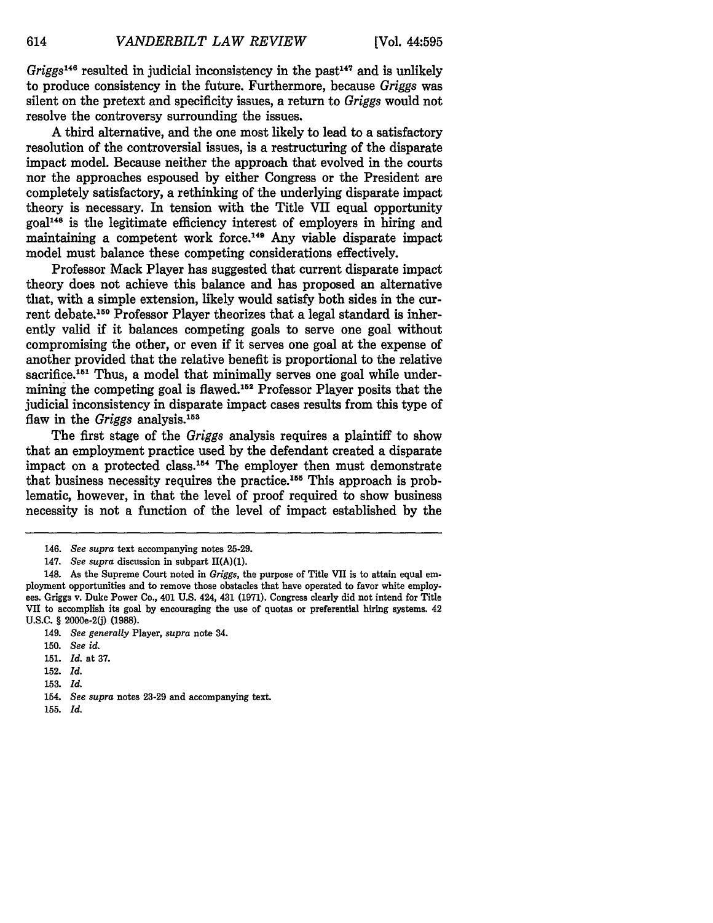614

*Griggs*<sup>146</sup> resulted in judicial inconsistency in the past<sup>147</sup> and is unlikely to produce consistency in the future. Furthermore, because *Griggs* was silent on the pretext and specificity issues, a return to *Griggs* would not resolve the controversy surrounding the issues.

A third alternative, and the one most likely to lead to a satisfactory resolution of the controversial issues, is a restructuring of the disparate impact model. Because neither the approach that evolved in the courts nor the approaches espoused by either Congress or the President are completely satisfactory, a rethinking of the underlying disparate impact theory is necessary. In tension with the Title VII equal opportunity goal148 is the legitimate efficiency interest of employers in hiring and maintaining a competent work force.<sup>149</sup> Any viable disparate impact model must balance these competing considerations effectively.

Professor Mack Player has suggested that current disparate impact theory does not achieve this balance and has proposed an alternative that, with a simple extension, likely would satisfy both sides in the current debate.150 Professor Player theorizes that a legal standard is inherently valid if it balances competing goals to serve one goal without compromising the other, or even if it serves one goal at the expense of another provided that the relative benefit is proportional to the relative sacrifice.<sup>151</sup> Thus, a model that minimally serves one goal while undermining the competing goal is flawed.<sup>152</sup> Professor Player posits that the judicial inconsistency in disparate impact cases results from this type of flaw in the *Griggs* analysis.<sup>153</sup>

The first stage of the *Griggs* analysis requires a plaintiff to show that an employment practice used by the defendant created a disparate impact on a protected class.154 The employer then must demonstrate that business necessity requires the practice. 155 This approach is problematic, however, in that the level of proof required to show business necessity is not a function of the level of impact established by the

- 152. *Id.*
- 153. *Id.*
- 154. *See supra* notes 23-29 and accompanying text.
- 155. *Id.*

<sup>146.</sup> *See supra* text accompanying notes 25-29.

<sup>147.</sup> *See supra* discussion in subpart  $\Pi(A)(1)$ .

<sup>148.</sup> As the Supreme Court noted in *Griggs,* the purpose of Title VII is to attain equal employment opportunities and to remove those obstacles that have operated to favor white employees. Griggs v. Duke Power Co., 401 U.S. 424, 431 (1971). Congress clearly did not intend for Title VII to accomplish its goal by encouraging the use of quotas or preferential hiring systems. 42 U.S.C. § 2000e-2(j) (1988).

<sup>149.</sup> *See generally* Player, *supra* note 34.

<sup>150.</sup> *See id.*

<sup>151.</sup> *Id.* at 37.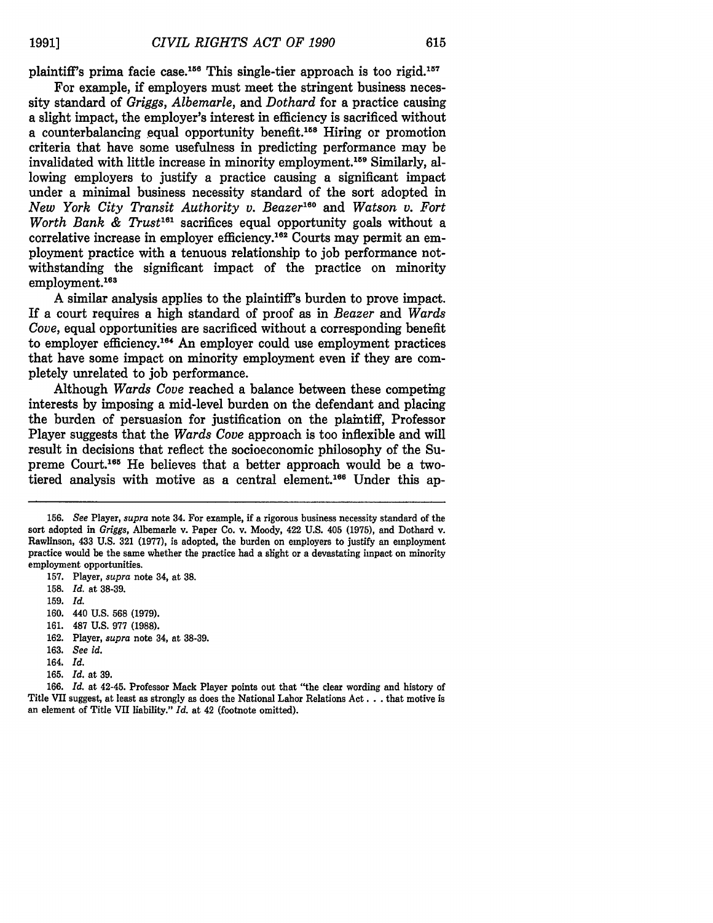plaintiff's prima facie case.<sup>156</sup> This single-tier approach is too rigid.<sup>157</sup>

For example, if employers must meet the stringent business necessity standard of *Griggs, Albemarle,* and *Dothard* for a practice causing a slight impact, the employer's interest in efficiency is sacrificed without a counterbalancing equal opportunity benefit.<sup>158</sup> Hiring or promotion criteria that have some usefulness in predicting performance may be invalidated with little increase in minority employment.159 Similarly, allowing employers to justify a practice causing a significant impact under a minimal business necessity standard of the sort adopted in *New York City Transit Authority v. Beazer1e0 and Watson v. Fort Worth Bank & Trust*<sup>161</sup> sacrifices equal opportunity goals without a correlative increase in employer efficiency.<sup>162</sup> Courts may permit an employment practice with a tenuous relationship to job performance notwithstanding the significant impact of the practice on minority employment.<sup>163</sup>

A similar analysis applies to the plaintiff's burden to prove impact. If a court requires a high standard of proof as in *Beazer and Wards Cove,* equal opportunities are sacrificed without a corresponding benefit to employer efficiency.<sup>164</sup> An employer could use employment practices that have some impact on minority employment even if they are completely unrelated to job performance.

Although *Wards Cove* reached a balance between these competing interests by imposing a mid-level burden on the defendant and placing the burden of persuasion for justification on the plaintiff, Professor Player suggests that the *Wards Cove* approach is too inflexible and will result in decisions that reflect the socioeconomic philosophy of the Supreme Court.<sup>165</sup> He believes that a better approach would be a twotiered analysis with motive as a central element.<sup>166</sup> Under this ap-

159. *Id.*

160. 440 U.S. **568** (1979).

- 161. 487 U.S. 977 **(1988).**
- 162. Player, *supra* note 34, at 38-39.
- 163. *See id.*
- 164. *Id.*
- 165. *Id.* at 39.

166. *Id.* at 42-45. Professor Mack Player points out that "the clear wording and history of Title VII suggest, at least as strongly as does the National Labor Relations Act **...** that motive is an element of Title VII liability." *Id.* at 42 (footnote omitted).

<sup>156.</sup> *See* Player, *supra* note 34. For example, if a rigorous business necessity standard of the sort adopted in *Griggs,* Albemarle v. Paper Co. v. Moody, 422 U.S. 405 (1975), and Dothard v. Rawlinson, 433 U.S. **321** (1977), is adopted, the burden on employers to justify an employment practice would be the same whether the practice had a slight or a devastating impact on minority employment opportunities.

<sup>157.</sup> Player, *supra* note 34, at **38.**

<sup>158.</sup> *Id.* at 38-39.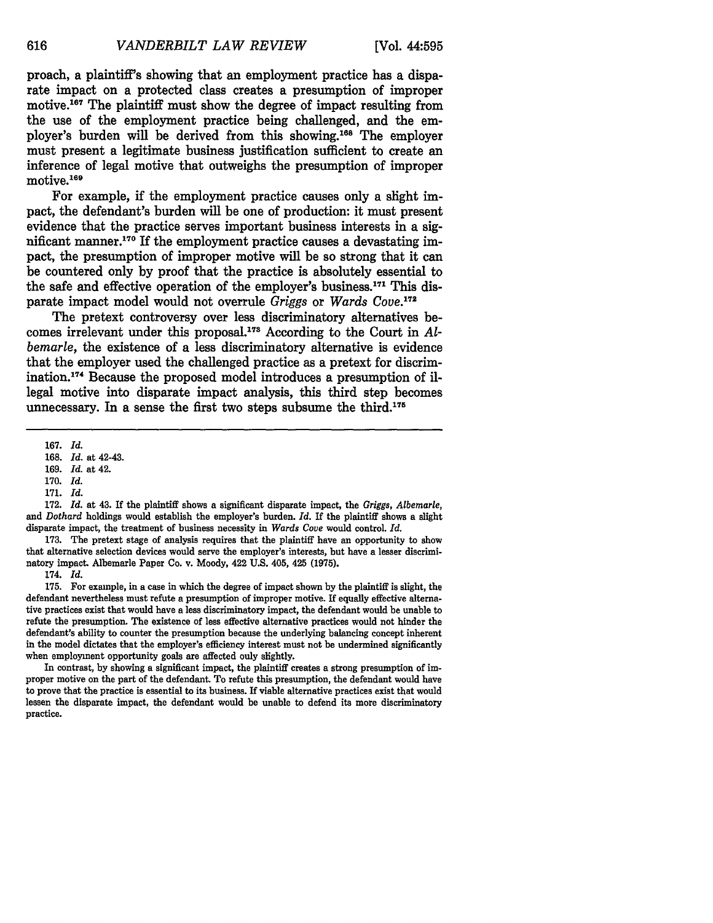proach, a plaintiff's showing that an employment practice has a disparate impact on a protected class creates a presumption of improper motive.<sup>167</sup> The plaintiff must show the degree of impact resulting from the use of the employment practice being challenged, and the employer's burden will be derived from this showing.<sup>168</sup> The employer must present a legitimate business justification sufficient to create an inference of legal motive that outweighs the presumption of improper motive.<sup>169</sup>

For example, if the employment practice causes only a slight impact, the defendant's burden will be one of production: it must present evidence that the practice serves important business interests in a significant manner.<sup>170</sup> If the employment practice causes a devastating impact, the presumption of improper motive will be so strong that it can be countered only by proof that the practice is absolutely essential to the safe and effective operation of the employer's business.<sup>171</sup> This disparate impact model would not overrule *Griggs* or *Wards Cove.17 <sup>2</sup>*

The pretext controversy over less discriminatory alternatives becomes irrelevant under this proposal.<sup>173</sup> According to the Court in Al*bemarle,* the existence of a less discriminatory alternative is evidence that the employer used the challenged practice as a pretext for discrimination.<sup>174</sup> Because the proposed model introduces a presumption of illegal motive into disparate impact analysis, this third step becomes unnecessary. In a sense the first two steps subsume the third.<sup>175</sup>

**172.** *Id.* at 43. **If** the plaintiff shows a significant disparate impact, the *Griggs, Albemarle,* and *Dothard* holdings would establish the employer's burden. *Id.* **If** the plaintiff shows a slight disparate impact, the treatment of business necessity in *Wards Cove* would control. *Id.*

**173.** The pretext stage of analysis requires that the plaintiff have an opportunity to show that alternative selection devices would serve the employer's interests, but have a lesser discriminatory impact. Albemarle Paper Co. v. Moody, 422 **U.S.** 405, 425 **(1975).**

174. *Id.*

**175.** For example, in a case in which the degree of impact shown **by** the plaintiff is slight, the defendant nevertheless must refute a presumption of improper motive. **If** equally effective alternative practices exist that would have a less discriminatory impact, the defendant would be unable to refute the presumption. The existence of less effective alternative practices would not hinder the defendant's ability to counter the presumption because the underlying balancing concept inherent in the model dictates that the employer's efficiency interest must not be undermined significantly when employment opportunity goals are affected ouly slightly.

In contrast, **by** showing a significant impact, the plaintiff creates a strong presumption of improper motive on the part of the defendant. To refute this presumption, the defendant would have to prove that the practice is essential to its business. If viable alternative practices exist that would lessen the disparate impact, the defendant would be unable to defend its more discriminatory practice.

616

<sup>167.</sup> *Id.*

<sup>168.</sup> *Id.* at 42-43.

<sup>169.</sup> *Id.* at 42.

<sup>170.</sup> *Id.*

<sup>171.</sup> *Id.*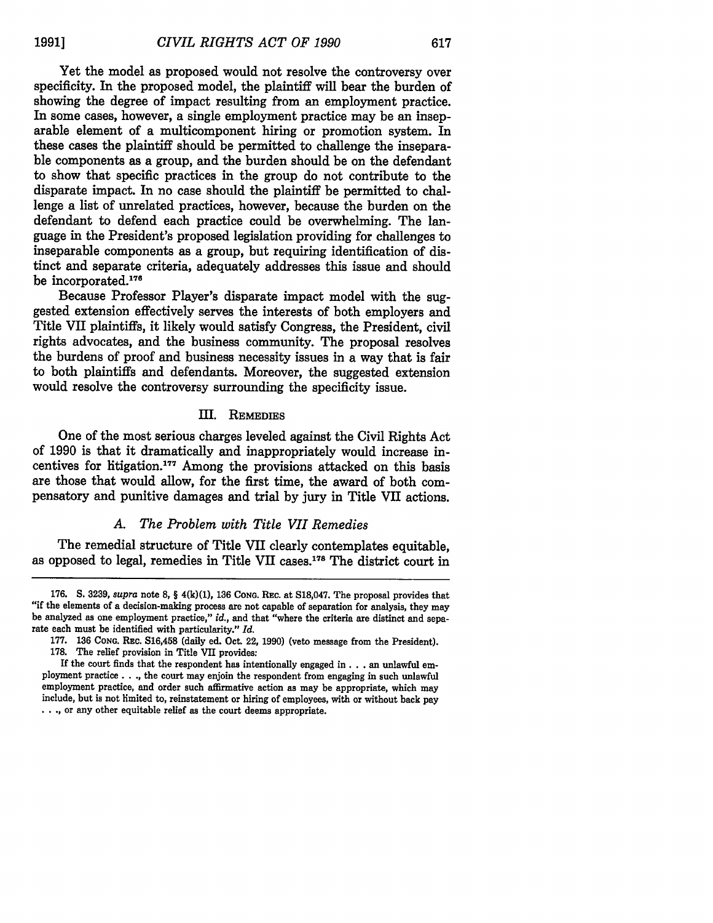Yet the model as proposed would not resolve the controversy over specificity. In the proposed model, the plaintiff will bear the burden of showing the degree of impact resulting from an employment practice. In some cases, however, a single employment practice may be an inseparable element of a multicomponent hiring or promotion system. In these cases the plaintiff should be permitted to challenge the inseparable components as a group, and the burden should be on the defendant to show that specific practices in the group do not contribute to the disparate impact. In no case should the plaintiff be permitted to challenge a list of unrelated practices, however, because the burden on the defendant to defend each practice could be overwhelming. The language in the President's proposed legislation providing for challenges to inseparable components as a group, but requiring identification of distinct and separate criteria, adequately addresses this issue and should be incorporated.<sup>176</sup>

Because Professor Player's disparate impact model with the suggested extension effectively serves the interests of both employers and Title VII plaintiffs, it likely would satisfy Congress, the President, civil rights advocates, and the business community. The proposal resolves the burdens of proof and business necessity issues in a way that is fair to both plaintiffs and defendants. Moreover, the suggested extension would resolve the controversy surrounding the specificity issue.

# III. REMEDIES

One of the most serious charges leveled against the Civil Rights Act of 1990 is that it dramatically and inappropriately would increase incentives for litigation.<sup>177</sup> Among the provisions attacked on this basis are those that would allow, for the first time, the award of both compensatory and punitive damages and trial by jury in Title VII actions.

# *A. The Problem with Title VII Remedies*

The remedial structure of Title VII clearly contemplates equitable, as opposed to legal, remedies in Title VII cases.<sup>178</sup> The district court in

<sup>176.</sup> **S.** 3239, *supra* note **8,** § 4(k)(1), 136 **CONG. REC.** at S18,047. The proposal provides that "if the elements of a decision-making process are not capable of separation for analysis, they may be analyzed as one employment practice," *id.,* and that "where the criteria are distinct and separate each must be identified with particularity." *Id.*

**<sup>177. 136</sup> CoNG.** Rac. **S16,458** (daily ed. Oct. 22, **1990)** (veto message from the President). **178.** The relief provision in Title VII provides:

If the court finds that the respondent has intentionally engaged **in.. .** an unlawful employment practice.. **.,** the court may enjoin the respondent from engaging in such unlawful employment practice, and order such affirmative action as may be appropriate, which may include, but is not limited to, reinstatement or hiring of employees, with or without back pay **. .. ,** or any other equitable relief as the court deems appropriate.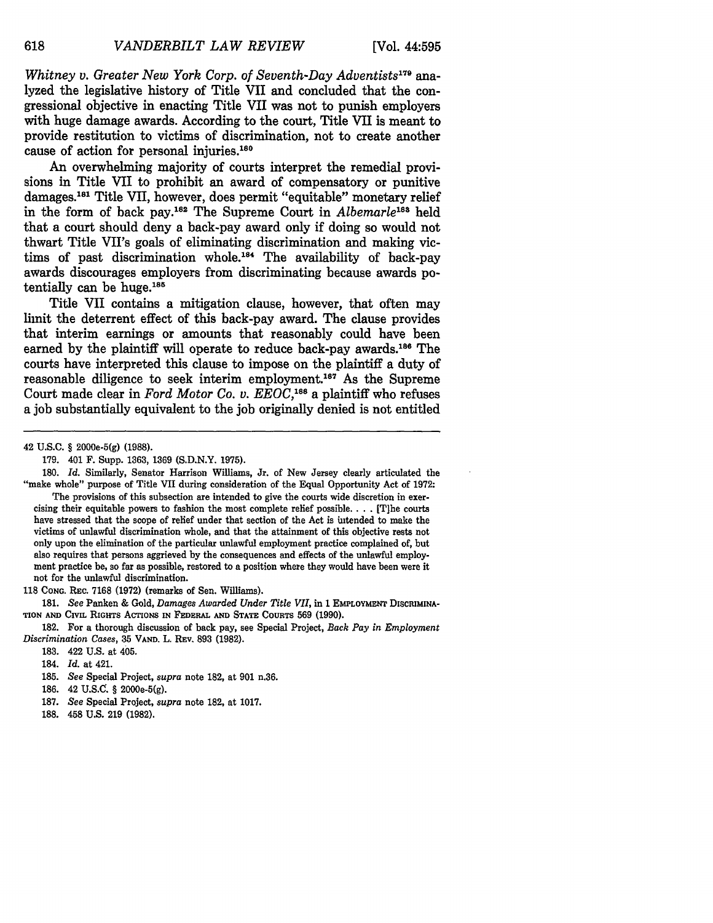*Whitney v. Greater New York Corp. of Seventh-Day Adventists 179 ana*lyzed the legislative history of Title VII and concluded that the congressional objective in enacting Title **VII** was not to punish employers with huge damage awards. According to the court, Title VII is meant to provide restitution to victims of discrimination, not to create another cause of action for personal injuries. <sup>180</sup>

An overwhelming majority of courts interpret the remedial provisions in Title VII to prohibit an award of compensatory or punitive damages.<sup>181</sup> Title VII, however, does permit "equitable" monetary relief in the form of back pay.<sup>182</sup> The Supreme Court in *Albemarle*<sup>183</sup> held that a court should deny a back-pay award only if doing so would not thwart Title VII's goals of eliminating discrimination and making victims of past discrimination whole.<sup>184</sup> The availability of back-pay awards discourages employers from discriminating because awards potentially can be huge. $185$ 

Title VII contains a mitigation clause, however, that often may limit the deterrent effect of this back-pay award. The clause provides that interim earnings or amounts that reasonably could have been earned by the plaintiff will operate to reduce back-pay awards.<sup>186</sup> The courts have interpreted this clause to impose on the plaintiff a duty of reasonable diligence to seek interim employment.187 As the Supreme Court made clear in *Ford Motor Co. v. EEOC*,<sup>188</sup> a plaintiff who refuses a **job** substantially equivalent to the **job** originally denied is not entitled

42 **U.S.C.** § 2000e-5(g) (1988).

118 **CONG.** REc. 7168 (1972) (remarks of Sen. Williams).

181. *See* Panken **&** Gold, *Damages Awarded Under Title VII,* in 1 **EMPLOYMENT DISCIMINA-TION AND CiVIL** RIGHTS **ACTIONS** IN **FEDERAL AND STATE CouRTS** 569 (1990).

182. For a thorough discussion of back pay, see Special Project, *Back Pay in Employment Discrimination Cases,* 35 **VAND.** L. **REv.** 893 (1982).

**183.** 422 U.S. at 405.

184. *Id.* at 421.

185. *See* **Special** Project, *supra* note **182,** at 901 n.36.

186. 42 **U.S.O.** § 2000e-5(g).

- 187. *See* Special Project, *supra* note **182,** at 1017.
- 188. 458 U.S. 219 (1982).

618

<sup>179. 401</sup> F. Supp. 1363, 1369 (S.D.N.Y. 1975).

**<sup>180.</sup>** *Id.* Similarly, Senator Harrison Williams, Jr. of New Jersey clearly articulated the "make whole" purpose of Title VII during consideration of the Equal Opportunity Act of 1972: The provisions of this subsection are intended to give the courts wide discretion in exercising their equitable powers to fashion the most complete relief possible. **. . .** [T]he courts have stressed that the scope of relief under that section of the Act is intended to make the victims of unlawful discrimination whole, and that the attainment of this objective rests not only upon the elimination of the particular unlawful employment practice complained of, but also requires that persons aggrieved **by** the consequences and effects of the unlawful employment practice be, so far as possible, restored to a position where they would have been were it not for the unlawful discrimination.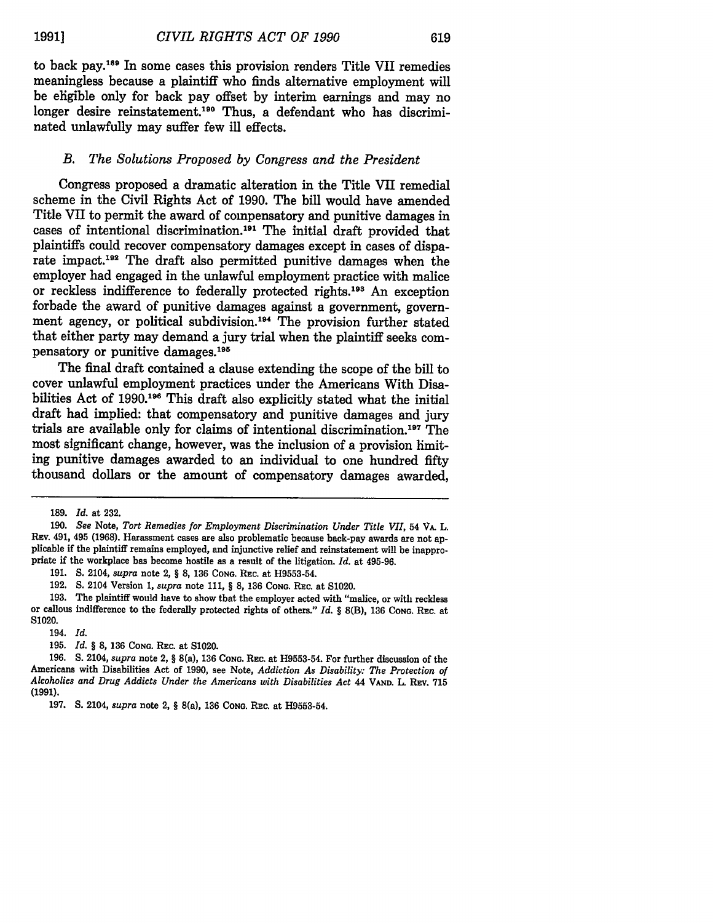to back pay.<sup>189</sup> In some cases this provision renders Title VII remedies meaningless because a plaintiff who finds alternative employment will be eligible only for back pay offset by interim earnings and may no longer desire reinstatement.<sup>190</sup> Thus, a defendant who has discriminated unlawfully may suffer few ill effects.

#### *B. The Solutions Proposed by Congress and the President*

Congress proposed a dramatic alteration in the Title VII remedial scheme in the Civil Rights Act of 1990. The bill would have amended Title VII to permit the award of compensatory and punitive damages in cases of intentional discrimination.<sup>191</sup> The initial draft provided that plaintiffs could recover compensatory damages except in cases of disparate impact.<sup>192</sup> The draft also permitted punitive damages when the employer had engaged in the unlawful employment practice with malice or reckless indifference to federally protected rights. 193 An exception forbade the award of punitive damages against a government, government agency, or political subdivision.<sup>194</sup> The provision further stated that either party may demand a jury trial when the plaintiff seeks compensatory or punitive damages.<sup>195</sup>

The final draft contained a clause extending the scope of the bill to cover unlawful employment practices under the Americans With Disabilities Act of 1990.<sup>196</sup> This draft also explicitly stated what the initial draft had implied: that compensatory and punitive damages and jury trials are available only for claims of intentional discrimination.<sup>197</sup> The most significant change, however, was the inclusion of a provision limiting punitive damages awarded to an individual to one hundred fifty thousand dollars or the amount of compensatory damages awarded,

191. S. 2104, *supra* note 2, § **8,** 136 **CONG.** REC. at H9553-54.

192. **S.** 2104 Version 1, *supra* note 111, § **8,** 136 **CONG.** REc. at S1020.

193. The plaintiff would have to show that the employer acted with "malice, or with reckless or callous indifference to the federally protected rights of others." *Id. §* 8(B), **136 CONG.** REC. at **S1020.**

194. *Id.*

**195.** *Id. §* **8, 136 CONG.** REc. at **S1020.**

**196. S.** 2104, *supra* note 2, § **8(a), 136 CONG. REc. at H9553-54.** For further discussion of the Americans with Disabilities Act of 1990, see Note, *Addiction As Disability: The Protection of Alcoholics and Drug Addicts Under the Americans with Disabilities Act* 44 **VAND.** L. REv. **715 (1991).**

<sup>189.</sup> *Id.* at 232.

<sup>190.</sup> *See* Note, *Tort Remedies for Employment Discrimination Under Title VII,* 54 VA. L. REv. 491, 495 (1968). Harassment cases are also problematic because back-pay awards are not applicable if the plaintiff remains employed, and injunctive relief and reinstatement will be inappropriate if the workplace has become hostile as a result of the litigation. *Id.* at 495-96.

**<sup>197.</sup> S.** 2104, *supra* **note 2,** § 8(a), **136 CONG.** REC. at **H9553-54.**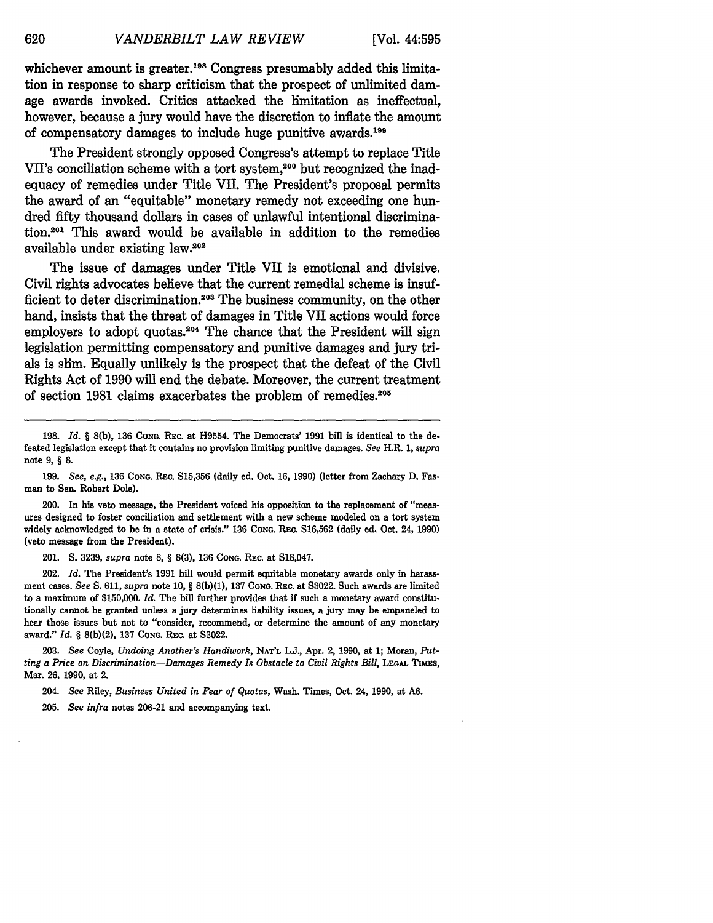whichever amount is greater.<sup>198</sup> Congress presumably added this limitation in response to sharp criticism that the prospect of unlimited damage awards invoked. Critics attacked the limitation as ineffectual, however, because a jury would have the discretion to inflate the amount of compensatory damages to include huge punitive awards.199

The President strongly opposed Congress's attempt to replace Title VII's conciliation scheme with a tort system,<sup>200</sup> but recognized the inadequacy of remedies under Title VII. The President's proposal permits the award of an "equitable" monetary remedy not exceeding one hundred **fifty** thousand dollars in cases of unlawful intentional discrimination.201 This award would be available in addition to the remedies available under existing law.20

The issue of damages under Title VII is emotional and divisive. Civil rights advocates believe that the current remedial scheme is insufficient to deter discrimination.<sup>203</sup> The business community, on the other hand, insists that the threat of damages in Title VII actions would force employers to adopt quotas. $204$  The chance that the President will sign legislation permitting compensatory and punitive damages and jury trials is slim. Equally unlikely is the prospect that the defeat of the Civil Rights Act of **1990** will end the debate. Moreover, the current treatment of section 1981 claims exacerbates the problem of remedies.<sup>205</sup>

201. **S. 3239,** *supra* note **8,** § **8(3), 136 CONG.** REc. at **S18,047.**

202. *Id.* The President's **1991** bill would permit equitable monetary awards only in harassment cases. *See* **S. 611,** *supra* note **10,** § **8(b)(1), 137 CONG.** REC. at **83022.** Such awards are limited to a maximum of **\$150,000.** *Id.* The **bill** further provides that if such a monetary award constitutionally cannot be granted unless a jury determines liability issues, a jury may be empaneled to hear those issues but not to "consider, recommend, or determine the amount of any monetary award." *Id.* § **8(b)(2), 137 CONG.** REc. at **83022.**

**203.** *See* Coyle, *Undoing Another's Handiwork,* **NAT'L L.J.,** Apr. 2, **1990,** at **1;** Moran, *Putting a Price on Discrimination-Damages Remedy Is Obstacle to Civil Rights Bill,* **LEGAL** TIMES, Mar. **26, 1990,** at 2.

204. *See* Riley, *Business United in Fear of Quotas,* Wash. Times, Oct. 24, **1990,** at **A6.**

**205.** *See infra* notes **206-21** and accompanying text.

620

**<sup>198.</sup>** *Id.* § 8(b), **136 CONG. REC.** at H9554. The Democrats' **1991** bill is identical to the defeated legislation except that it contains no provision limiting punitive damages. *See* H.R. *1, supra* note **9,** § **8.**

**<sup>199.</sup>** See, e.g., **136 CONG.** REc. **S15,356** (daily ed. Oct. **16, 1990)** (letter from Zachary **D.** Fasman to Sen. Robert Dole).

<sup>200.</sup> In his veto message, the President voiced his opposition to the replacement of "measures designed to foster conciliation and settlement with a new scheme modeled on a tort system widely acknowledged to be in a state of crisis." **136 CONG.** REc. **S16,562** (daily ed. Oct. 24, **1990)** (veto message from the President).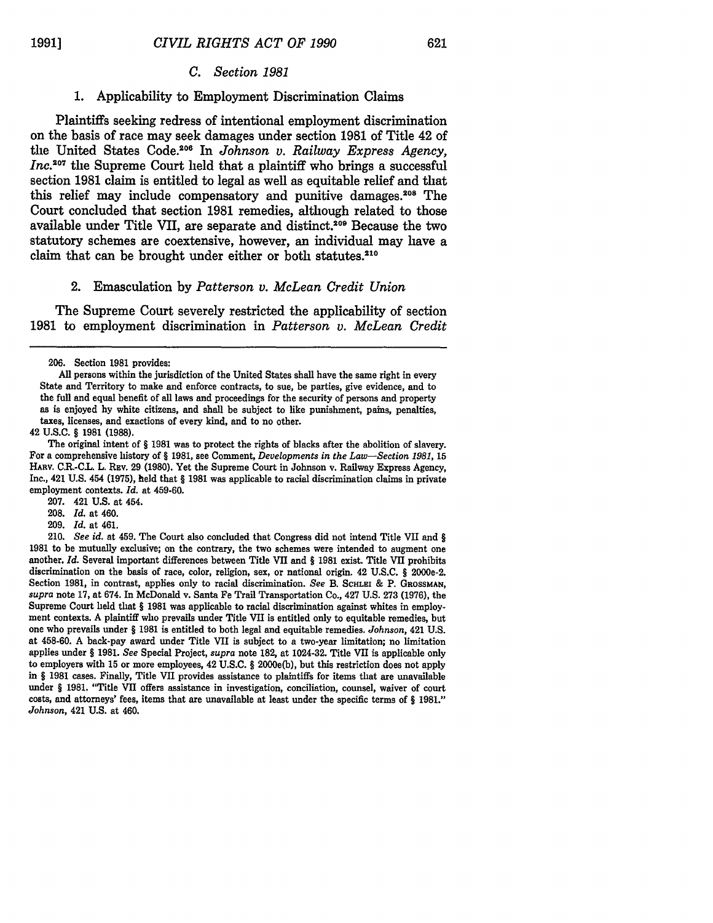# *C. Section 1981*

# **1.** Applicability to Employment Discrimination Claims

Plaintiffs seeking redress of intentional employment discrimination on the basis of race may seek damages under section **1981** of Title 42 of the United States Code.<sup>206</sup> In *Johnson v. Railway Express Agency*, *Inc.*<sup>207</sup> the Supreme Court held that a plaintiff who brings a successful section **1981** claim is entitled to legal as well as equitable relief and that this relief may include compensatory and punitive damages.208 The Court concluded that section **1981** remedies, although related to those available under Title VII, are separate and distinct.209 Because the two statutory schemes are coextensive, however, an individual may have a claim that can be brought under either or both statutes.<sup>210</sup>

#### 2. Emasculation **by** *Patterson v. McLean Credit Union*

The Supreme Court severely restricted the applicability of section **1981** to employment discrimination in *Patterson v. McLean Credit*

42 **U.S.C.** § **1981 (1988).**

- **208.** *Id.* at 460.
- 209. *Id.* at 461.

210. *See id.* at 459. The Court also concluded that Congress did not intend Title VII and *§* **1981** to be mutually exclusive; on the contrary, the two schemes were intended to augment one another. *Id.* Several important differences between Title VII and § **1981** exist. Title VII prohibits discrimination on the basis of race, color, religion, sex, or national origin. 42 U.S.C. § 2000e-2. Section 1981, in contrast, applies only to racial discrimination. *See* B. **SCHLEI** & P. **GROSSMAN,** *supra* note 17, at 674. In McDonald v. Santa Fe Trail Transportation Co., 427 U.S. 273 (1976), the Supreme Court held that § 1981 was applicable to racial discrimination against whites in employment contexts. A plaintiff who prevails under Title VII is entitled only to equitable remedies, but one who prevails under § **1981** is entitled to both legal and equitable remedies. *Johnson,* 421 U.S. at 458-60. A back-pay award under Title VII is subject to a two-year limitation; no limitation applies under § 1981. *See* Special Project, *supra* note 182, at 1024-32. Title VII is applicable only to employers with 15 or more employees, 42 U.S.C. § 2000e(b), but this restriction does not apply in § 1981 cases. Finally, Title VII provides assistance to plaintiffs for items that are unavailable under § 1981. "Title VII offers assistance in investigation, conciliation, counsel, waiver of court costs, and attorneys' fees, items that are unavailable at least under the specific terms of § 1981." *Johnson,* 421 U.S. at 460.

**<sup>206.</sup>** Section **1981** provides:

**All** persons within the jurisdiction of the United States shall have the same right in every State and Territory to make and enforce contracts, to sue, be parties, give evidence, and to the full and equal benefit of all laws and proceedings for the security of persons and property as is enjoyed **by** white citizens, and shall be subject to like punishment, pains, penalties, taxes, licenses, and exactions of every kind, and to no other.

The original intent of § **1981** was to protect the rights of blacks after the abolition of slavery. For a comprehensive history of § **1981,** see Comment, *Developments in the Law-Section 1981,* **15** HARV. CR-C.. L. REv. **29 (1980).** Yet the Supreme Court in Johnson v. Railway Express Agency, Inc., 421 **U.S.** 454 **(1975),** held that § **1981** was applicable to racial discrimination claims in private employment contexts. *Id.* at 459-60.

**<sup>207.</sup>** 421 **U.S.** at 454.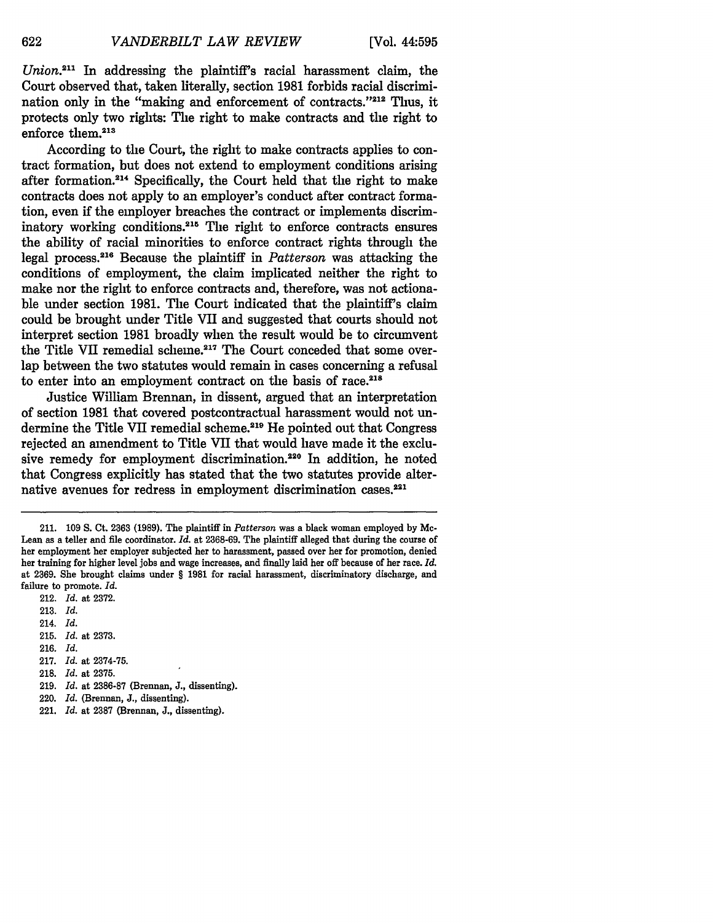*Union.2 <sup>11</sup>*In addressing the plaintiff's racial harassment claim, the Court observed that, taken literally, section 1981 forbids racial discrimination only in the "making and enforcement of contracts."<sup>212</sup> Thus, it protects only two rights: The right to make contracts and the right to enforce them.<sup>213</sup>

According to the Court, the right to make contracts applies to contract formation, but does not extend to employment conditions arising after formation.<sup>214</sup> Specifically, the Court held that the right to make contracts does not apply to an employer's conduct after contract formation, even if the employer breaches the contract or implements discriminatory working conditions.215 The right to enforce contracts ensures the ability of racial minorities to enforce contract rights through the legal process.216 Because the plaintiff in *Patterson* was attacking the conditions of employment, the claim implicated neither the right to make nor the right to enforce contracts and, therefore, was not actionable under section 1981. The Court indicated that the plaintiff's claim could be brought under Title VII and suggested that courts should not interpret section 1981 broadly when the result would be to circumvent the Title VII remedial scheme.<sup>217</sup> The Court conceded that some overlap between the two statutes would remain in cases concerning a refusal to enter into an employment contract on the basis of race.<sup>218</sup>

Justice William Brennan, in dissent, argued that an interpretation of section 1981 that covered postcontractual harassment would not undermine the Title VII remedial scheme.<sup>219</sup> He pointed out that Congress rejected an amendment to Title VII that would have made it the exclusive remedy for employment discrimination.<sup>220</sup> In addition, he noted that Congress explicitly has stated that the two statutes provide alternative avenues for redress in employment discrimination cases.<sup>221</sup>

212. Id. at 2372. 213. Id. 214. *Id.* 215. *Id.* at 2373. 216. Id. 217. Id. at 2374-75. 218. Id. at 2375. **219.** *Id.* at **2386-87** (Brennan, **J.,** dissenting). 220. Id. (Brennan, J., dissenting).

<sup>211. 109</sup> **S.** Ct. 2363 (1989). The plaintiff in *Patterson* was a black woman employed by Mc-Lean as a teller and file coordinator. *Id.* at 2368-69. The plaintiff alleged that during the course of her employment her employer subjected her to harassment, passed over her for promotion, denied her training for higher level jobs and wage increases, and finally laid her off because of her race. *Id.* at 2369. She brought claims under § 1981 for racial harassment, discriminatory discharge, and failure to promote. *Id.*

<sup>221.</sup> *Id.* at 2387 (Brennan, J., dissenting).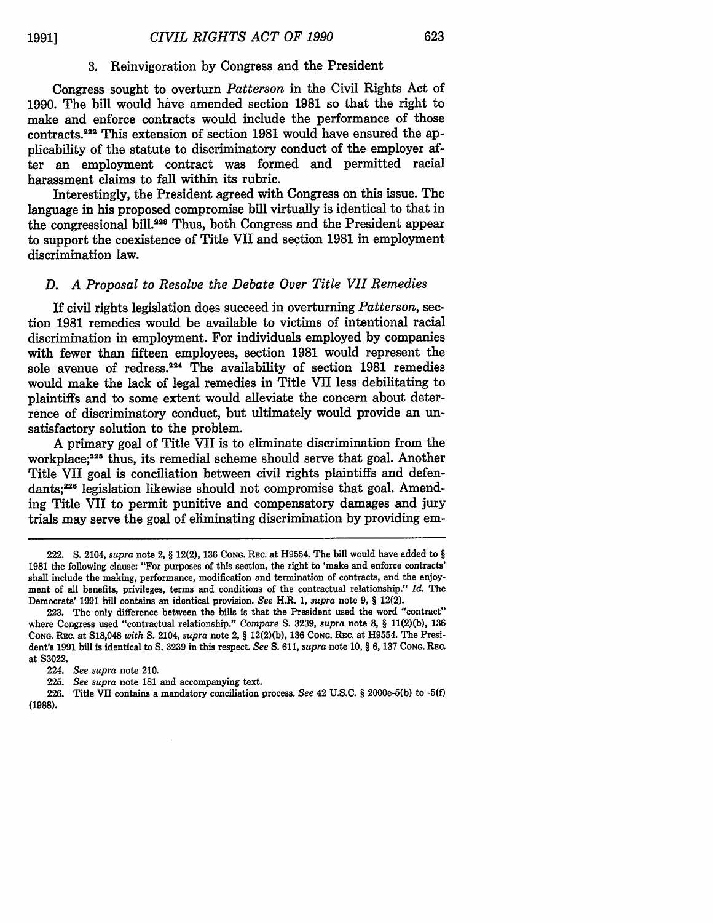# **3.** Reinvigoration by Congress and the President

Congress sought to overturn *Patterson* in the Civil Rights Act of 1990. The bill would have amended section 1981 so that the right to make and enforce contracts would include the performance of those contracts.222 This extension of section 1981 would have ensured the applicability of the statute to discriminatory conduct of the employer after an employment contract was formed and permitted racial harassment claims to fall within its rubric.

Interestingly, the President agreed with Congress on this issue. The language in his proposed compromise bill virtually is identical to that in the congressional bill.223 Thus, both Congress and the President appear to support the coexistence of Title VII and section 1981 in employment discrimination law.

# *D. A Proposal to Resolve the Debate Over Title VII Remedies*

If civil rights legislation does succeed in overturning *Patterson,* section 1981 remedies would be available to victims of intentional racial discrimination in employment. For individuals employed by companies with fewer than fifteen employees, section 1981 would represent the sole avenue of redress.<sup>224</sup> The availability of section 1981 remedies would make the lack of legal remedies in Title VII less debilitating to plaintiffs and to some extent would alleviate the concern about deterrence of discriminatory conduct, but ultimately would provide an unsatisfactory solution to the problem.

A primary goal of Title VII is to eliminate discrimination from the workplace;<sup>225</sup> thus, its remedial scheme should serve that goal. Another Title VII goal is conciliation between civil rights plaintiffs and defendants;226 legislation likewise should not compromise that goal. Amending Title VII to permit punitive and compensatory damages and jury trials may serve the goal of eliminating discrimination by providing em-

<sup>222.</sup> **S.** 2104, *supra* note 2, § 12(2), 136 **CONG.** REc. at H9554. The bill would have added to § 1981 the following clause: "For purposes of this section, the right to 'make and enforce contracts' shall include the making, performance, modification and termination of contracts, and the enjoyment of all benefits, privileges, terms and conditions of the contractual relationship." *Id.* The Democrats' 1991 bill contains an identical provision. *See* H.R. 1, *supra* note 9, § 12(2).

<sup>223.</sup> The only difference between the bills is that the President used the word "contract" where Congress used "contractual relationship." *Compare* S. 3239, *supra* note 8, § **11(2)(b),** 136 **CONG.** REc. at S18,048 *with* S. 2104, *supra* note 2, § 12(2)(b), 136 **CONG.** REc. at H9554. The President's 1991 bill is identical to S. 3239 in this respect. *See* S. 611, *supra* note 10, § *6,* 137 **CONG.** REC. at S3022.

<sup>224.</sup> *See supra* note 210.

<sup>225.</sup> *See supra* note **181** and accompanying text.

<sup>226.</sup> Title VII contains a mandatory conciliation process. *See* 42 U.S.C. § 2000e-5(b) to **-5(f) (1988).**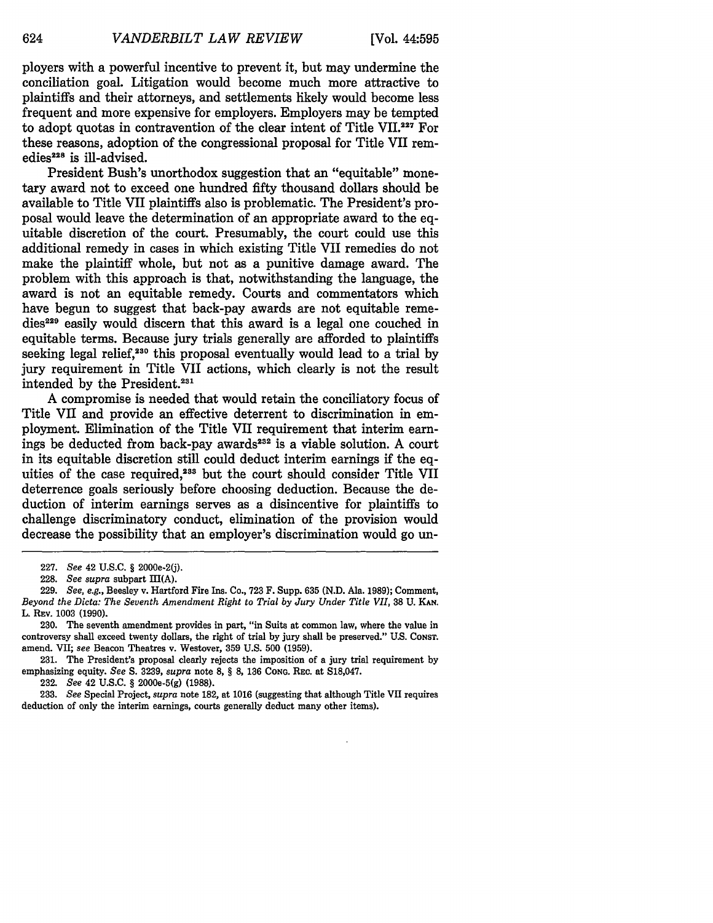ployers with a powerful incentive to prevent it, but may undermine the conciliation goal. Litigation would become much more attractive to plaintiffs and their attorneys, and settlements likely would become less frequent and more expensive for employers. Employers may be tempted to adopt quotas in contravention of the clear intent of Title VII.<sup>227</sup> For these reasons, adoption of the congressional proposal for Title VII remedies<sup>228</sup> is ill-advised.

President Bush's unorthodox suggestion that an "equitable" monetary award not to exceed one hundred fifty thousand dollars should be available to Title VII plaintiffs also is problematic. The President's proposal would leave the determination of an appropriate award to the equitable discretion of the court. Presumably, the court could use this additional remedy in cases in which existing Title VII remedies do not make the plaintiff whole, but not as a punitive damage award. The problem with this approach is that, notwithstanding the language, the award is not an equitable remedy. Courts and commentators which have begun to suggest that back-pay awards are not equitable remedies<sup>229</sup> easily would discern that this award is a legal one couched in equitable terms. Because jury trials generally are afforded to plaintiffs seeking legal relief,<sup>230</sup> this proposal eventually would lead to a trial by jury requirement in Title VII actions, which clearly is not the result intended by the President.23'

A compromise is needed that would retain the conciliatory focus of Title VII and provide an effective deterrent to discrimination in employment. Elimination of the Title VII requirement that interim earnings be deducted from back-pay awards<sup>232</sup> is a viable solution. A court in its equitable discretion still could deduct interim earnings if the equities of the case required,<sup>233</sup> but the court should consider Title VII deterrence goals seriously before choosing deduction. Because the deduction of interim earnings serves as a disincentive for plaintiffs to challenge discriminatory conduct, elimination of the provision would decrease the possibility that an employer's discrimination would go un-

**232.** *See* 42 **U.S.C.** § 2000e-5(g) **(1988).**

**233.** *See* Special Project, *supra* note **182,** at **1016** (suggesting that although Title VII requires deduction of only the interim earnings, courts generally deduct many other items).

<sup>227.</sup> *See* 42 **U.S.C.** § 2000e-2(j).

<sup>228.</sup> *See supra* subpart III(A).

<sup>229.</sup> *See, e.g.,* Beesley v. Hartford Fire Ins. Co., 723 F. Supp. **635** (N.D. Ala. 1989); Comment, *Beyond the Dicta: The Seventh Amendment Right to Trial by Jury Under Title VII,* 38 U. **KAN.** L. REv. 1003 (1990).

<sup>230.</sup> The seventh amendment provides in part, "in Suits at common law, where the value in controversy shall exceed twenty dollars, the right of trial **by** jury shall be preserved." **U.S. CONST.** amend. VII; *see* Beacon Theatres v. Westover, **359 U.S. 500 (1959).**

**<sup>231.</sup>** The President's proposal clearly rejects the imposition of a jury trial requirement **by** emphasizing equity. *See S.* **3239,** *supra* note **8,** § **8, 136 CONG.** REc. at **S18,047.**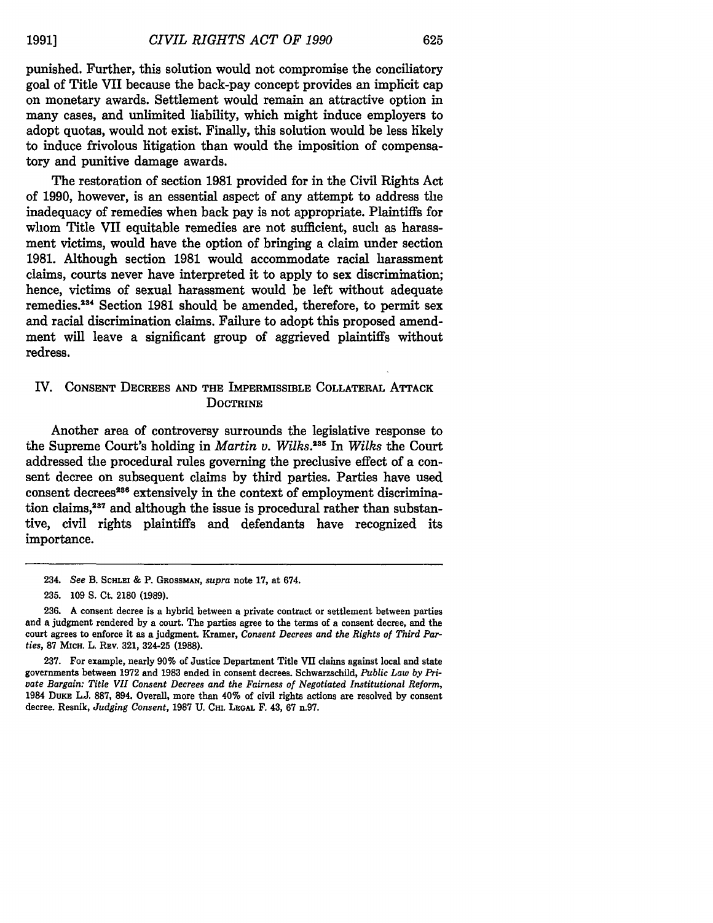punished. Further, this solution would not compromise the conciliatory goal of Title VII because the back-pay concept provides an implicit cap on monetary awards. Settlement would remain an attractive option in many cases, and unlimited liability, which might induce employers to adopt quotas, would not exist. Finally, this solution would be less likely to induce frivolous litigation than would the imposition of compensatory and punitive damage awards.

The restoration of section **1981** provided for in the Civil Rights Act of **1990,** however, is an essential aspect of any attempt to address the inadequacy of remedies when back pay is not appropriate. Plaintiffs for whom Title VII equitable remedies are not sufficient, such as harassment victims, would have the option of bringing a claim under section **1981.** Although section **1981** would accommodate racial harassment claims, courts never have interpreted it to apply to sex discrimination; hence, victims of sexual harassment would be left without adequate remedies.2 4 Section **1981** should be amended, therefore, to permit sex and racial discrimination claims. Failure to adopt this proposed amendment will leave a significant group of aggrieved plaintiffs without redress.

# IV. **CONSENT** DECREES **AND** THE IMPERMISSIBLE COLLATERAL **ATTACK DOCTRINE**

Another area of controversy surrounds the legislative response to the Supreme Court's holding in *Martin v. Wilks. 5 In Wilks* the Court addressed the procedural rules governing the preclusive effect of a consent decree on subsequent claims **by** third parties. Parties have used consent decrees<sup>236</sup> extensively in the context of employment discrimination claims,<sup>237</sup> and although the issue is procedural rather than substantive, civil rights plaintiffs and defendants have recognized its importance.

<sup>234.</sup> *See* B. **ScHL-** & P. **GROSSMAN,** *supra* note 17, at 674.

<sup>235. 109</sup> **S.** Ct. 2180 (1989).

<sup>236.</sup> A consent decree is a hybrid between a private contract or settlement between parties and a judgment rendered by a court. The parties agree to the terms of a consent decree, and the court agrees to enforce it as a judgment. Kramer, *Consent Decrees and the Rights of Third Parties,* **87 MICH.** L. REv. 321, 324-25 (1988).

<sup>237.</sup> For example, nearly 90% of Justice Department Title VII claims against local and state governments between 1972 and 1983 ended in consent decrees. Schwarzschild, *Public Law by Private Bargain: Title VII Consent Decrees and the Fairness of Negotiated Institutional Reform,* 1984 Duas L.J. **887,** 894. Overall, more than 40% of civil rights actions are resolved by consent decree. Resnik, *Judging Consent,* 1987 U. **CHL** *LEGAL* F. 43, 67 n.97.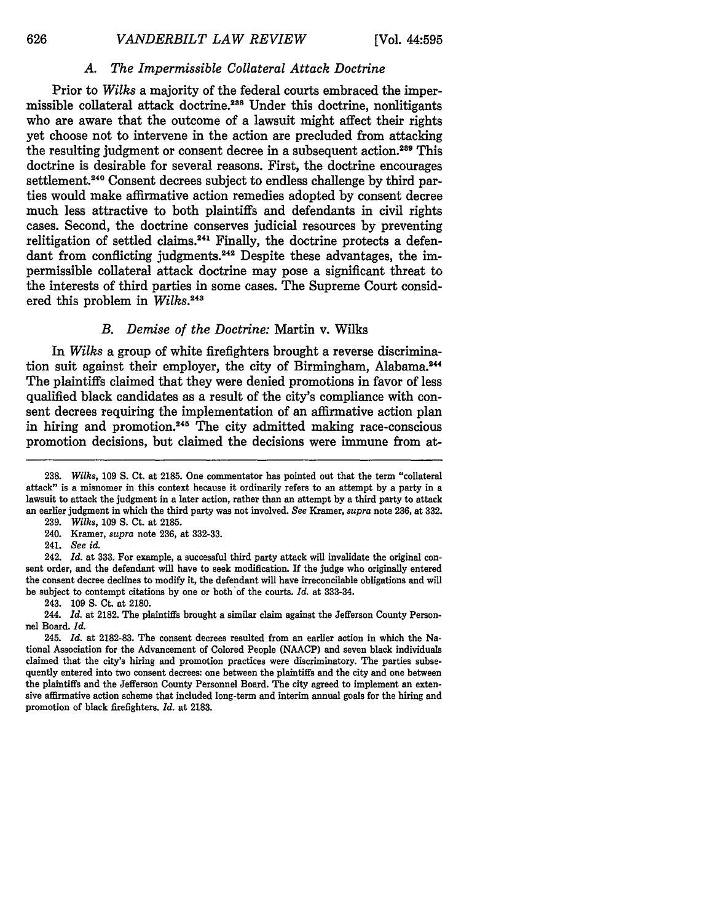# *A. The Impermissible Collateral Attack Doctrine*

Prior to *Wilks* a majority of the federal courts embraced the impermissible collateral attack doctrine.<sup>238</sup> Under this doctrine, nonlitigants who are aware that the outcome of a lawsuit might affect their rights yet choose not to intervene in the action are precluded from attacking the resulting judgment or consent decree in a subsequent action.<sup>239</sup> This doctrine is desirable for several reasons. First, the doctrine encourages settlement.<sup>240</sup> Consent decrees subject to endless challenge by third parties would make affirmative action remedies adopted **by** consent decree much less attractive to both plaintiffs and defendants in civil rights cases. Second, the doctrine conserves judicial resources **by** preventing relitigation of settled claims.<sup>241</sup> Finally, the doctrine protects a defendant from conflicting judgments.<sup>242</sup> Despite these advantages, the impermissible collateral attack doctrine may pose a significant threat to the interests of third parties in some cases. The Supreme Court considered this problem in *Wilks. <sup>45</sup>*

# *B. Demise of the Doctrine:* Martin v. Wilks

In *Wilks* a group of white firefighters brought a reverse discrimination suit against their employer, the city of Birmingham, Alabama.<sup>24</sup> The plaintiffs claimed that they were denied promotions in favor of less qualified black candidates as a result of the city's compliance with consent decrees requiring the implementation of an affirmative action plan in hiring and promotion.<sup>245</sup> The city admitted making race-conscious promotion decisions, but claimed the decisions were immune from at-

242. *Id.* at **333.** For example, a successful third party attack will invalidate the original consent order, and the defendant will have to seek modification. If the judge who originally entered the consent decree declines to modify it, the defendant will have irreconcilable obligations and will be subject to contempt citations **by** one or both'of the courts. *Id.* at **333-34.**

243. **109 S.** Ct. at **2180.**

**<sup>238.</sup>** *Wilks,* **109 S.** Ct. at **2185.** One commentator has pointed out that the term "collateral attack" is a misnomer in this context because it ordinarily refers to an attempt **by** a party in a lawsuit to attack the judgment in a later action, rather than an attempt **by** a third party to attack an earlier judgment in which the third party was not involved. *See* Kramer, *supra* note **236,** at **332.**

**<sup>239.</sup>** *Wilks,* **109 S.** Ct. at **2185.**

<sup>240.</sup> Kramer, *supra* note **236,** at **332-33.**

<sup>241.</sup> *See id.*

<sup>244.</sup> *Id.* at **2182.** The plaintiffs brought a similar claim against the Jefferson County Personnel Board. *Id.*

<sup>245.</sup> *Id.* at **2182-83.** The consent decrees resulted from an earlier action in which the National Association for the Advancement of Colored People **(NAACP)** and seven black individuals claimed that the city's hiring and promotion practices were discriminatory. The parties subsequently entered into two consent decrees: one between the plaintiffs and the city and one between the plaintiffs and the Jefferson County Personnel Board. The city agreed to implement an extensive affirmative action scheme that included long-term and interim annual goals for the hiring and promotion of black firefighters. *Id.* at **2183.**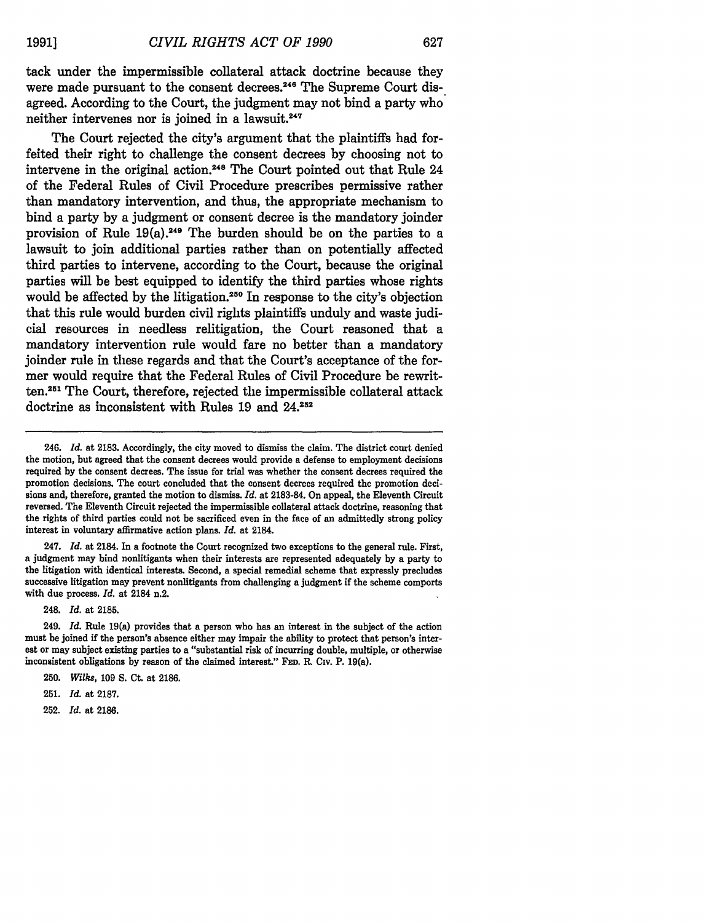tack under the impermissible collateral attack doctrine because they were made pursuant to the consent decrees.<sup>246</sup> The Supreme Court disagreed. According to the Court, the judgment may not bind a party who neither intervenes nor is joined in a lawsuit.<sup>247</sup>

The Court rejected the city's argument that the plaintiffs had forfeited their right to challenge the consent decrees **by** choosing not to intervene in the original action.<sup>248</sup> The Court pointed out that Rule 24 of the Federal Rules of Civil Procedure prescribes permissive rather than mandatory intervention, and thus, the appropriate mechanism to bind a party **by** a judgment or consent decree is the mandatory joinder provision of Rule  $19(a)$ .<sup>249</sup> The burden should be on the parties to a lawsuit to join additional parties rather than on potentially affected third parties to intervene, according to the Court, because the original parties will be best equipped to identify the third parties whose rights would be affected by the litigation.<sup>250</sup> In response to the city's objection that this rule would burden civil rights plaintiffs unduly and waste judicial resources in needless relitigation, the Court reasoned that a mandatory intervention rule would fare no better than a mandatory joinder rule in these regards and that the Court's acceptance of the former would require that the Federal Rules of Civil Procedure be rewrit**ten.2 <sup>51</sup>**The Court, therefore, rejected the impermissible collateral attack doctrine as inconsistent with Rules **19** and **24.252**

247. *Id.* at 2184. In a footnote the Court recognized two exceptions to the general rule. First, a judgment may bind nonlitigants when their interests are represented adequately **by** a party to the litigation with identical interests. Second, a special remedial scheme that expressly precludes successive litigation may prevent nonlitigants from challenging a judgment if the scheme comports with due process. *Id.* at 2184 n.2.

248. *Id.* at **2185.**

249. *Id.* Rule 19(a) provides that a person who has an interest in the subject of the action must be joined if the person's absence either may **impair** the ability **to** protect that person's interest or may subject existing parties to a "substantial risk of incurring double, multiple, or otherwise inconsistent obligations **by** reason of the claimed interest." **FED. R** Civ. P. 19(a).

- 250. *Wilks,* **109 S.** Ct. at **2186.**
- 251. *Id.* at **2187.**
- **252.** *Id.* at **2186.**

<sup>246.</sup> *Id.* at **2183.** Accordingly, the city moved to dismiss the claim. The district court denied the motion, but agreed that the consent decrees would provide a defense to employment decisions required **by** the consent decrees. The issue for trial was whether the consent decrees required the promotion decisions. The court concluded that the consent decrees required the promotion decisions and, therefore, granted the motion to dismiss. *Id.* at **2183-84.** On appeal, the Eleventh Circuit reversed. The Eleventh Circuit rejected the impermissible collateral attack doctrine, reasoning that the rights of third parties could not be sacrificed even in the face of an admittedly strong policy interest in voluntary affirmative action plans. *Id.* at 2184.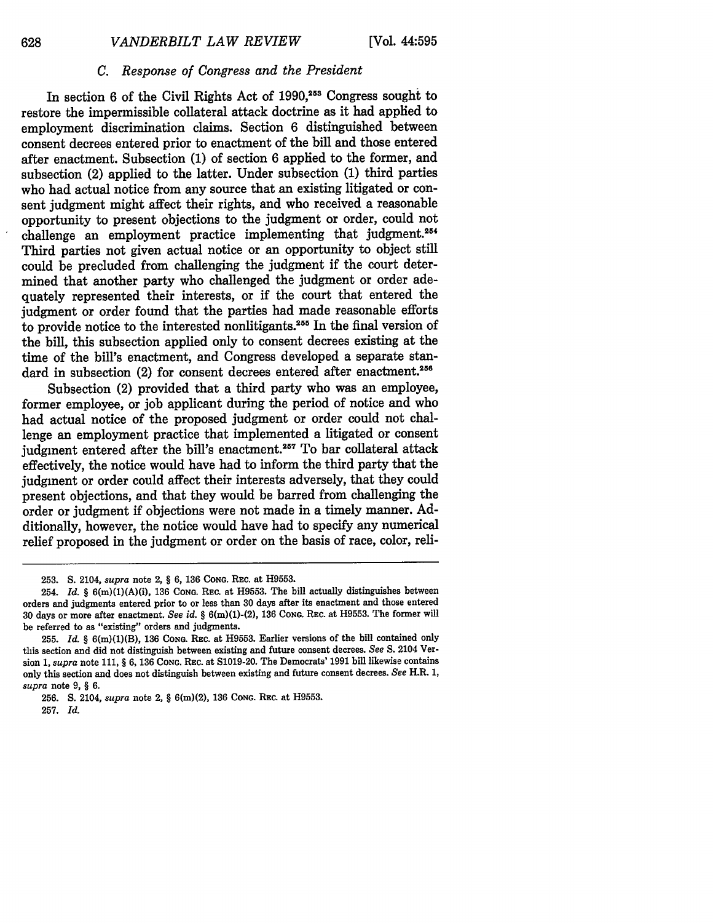# *C. Response of Congress and the President*

In section 6 of the Civil Rights Act of 1990,<sup>253</sup> Congress sought to restore the impermissible collateral attack doctrine as it had applied to employment discrimination claims. Section 6 distinguished between consent decrees entered prior to enactment of the bill and those entered after enactment. Subsection (1) of section 6 applied to the former, and subsection (2) applied to the latter. Under subsection (1) third parties who had actual notice from any source that an existing litigated or consent judgment might affect their rights, and who received a reasonable opportunity to present objections to the judgment or order, could not challenge an employment practice implementing that judgment.<sup>254</sup> Third parties not given actual notice or an opportunity to object still could be precluded from challenging the judgment if the court determined that another party who challenged the judgment or order adequately represented their interests, or if the court that entered the judgment or order found that the parties had made reasonable efforts to provide notice to the interested nonlitigants.255 In the final version of the bill, this subsection applied only to consent decrees existing at the time of the bill's enactment, and Congress developed a separate standard in subsection (2) for consent decrees entered after enactment.<sup>256</sup>

Subsection (2) provided that a third party who was an employee, former employee, or job applicant during the period of notice and who had actual notice of the proposed judgment or order could not challenge an employment practice that implemented a litigated or consent judgment entered after the bill's enactment.<sup>257</sup> To bar collateral attack effectively, the notice would have had to inform the third party that the judgment or order could affect their interests adversely, that they could present objections, and that they would be barred from challenging the order or judgment if objections were not made in a timely manner. Additionally, however, the notice would have had to specify any numerical relief proposed in the judgment or order on the basis of race, color, reli-

**<sup>253.</sup> S.** 2104, *supra* note 2, § **6, 136 CONG.** REc. at **H9553.**

<sup>254.</sup> *Id.* § 6(m)(1)(A)(i), **136 CONG.** REc. at H9553. The bill actually distinguishes between orders and judgments entered prior to or less than **30** days after its enactment and those entered 30 days or more after enactment. *See id.* § 6(m)(1)-(2), 136 **CONG.** REc. at H9553. The former will be referred to as "existing" orders and judgments.

<sup>255.</sup> *Id.* § 6(m)(1)(B), 136 **CoNG.** Rac. at H9553. Earlier versions of the bill contained only this section and did not distinguish between existing and future consent decrees. *See* S. 2104 Version 1, *supra* note 111, § 6, 136 CoNG. REc. at S1019-20. The Democrats' 1991 bill likewise contains only this section and does not distinguish between existing and future consent decrees. *See* H.R. 1, *supra* note 9, § 6.

<sup>256.</sup> S. 2104, *supra* note 2, § 6(m)(2), 136 **CONG.** REC. at H9553.

<sup>257.</sup> *Id.*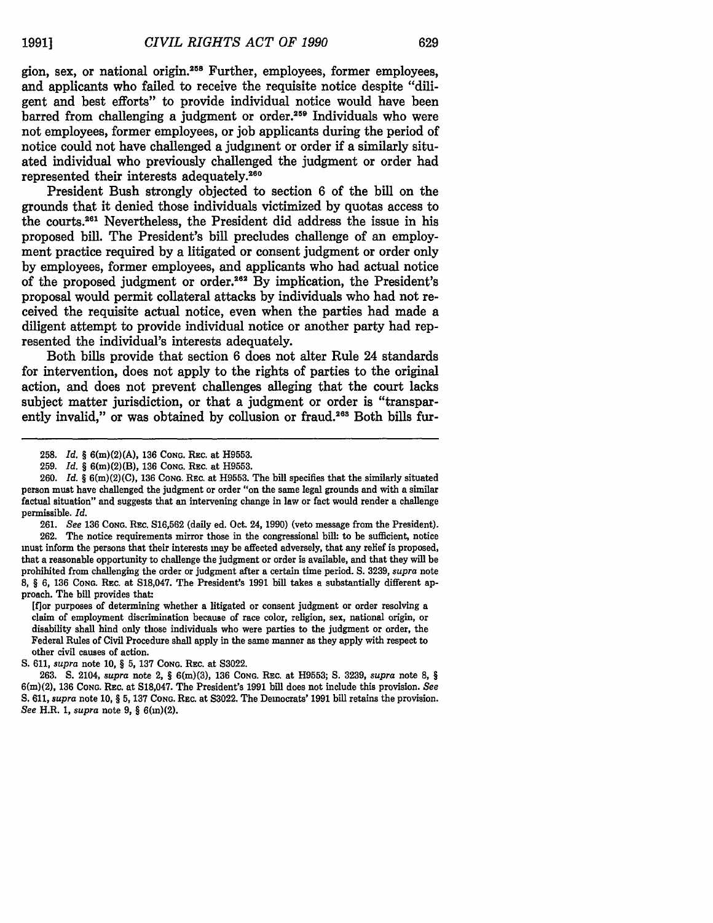gion, sex, or national origin.<sup>258</sup> Further, employees, former employees, and applicants who failed to receive the requisite notice despite "diligent and best efforts" to provide individual notice would have been barred from challenging a judgment or order.<sup>259</sup> Individuals who were not employees, former employees, or **job** applicants during the period of notice could not have challenged a judgment or order if a similarly situated individual who previously challenged the judgment or order had represented their interests adequately.<sup>260</sup>

President Bush strongly objected to section **6** of the **bill** on the grounds that it denied those individuals victimized **by** quotas access to the courts.2 61 Nevertheless, the President did address the issue in his proposed bill. The President's bill precludes challenge of an employment practice required **by** a litigated or consent judgment or order only **by** employees, former employees, and applicants who had actual notice of the proposed judgment or order.262 **By** implication, the President's proposal would permit collateral attacks **by** individuals who had not received the requisite actual notice, even when the parties had made a diligent attempt to provide individual notice or another party had represented the individual's interests adequately.

Both bills provide that section **6** does not alter Rule 24 standards for intervention, does not apply to the rights of parties to the original action, and does not prevent challenges alleging that the court lacks subject matter jurisdiction, or that a judgment or order is "transparently invalid," or was obtained by collusion or fraud.<sup>263</sup> Both bills fur-

**261.** *See* **136 CONG. REc. S16,562** (daily ed. Oct. 24, **1990)** (veto message from the President). **262.** The notice requirements mirror those in the congressional **bill:** to be sufficient, notice must inform the persons that their interests may be affected adversely, that any relief is proposed, that a reasonable opportunity to challenge the judgment or order is available, and that they will be prohibited from challenging the order or judgment after a certain time period. **S. 3239,** *supra* note **8,** *§* **6, 136 CONG.** REC. at **S18,047.** The President's **1991** bill takes a substantially different approach. The bill provides that:

[f]or purposes of determining whether a litigated or consent judgment or order resolving a claim of employment discrimination because of race color, religion, sex, national origin, or disability shall bind only those individuals who were parties to the judgment or order, the Federal Rules of Civil Procedure shall apply in the same manner as they apply with respect to **other** civil causes of action.

**S. 611,** *supra* note **10,** *§* **5, 137 CONG. REc.** at **S3022.**

**263. S.** 2104, *supra* note 2, *§* 6(m)(3), **136 CONG.** REc. at **H9553; S. 3239,** *supra* note **8,** *§* 6(m)(2), **136 CONG. REc.** at **S18,047.** The President's **1991 bill** does not include this provision. *See* **S. 611,** *supra* note **10, § 5, 137 CONG. REc. at S3022.** The Democrats' **1991** bill retains the provision. *See* H.R. **1,** *supra* note **9, §** 6(m)(2).

**<sup>258.</sup>** *Id. §* 6(m)(2)(A), **136 CONG.** REc. at **H9553.**

**<sup>259.</sup>** *Id. §* 6(m)(2)(B), **136 CONG.** REc. at **H9553.**

**<sup>260.</sup>** *Id. §* 6(m)(2)(C), **136 CONG.** REc. at **H9553.** The bill specifies that the similarly situated person must have challenged the judgment or order "on the same legal grounds and with a similar factual situation" and suggests that an intervening change in law or fact would render a challenge permissible. *Id.*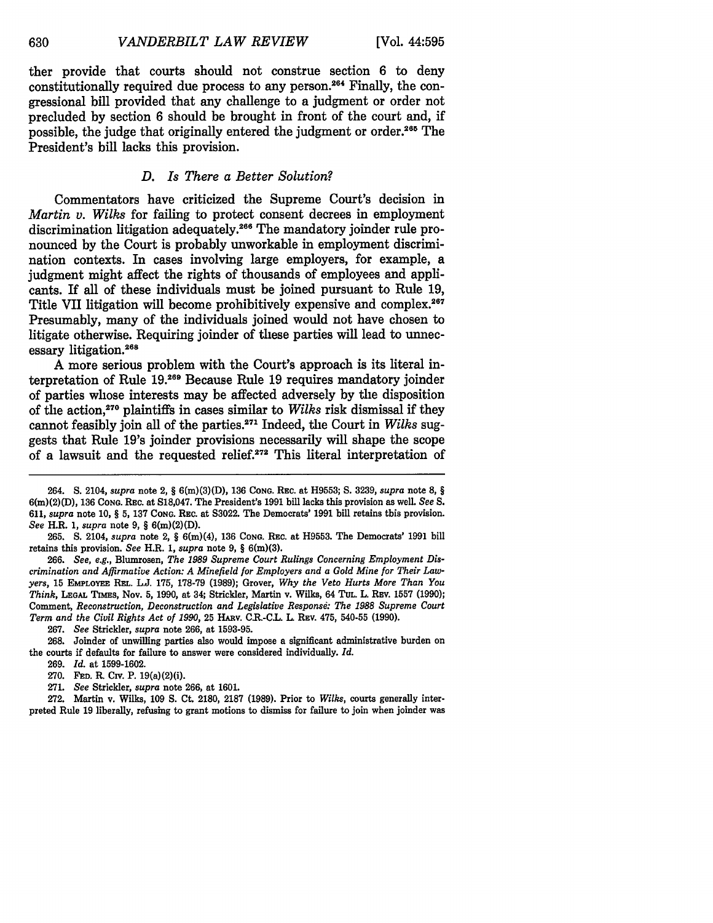ther provide that courts should not construe section **6** to deny constitutionally required due process to any person.264 Finally, the congressional bill provided that any challenge to a judgment or order not precluded **by** section **6** should be brought in front of the court and, if possible, the judge that originally entered the judgment or order.<sup>265</sup> The President's bill lacks this provision.

# *D. Is There a Better Solution?*

Commentators have criticized the Supreme Court's decision in *Martin v. Wilks* for failing to protect consent decrees in employment discrimination litigation adequately.266 The mandatory joinder rule pronounced **by** the Court is probably unworkable in employment discrimination contexts. In cases involving large employers, for example, a judgment might affect the rights of thousands of employees and applicants. If all of these individuals must be joined pursuant to Rule **19,** Title VII litigation will become prohibitively expensive and complex.<sup>267</sup> Presumably, many of the individuals joined would not have chosen to litigate otherwise. Requiring joinder of these parties will lead to unnecessary litigation.268

**A** more serious problem with the Court's approach is its literal interpretation of Rule **19.269** Because Rule **19** requires mandatory joinder of parties whose interests may be affected adversely **by** the disposition of the action,270 plaintiffs in cases similar to *Wilks* risk dismissal if they cannot feasibly join all of the parties.271 Indeed, the Court in *Wilks* suggests that Rule 19's joinder provisions necessarily will shape the scope of a lawsuit and the requested relief.272 This literal interpretation of

**265. S.** 2104, *supra* note 2, § 6(m)(4), **136 CONG.** REC. at **H9553.** The Democrats' **1991** bill retains this provision. *See* H.R. **1,** *supra* note **9,** § 6(m)(3).

266. *See, e.g.,* Blumrosen, *The 1989 Supreme Court Rulings Concerning Employment Discrimination and Affirmative Action: A Minefield for Employers and a Gold Mine for Their Lawyers,* **15** EMPLOYEE **REL. L.J. 175, 178-79 (1989); Grover,** *Why the Veto Hurts More Than You Think,* **LEGAL** TnmEs, Nov. 5, 1990, at 34; Strickler, Martin v. Wilks, 64 TUL. L. **REV. 1557 (1990);** Comment, *Reconstruction, Deconstruction and Legislative Response: The 1988 Supreme Court Term and the Civil Rights Act of 1990,* 25 HARv. CR-C.L. L. REv. 475, 540-55 (1990).

267. *See* Strickler, *supra* **note 266,** at 1593-95.

268. Joinder of unwilling parties also would impose a significant administrative burden on the courts if defaults for failure to answer were considered individually. *Id.*

272. Martin v. Wilks, 109 **S.** Ct. 2180, 2187 (1989). Prior to *Wilks,* courts generally interpreted Rule **19** liberally, refusing to grant motions to dismiss for failure to join when joinder was

630

<sup>264.</sup> **S.** 2104, *supra* note 2, § **6(m)(3)(D), 136 CONG. REC. at H9553; S. 3239,** *supra* note **8,** § 6(m)(2)(D), **136 CONG.** Rac. at **S18,047.** The President's **1991** bill lacks this provision as well. *See S.* **611,** *supra* note **10,** § **5, 137 CONG.** REC. at **S3022.** The Democrats' **1991** bill retains this provision. *See* H.R. *1, supra* note **9,** § 6(m)(2)(D).

<sup>269.</sup> *Id.* at 1599-1602.

<sup>270.</sup> **FED.** R. **CIv.** P. 19(a)(2)(i).

<sup>271.</sup> *See* Strickler, *supra* note **266,** at 1601.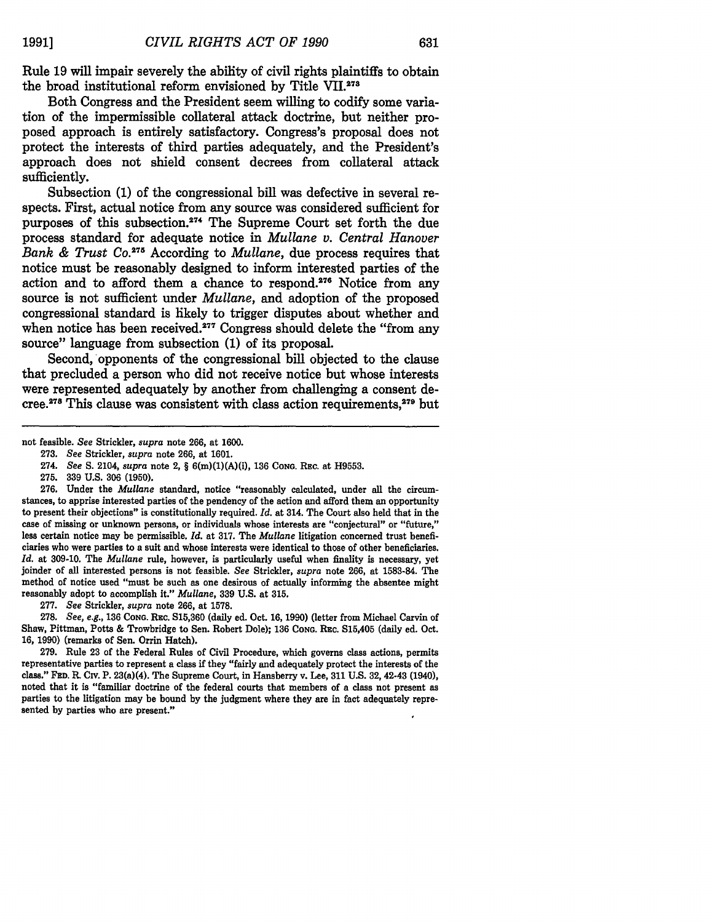Rule **19** will impair severely the ability of civil rights plaintiffs to obtain the broad institutional reform envisioned by Title VII.<sup>273</sup>

Both Congress and the President seem willing to codify some variation of the impermissible collateral attack doctrine, but neither proposed approach is entirely satisfactory. Congress's proposal does not protect the interests of third parties adequately, and the President's approach does not shield consent decrees from collateral attack sufficiently.

Subsection **(1)** of the congressional bill was defective in several respects. First, actual notice from any source was considered sufficient for purposes of this subsection.274 The Supreme Court set forth the due process standard for adequate notice in *Mullane v. Central Hanover Bank & Trust Co.275* According to *Mullane,* due process requires that notice must be reasonably designed to inform interested parties of the action and to afford them a chance to respond.<sup>276</sup> Notice from any source is not sufficient under *Mullane,* and adoption of the proposed congressional standard is likely to trigger disputes about whether and when notice has been received. $277$  Congress should delete the "from any source" language from subsection (1) of its proposal.

Second, opponents of the congressional bill objected to the clause that precluded a person who did not receive notice but whose interests were represented adequately by another from challenging a consent decree.<sup>278</sup> This clause was consistent with class action requirements,<sup>279</sup> but

**277.** See Strickler, *supra* note **266,** at **1578.**

**278.** *See, e.g.,* **136 CONG. REC. S15,360** (daily ed. Oct. **16, 1990)** (letter from Michael Carvin of Shaw, Pittman, Potts **&** Trowbridge to Sen. Robert Dole); **136 CONG.** Rac. **S15,405** (daily ed. Oct. **16, 1990)** (remarks of Sen. Orrin Hatch).

**279.** Rule **23** of the Federal Rules of Civil Procedure, which governs class actions, permits representative parties to represent a class if they "fairly and adequately protect the interests of the class." **FED.** R. Civ. P. 23(a)(4). The Supreme Court, in Hansberry v. Lee, **311 U.S.** 32, 42-43 (1940), noted that it is "familiar doctrine of the federal courts that members of a class not present as parties to the litigation may be bound **by** the judgment where they are in fact adequately represented **by** parties who are present."

not feasible. *See* Strickler, *supra* note 266, at 1600.

<sup>273.</sup> See Strickler, *supra* note 266, at 1601.

<sup>274.</sup> *See* **S.** 2104, *supra* note 2, § 6(m)(1)(A)(i), 136 CONG. Rac. at H9553.

<sup>275.</sup> **339** U.S. **306 (1950).**

<sup>276.</sup> Under the *Mullane* standard, notice "reasonably calculated, under all the circumstances, to apprise interested parties of the pendency of the action and afford them an opportunity to present their objections" is constitutionally required. *Id.* at 314. The Court also held that in the case of missing or unknown persons, or individuals whose interests are "conjectural" or "future," less certain notice may be permissible. *Id.* at 317. The *Mullane* litigation concerned trust beneficiaries who were parties to a suit and whose interests were identical to those of other beneficiaries. *Id.* at **309-10.** The *Mullane* rule, however, is particularly useful when finality is necessary, yet joinder of all interested persons is not feasible. See Strickler, *supra* note **266,** at **1583-84.** The method of notice used "must be such as one desirous of actually informing the absentee might reasonably adopt to accomplish it." *Mullane,* **339 U.S.** at **315.**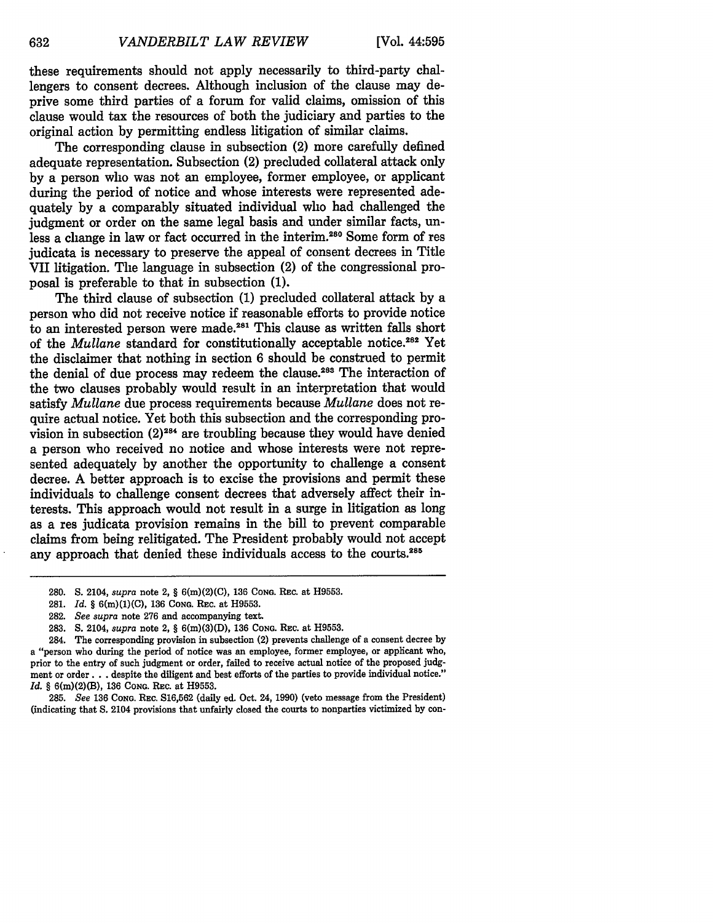these requirements should not apply necessarily to third-party challengers to consent decrees. Although inclusion of the clause may deprive some third parties of a forum for valid claims, omission of this clause would tax the resources of both the judiciary and parties to the original action by permitting endless litigation of similar claims.

The corresponding clause in subsection (2) more carefully defined adequate representation. Subsection (2) precluded collateral attack only by a person who was not an employee, former employee, or applicant during the period of notice and whose interests were represented adequately by a comparably situated individual who had challenged the judgment or order on the same legal basis and under similar facts, unless a change in law or fact occurred in the interim.<sup>280</sup> Some form of res judicata is necessary to preserve the appeal of consent decrees in Title VII litigation. The language in subsection (2) of the congressional proposal is preferable to that in subsection (1).

The third clause of subsection (1) precluded collateral attack by a person who did not receive notice if reasonable efforts to provide notice to an interested person were made.<sup>281</sup> This clause as written falls short of the *Mullane* standard for constitutionally acceptable notice.282 Yet the disclaimer that nothing in section 6 should be construed to permit the denial of due process may redeem the clause.<sup>283</sup> The interaction of the two clauses probably would result in an interpretation that would satisfy *Mullane* due process requirements because *Mullane* does not require actual notice. Yet both this subsection and the corresponding provision in subsection (2)284 are troubling because they would have denied a person who received no notice and whose interests were not represented adequately by another the opportunity to challenge a consent decree. A better approach is to excise the provisions and permit these individuals to challenge consent decrees that adversely affect their interests. This approach would not result in a surge in litigation as long as a res judicata provision remains in the bill to prevent comparable claims from being relitigated. The President probably would not accept any approach that denied these individuals access to the courts.<sup>285</sup>

285. *See* **136 CONG.** REC. S16,562 (daily ed. Oct. 24, 1990) (veto message from the President) (indicating that **S.** 2104 provisions that unfairly closed the courts to nonparties victimized by con-

<sup>280.</sup> S. 2104, *supra* note 2, § 6(m)(2)(C), 136 **CONG. REc.** at H9553.

<sup>281.</sup> *Id.* § 6(m)(1)(C), **136 CONG.** REc. at H9553.

<sup>282.</sup> *See supra* note 276 and accompanying text.

<sup>283.</sup> S. 2104, *supra* note 2, § 6(m)(3)(D), **136 CONG. REc.** at H9553.

<sup>284.</sup> The corresponding provision in subsection (2) prevents challenge of a consent decree by a "person who during the period of notice was an employee, former employee, or applicant who, prior to the entry of such judgment or order, failed to receive actual notice of the proposed judgment or order **...** despite the diligent and best efforts of the parties to provide individual notice." *Id.* § 6(m)(2)(B), 136 Cong. Rec. at H9553.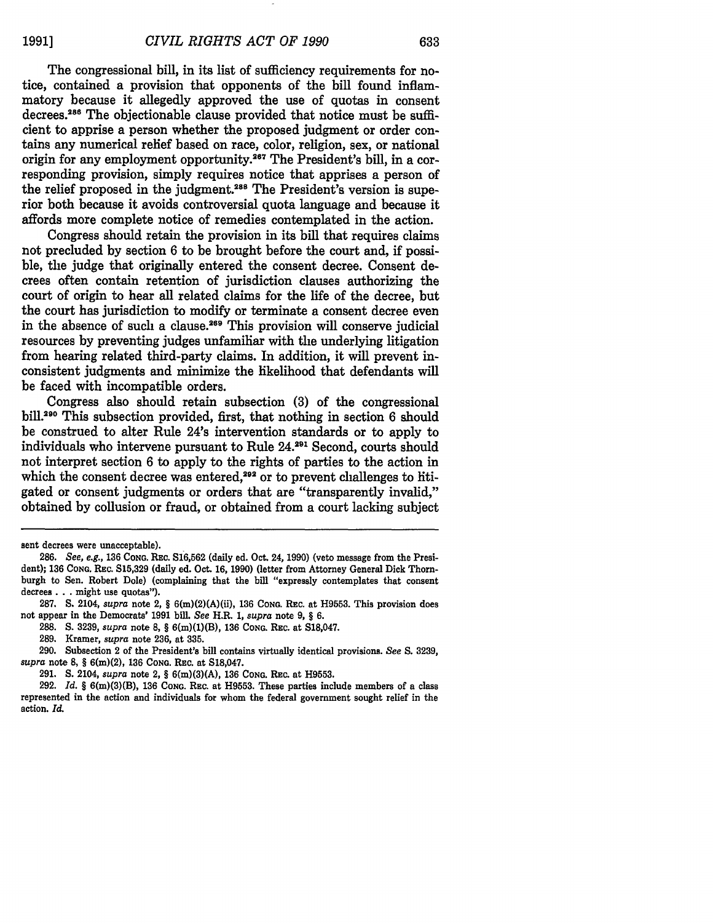The congressional bill, in its list of sufficiency requirements for notice, contained a provision that opponents of the bill found inflammatory because it allegedly approved the use of quotas in consent decrees.<sup>286</sup> The objectionable clause provided that notice must be sufficient to apprise a person whether the proposed judgment or order contains any numerical relief based on race, color, religion, sex, or national origin for any employment opportunity.<sup>267</sup> The President's bill, in a corresponding provision, simply requires notice that apprises a person of the relief proposed in the judgment.<sup>288</sup> The President's version is superior both because it avoids controversial quota language and because it affords more complete notice of remedies contemplated in the action.

Congress should retain the provision in its bill that requires **claims** not precluded **by** section **6** to be brought before the court and, if possible, the judge that originally entered the consent decree. Consent decrees often contain retention of jurisdiction clauses authorizing the court of origin to hear all related claims for the life of the decree, but the court has jurisdiction to modify or terminate a consent decree even in the absence of such a clause.<sup>269</sup> This provision will conserve judicial resources by preventing judges unfamiliar with the underlying litigation from hearing related third-party claims. In addition, it will prevent inconsistent judgments and minimize the likelihood that defendants will be faced with incompatible orders.

Congress also should retain subsection (3) of the congressional bill.2 90 This subsection provided, first, that nothing in section 6 should be construed to alter Rule 24's intervention standards or to apply to individuals who intervene pursuant to Rule 24.<sup>291</sup> Second, courts should not interpret section 6 to apply to the rights of parties to the action in which the consent decree was entered, $292$  or to prevent challenges to htigated or consent judgments or orders that are "transparently invalid," obtained by collusion or fraud, or obtained from a court lacking subject

sent decrees were unacceptable).

**<sup>286.</sup>** *See, e.g.,* **136 CONG.** REc. **S16,562** (daily ed. Oct. 24, **1990)** (veto message from the President); **136 CONG. REc. S15,329** (daily ed. Oct. **16, 1990)** (letter from Attorney General Dick Thornburgh to Sen. Robert Dole) (complaining that the bill "expressly contemplates that consent decrees **...** might use quotas").

**<sup>287.</sup> S.** 2104, *supra* note 2, § 6(m)(2)(A)(ii), **136 CONG.** REc. at **H9553.** This provision does not appear in the Democrats' **1991** bill. *See* H.R. **1,** *supra* note **9,** § **6.**

**<sup>288.</sup> S. 3239,** *supra* note **8,** § 6(m)(1)(B), **136 CONG.** REc. at **S18,047.**

**<sup>289.</sup>** Kramer, *supra* note **236,** at **335.**

**<sup>290.</sup>** Subsection 2 of the President's bill contains virtually identical provisions. *See S.* **3239,** *supra* note **8,** § 6(m)(2), **136 CONG.** REc. at **S18,047.**

**<sup>291.</sup> S.** 2104, *supra* note 2, § 6(m)(3)(A), **136 CONG.** Rac. at **H9553.**

**<sup>292.</sup>** *Id.* § 6(m)(3)(B), **136 CoNG.** REc. at **H9553.** These parties include members of a class represented in the action and individuals for whom the federal government sought relief in the action. *Id.*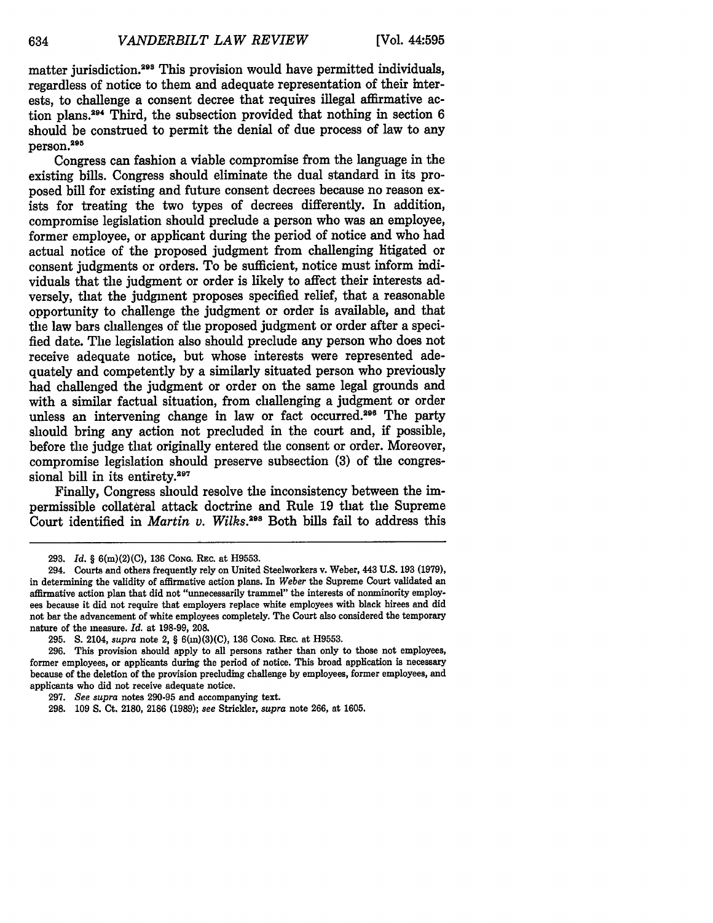matter jurisdiction.<sup>293</sup> This provision would have permitted individuals. regardless of notice to them and adequate representation of their interests, to challenge a consent decree that requires illegal affirmative action plans.2" Third, the subsection provided that nothing in section **6** should be construed to permit the denial of due process of law to any person.295

Congress can fashion a viable compromise from the language in the existing bills. Congress should eliminate the dual standard in its proposed bill for existing and future consent decrees because no reason exists for treating the two types of decrees differently. In addition, compromise legislation should preclude a person who was an employee, former employee, or applicant during the period of notice and who had actual notice of the proposed judgment from challenging litigated or consent judgments or orders. To be sufficient, notice must inform individuals that the judgment or order is likely to affect their interests adversely, that the judgment proposes specified relief, that a reasonable opportunity to challenge the judgment or order is available, and that the law bars challenges of the proposed judgment or order after a specified date. The legislation also should preclude any person who does not receive adequate notice, but whose interests were represented adequately and competently **by** a similarly situated person who previously had challenged the judgment or order on the same legal grounds and with a similar factual situation, from challenging a judgment or order unless an intervening change in law or fact occurred.<sup>296</sup> The party should bring any action not precluded in the court and, if possible, before the judge that originally entered the consent or order. Moreover, compromise legislation should preserve subsection **(3)** of the congressional bill in its entirety.<sup>297</sup>

Finally, Congress should resolve the inconsistency between the impermissible collateral attack doctrine and Rule **19** that the Supreme Court identified in *Martin v. Wilks.298* Both bills fall to address this

**<sup>293.</sup>** *Id. §* 6(m)(2)(C), **136 CONG.** Rac. at **H9553.**

<sup>294.</sup> Courts and others frequently rely on United Steelworkers v. Weber, 443 **U.S. 193 (1979),** in determining the validity of affirmative action plans. In *Weber* the Supreme Court validated an affirmative action plan that did not "unnecessarily trammel" the interests of nonminority employees because it did not require that employers replace white employees with black hirees and did not bar the advancement of white employees completely. The Court also considered the temporary nature of the measure. *Id.* at **198-99, 208.**

**<sup>295.</sup> S.** 2104, *supra* note 2, § 6(m)(3)(C), **136 CONG.** REc. at **H9553.**

**<sup>296.</sup>** This provision should apply to all persons rather than only to those not employees, former employees, or applicants during the period of notice. This broad application is necessary because of the deletion of the provision precluding challenge **by** employees, former employees, and applicants who did not receive adequate notice.

**<sup>297.</sup>** *See supra* notes **290-95** and accompanying text.

<sup>298. 109</sup> **S.** Ct. 2180, 2186 (1989); *see* Strickler, *supra* note 266, at 1605.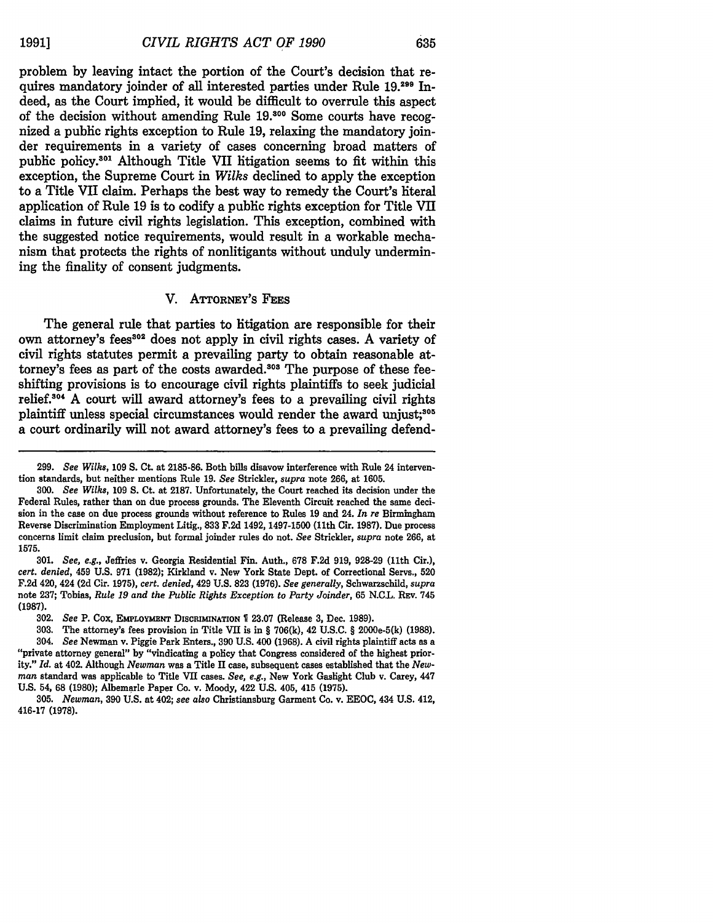problem by leaving intact the portion of the Court's decision that requires mandatory joinder of all interested parties under Rule 19.<sup>299</sup> Indeed, as the Court implied, it would be difficult to overrule this aspect of the decision without amending Rule **19.00** Some courts have recognized a public rights exception to Rule 19, relaxing the mandatory joinder requirements in a variety of cases concerning broad matters of public policy.<sup>301</sup> Although Title VII litigation seems to fit within this exception, the Supreme Court in *Wilks* declined to apply the exception to a Title VII claim. Perhaps the best way to remedy the Court's literal application of Rule 19 is to codify a public rights exception for Title VII claims in future civil rights legislation. This exception, combined with the suggested notice requirements, would result in a workable mechanism that protects the rights of nonlitigants without unduly undermining the finality of consent judgments.

#### V. ATTORNEY'S FEES

The general rule that parties to litigation are responsible for their own attorney's fees<sup>302</sup> does not apply in civil rights cases. A variety of civil rights statutes permit a prevailing party to obtain reasonable attorney's fees as part of the costs awarded.<sup>303</sup> The purpose of these feeshifting provisions is to encourage civil rights plaintiffs to seek judicial relief.104 A court will award attorney's fees to a prevailing civil rights plaintiff unless special circumstances would render the award unjust;<sup>305</sup> a court ordinarily will not award attorney's fees to a prevailing defend-

<sup>299.</sup> *See Wilks,* 109 S. Ct. at 2185-86. Both bills disavow interference with Rule 24 intervention standards, but neither mentions Rule 19. *See* Strickler, *supra* note 266, at 1605.

*<sup>300.</sup> See Wilks,* 109 S. Ct. at 2187. Unfortunately, the Court reached its decision under the Federal Rules, rather than on due process grounds. The Eleventh Circuit reached the same decision in the case on due process grounds without reference to Rules 19 and 24. *In re* Birmingham Reverse Discrimination Employment Litig., 833 F.2d 1492, 1497-1500 (11th Cir. 1987). Due process concerns limit claim preclusion, but formal joinder rules do not. *See* Strickler, *supra* note 266, at 1575.

<sup>301.</sup> *See, e.g.,* Jeffries v. Georgia Residential Fin. Auth., 678 F.2d 919, 928-29 (11th Cir.), *cert. denied,* 459 U.S. 971 (1982); Kirkland v. New York State Dept. of Correctional Servs., 520 F.2d 420, 424 **(2d** Cir. **1975),** *cert. denied,* 429 U.S. **823** (1976). *See generally,* Schwarzschild, *supra* note 237; Tobias, *Rule 19 and the Public Rights Exception to Party Joinder,* 65 N.C.L. REv. 745 **(1987).**

**<sup>302.</sup>** *See* P. **Cox, EmPLOYmENT DISCRIMINATION 23.07** (Release **3,** Dec. **1989).**

**<sup>303.</sup>** The attorney's fees provision in Title **VII** is in § **706(k),** 42 **U.S.C.** § 2000e-5(k) **(1988).** 304. *See* Newman v. Piggie Park Enters., **390 U.S.** 400 **(1968). A** civil rights plaintiff acts as a "private attorney general" **by** "vindicating a policy that Congress considered of the highest priority." *Id.* at 402. Although *Newman* was a Title **I1** case, subsequent cases established that the *Newman* standard was applicable to Title **VII** cases. *See, e.g.,* New York Gaslight Club v. Carey, 447 **U.S.** 54, **68 (1980);** Albemarle Paper Co. v. Moody, 422 **U.S.** 405, 415 **(1975).**

**<sup>305.</sup>** *Newman,* **390 U.S.** at 402; *see also* Christiansburg Garment Co. v. **EEOC,** 434 **U.S.** 412, **416-17 (1978).**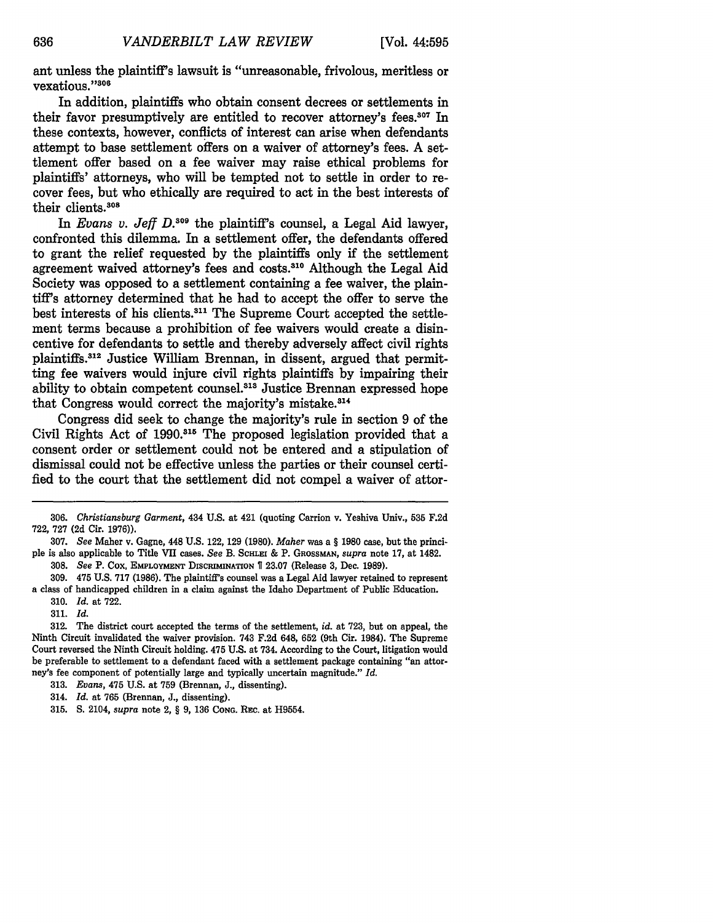ant unless the plaintiff's lawsuit is "unreasonable, frivolous, meritless or vexatious."306

In addition, plaintiffs who obtain consent decrees or settlements in their favor presumptively are entitled to recover attorney's fees.<sup>307</sup> In these contexts, however, conflicts of interest can arise when defendants attempt to base settlement offers on a waiver of attorney's fees. A settlement offer based on a fee waiver may raise ethical problems for plaintiffs' attorneys, who will be tempted not to settle in order to recover fees, but who ethically are required to act in the best interests of their clients.308

In *Evans v. Jeff D.309* the plaintiff's counsel, a Legal Aid lawyer, confronted this dilemma. In a settlement offer, the defendants offered to grant the relief requested **by** the plaintiffs only if the settlement agreement waived attorney's fees and costs.310 Although the Legal Aid Society was opposed to a settlement containing a fee waiver, the plaintiff's attorney determined that he had to accept the offer to serve the best interests of his clients.311 The Supreme Court accepted the settlement terms because a prohibition of fee waivers would create a disincentive for defendants to settle and thereby adversely affect civil rights plaintiffs.<sup>312</sup> Justice William Brennan, in dissent, argued that permitting fee waivers would injure civil rights plaintiffs **by** impairing their ability to obtain competent counsel.313 Justice Brennan expressed hope that Congress would correct the majority's mistake.<sup>314</sup>

Congress did seek to change the majority's rule in section **9** of the Civil Rights Act of 1990.<sup>315</sup> The proposed legislation provided that a consent order or settlement could not be entered and a stipulation of dismissal could not be effective unless the parties or their counsel certified to the court that the settlement did not compel a waiver of attor-

**<sup>306.</sup>** *Christiansburg Garment,* 434 **U.S.** at 421 (quoting Carrion v. Yeshiva Univ., **535 F.2d** 722, 727 **(2d** Cir. **1976)).**

<sup>307.</sup> *See* Maher v. Gagne, 448 U.S. 122, 129 (1980). *Maher* was a § 1980 case, but the principle is also applicable to Title VII cases. *See* B. **SCHLEI** & P. GROSSMAN, *supra* note **17,** at 1482.

<sup>308.</sup> *See* P. Cox, **EMPLOYMENT DISCRIMINATION** 23.07 (Release 3, Dec. 1989). 309. 475 U.S. 717 (1986). The plaintiff's counsel was a Legal Aid lawyer retained to represent

a class of handicapped children in a claim against the Idaho Department of Public Education.

<sup>310.</sup> *Id.* at 722.

<sup>311.</sup> *Id.*

<sup>312.</sup> The district court accepted the terms of the settlement, *id.* at 723, but on appeal, the Ninth Circuit invalidated the waiver provision. 743 F.2d 648, 652 (9th Cir. 1984). The Supreme Court reversed the Ninth Circuit holding. 475 U.S. at 734. According to the Court, litigation would be preferable to settlement to a defendant faced with a settlement package containing "an attorney's fee component of potentially large and typically uncertain magnitude." *Id.*

<sup>313.</sup> *Evans,* 475 U.S. at 759 (Brennan, J., dissenting).

<sup>314.</sup> *Id.* at 765 (Brennan, J., dissenting).

<sup>315.</sup> **S.** 2104, *supra* note 2, § 9, **136 CONG.** REc. at H9554.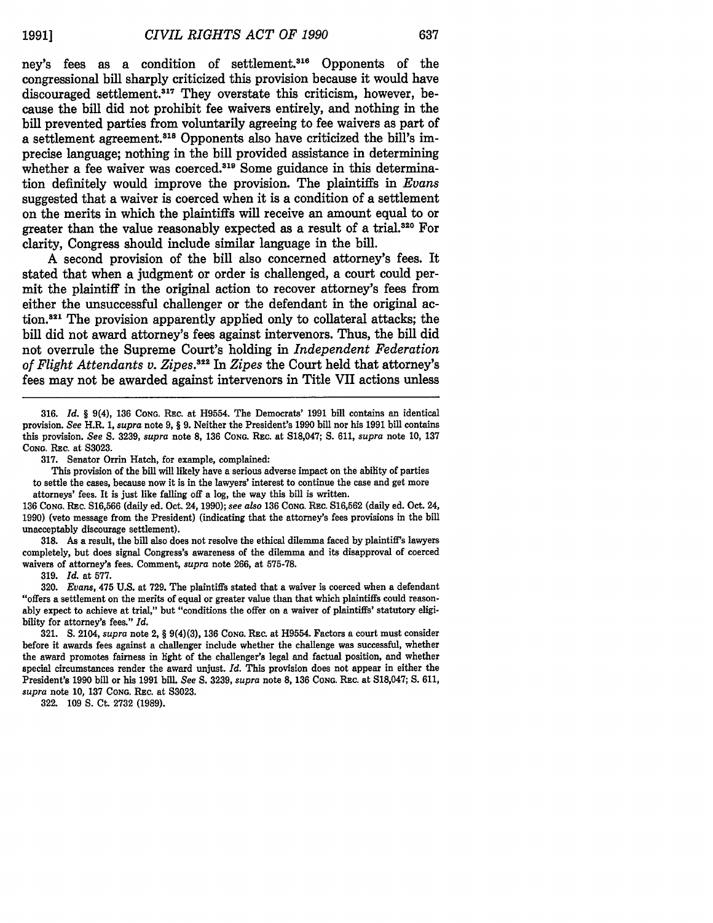ney's fees as a condition of settlement.<sup>316</sup> Opponents of the congressional bill sharply criticized this provision because it would have discouraged settlement.<sup>317</sup> They overstate this criticism, however, because the **bill** did not prohibit fee waivers entirely, and nothing in the bill prevented parties from voluntarily agreeing to fee waivers as part of a settlement agreement.<sup>318</sup> Opponents also have criticized the bill's imprecise language; nothing in the bill provided assistance in determining whether a fee waiver was coerced.<sup>319</sup> Some guidance in this determination definitely would improve the provision. The plaintiffs in *Evans* suggested that a waiver is coerced when it is a condition of a settlement on the merits in which the plaintiffs will receive an amount equal to or greater than the value reasonably expected as a result of a trial.<sup>320</sup> For clarity, Congress should include similar language in the bill.

**A** second provision of the bill also concerned attorney's fees. It stated that when a judgment or order is challenged, a court could permit the plaintiff in the original action to recover attorney's fees from either the unsuccessful challenger or the defendant in the original action.<sup>321</sup> The provision apparently applied only to collateral attacks; the bill did not award attorney's fees against intervenors. Thus, the bill did not overrule the Supreme Court's holding in *Independent Federation of Flight Attendants v. Zipes. 22 In Zipes* the Court held that attorney's fees may not be awarded against intervenors in Title VII actions unless

**316.** *Id. §* 9(4), **136 CONG.** REC. at H9554. The Democrats' **1991** bill contains an identical provision. *See* H.R. 1, *supra* note 9, *§* 9. Neither the President's 1990 bill nor his 1991 bill contains this provision. *See S.* 3239, *supra* note 8, **136 CONG.** REc. at S18,047; **S.** 611, *supra* note 10, 137 CONG. REC. at S3023.

317. Senator Orrin Hatch, for example, complained:

This provision of the bill will likely have a serious adverse impact on the ability of parties to settle the cases, because now it is in the lawyers' interest to continue the case and get more attorneys' fees. It is just like falling off a log, the way this bill is written.

136 **CONG.** REC. S16,566 (daily ed. Oct. 24, 1990); *see also* **136 CONG.** REc. S16,562 (daily ed. Oct. 24, 1990) (veto message from the President) (indicating that the attorney's fees provisions in the bill unacceptably discourage settlement).

318. As a result, the bill also does not resolve the ethical dilemma faced by plaintiff's lawyers completely, but does signal Congress's awareness of the dilemma and its disapproval of coerced waivers of attorney's fees. Comment, *supra* note 266, at 575-78.

319. *Id.* at 577.

320. *Evans,* 475 U.S. at 729. The plaintiffs stated that a waiver is coerced when a defendant "offers a settlement on the merits of equal or greater value than that which plaintiffs could reasonably expect to achieve at trial," but "conditions the offer on a waiver of plaintiffs' statutory eligibility for attorney's fees." *Id.*

321. **S.** 2104, *supra* note 2, § 9(4)(3), 136 **CONG.** REC. at H9554. Factors a court must consider before it awards fees against a challenger include whether the challenge was successful, whether the award promotes fairness in light of the challenger's legal and factual position, and whether special circumstances render the award unjust. *Id.* This provision does not appear in either the President's **1990** bill or his **1991** bill. *See S.* **3239,** *supra* note **8, 136 CONG.** REc. at **S18,047; S. 611,** *supra* note **10, 137 CONG.** REc. at **S3023.**

**322. 109 S.** Ct. **2732 (1989).**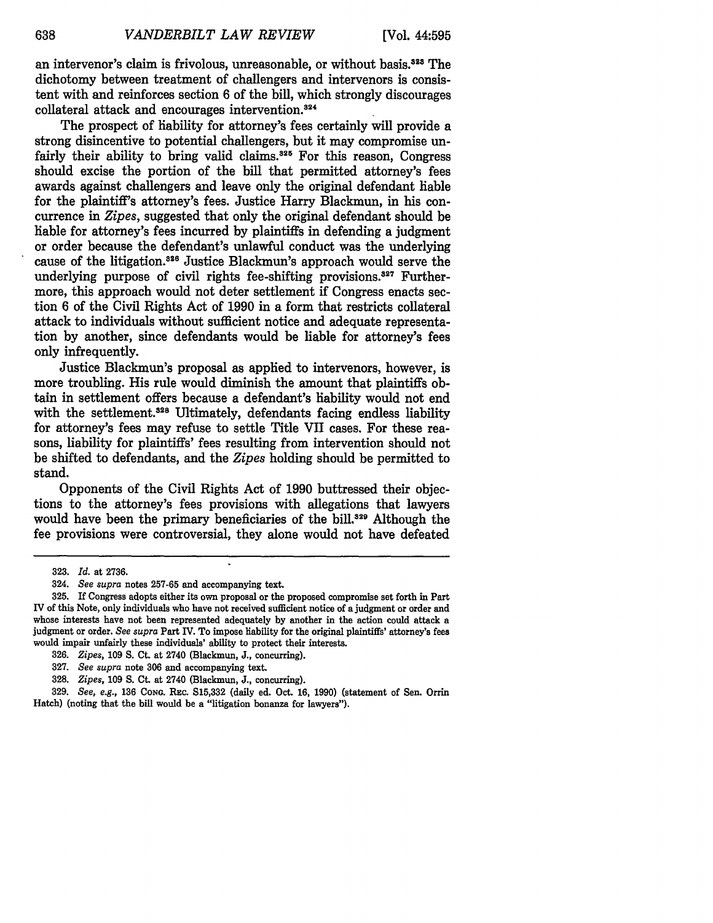an intervenor's claim is frivolous, unreasonable, or without basis.<sup>323</sup> The dichotomy between treatment of challengers and intervenors is consistent with and reinforces section 6 of the bill, which strongly discourages collateral attack and encourages intervention.<sup>324</sup>

The prospect of liability for attorney's fees certainly will provide a strong disincentive to potential challengers, but it may compromise unfairly their ability to bring valid claims.<sup>325</sup> For this reason, Congress should excise the portion of the bill that permitted attorney's fees awards against challengers and leave only the original defendant liable for the plaintiff's attorney's fees. Justice Harry Blackmun, in his concurrence in *Zipes,* suggested that only the original defendant should be liable for attorney's fees incurred by plaintiffs in defending a judgment or order because the defendant's unlawful conduct was the underlying cause of the litigation.<sup>326</sup> Justice Blackmun's approach would serve the underlying purpose of civil rights fee-shifting provisions.<sup>327</sup> Furthermore, this approach would not deter settlement if Congress enacts section 6 of the Civil Rights Act of 1990 in a form that restricts collateral attack to individuals without sufficient notice and adequate representation by another, since defendants would be liable for attorney's fees only infrequently.

Justice Blackmun's proposal as applied to intervenors, however, is more troubling. His rule would diminish the amount that plaintiffs obtain in settlement offers because a defendant's liability would not end with the settlement.<sup>328</sup> Ultimately, defendants facing endless liability for attorney's fees may refuse to settle Title VII cases. For these reasons, liability for plaintiffs' fees resulting from intervention should not be shifted to defendants, and the *Zipes* holding should be permitted to stand.

Opponents of the Civil Rights Act of 1990 buttressed their objections to the attorney's fees provisions with allegations that lawyers would have been the primary beneficiaries of the bill.<sup>329</sup> Although the fee provisions were controversial, they alone would not have defeated

<sup>323.</sup> *Id.* at 2736.

<sup>324.</sup> *See supra* notes 257-65 and accompanying text.

**<sup>325.</sup>** If Congress adopts either its own proposal or the proposed compromise set forth in Part IV of this Note, only individuals who have not received sufficient notice of a judgment or order and whose interests have not been represented adequately **by** another in the action could attack a judgment or order. *See supra* Part IV. To impose liability for the original plaintiffs' attorney's fees would impair unfairly these individuals' ability to protect their interests.

**<sup>326.</sup>** *Zipes,* **109 S.** Ct. at 2740 (Blackmun, **J.,** concurring).

**<sup>327.</sup>** *See supra* note **306** and accompanying text.

**<sup>328.</sup>** *Zipes,* **109 S.** Ct. at 2740 (Blackmun, **J.,** concurring).

**<sup>329.</sup>** *See, e.g.,* **136 CONG.** REc. **S15,332** (daily ed. Oct. **16, 1990)** (statement of Sen. Orrin Hatch) (noting that the bill would be a "litigation bonanza for lawyers").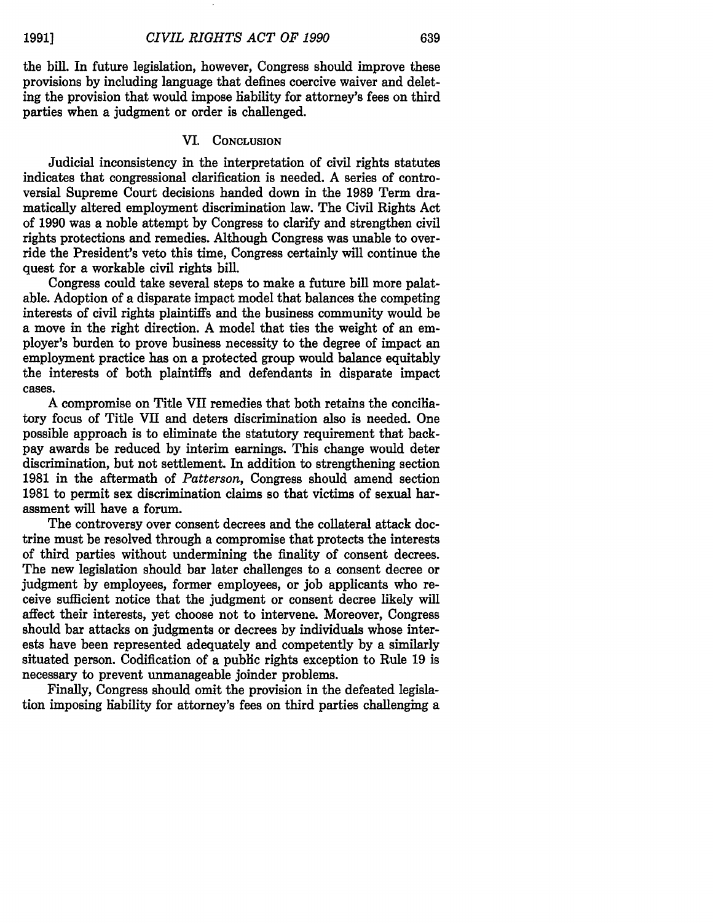the **bill.** In future legislation, however, Congress should improve these provisions **by** including language that defines coercive waiver and deleting the provision that would impose liability for attorney's fees on third parties when a judgment or order is challenged.

# VI. **CONCLUSION**

Judicial inconsistency in the interpretation of civil rights statutes indicates that congressional clarification is needed. **A** series of controversial Supreme Court decisions handed down in the **1989** Term dramatically altered employment discrimination law. The Civil Rights Act of **1990** was a noble attempt **by** Congress to clarify and strengthen civil rights protections and remedies. Although Congress was unable to override the President's veto this time, Congress certainly **will** continue the quest for a workable civil rights bill.

Congress could take several steps to make a future bill more palatable. Adoption of a disparate impact model that balances the competing interests of civil rights plaintiffs and the business community would be a move in the right direction. A model that ties the weight of an employer's burden to prove business necessity to the degree of impact an employment practice has on a protected group would balance equitably the interests of both plaintiffs and defendants in disparate impact cases.

**A** compromise on Title VII remedies that both retains the conciliatory focus of Title VII and deters discrimination also is needed. One possible approach is to eliminate the statutory requirement that backpay awards be reduced **by** interim earnings. This change would deter discrimination, but not settlement. In addition to strengthening section **1981** in the aftermath of *Patterson,* Congress should amend section **1981** to permit sex discrimination claims so that victims of sexual harassment will have a forum.

The controversy over consent decrees and the collateral attack doctrine must be resolved through a compromise that protects the interests of third parties without undermining the finality of consent decrees. The new legislation should bar later challenges to a consent decree or judgment **by** employees, former employees, or **job** applicants who receive sufficient notice that the judgment or consent decree likely will affect their interests, yet choose not to intervene. Moreover, Congress should bar attacks on judgments or decrees **by** individuals whose interests have been represented adequately and competently **by** a similarly situated person. Codification of a public rights exception to Rule **19** is necessary to prevent unmanageable joinder problems.

Finally, Congress should omit the provision in the defeated legislation imposing liability for attorney's fees on third parties challenging a